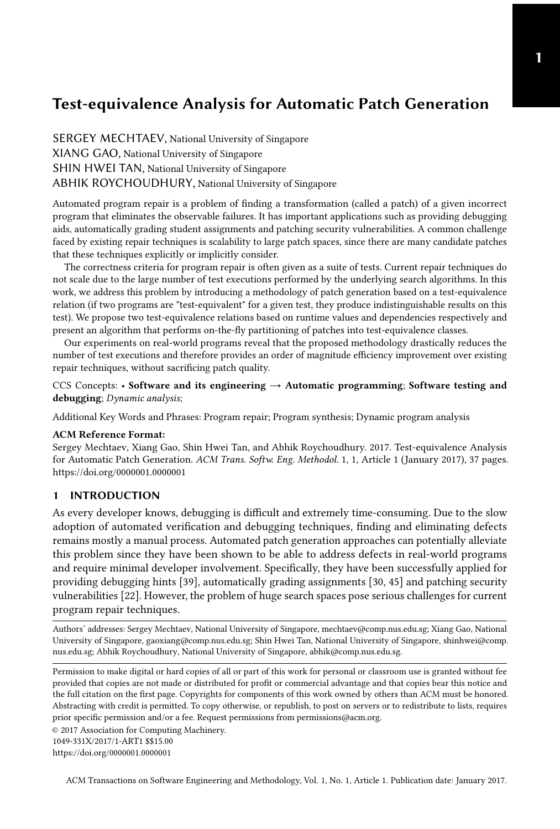<span id="page-0-0"></span>SERGEY MECHTAEV, National University of Singapore XIANG GAO, National University of Singapore SHIN HWEI TAN, National University of Singapore ABHIK ROYCHOUDHURY, National University of Singapore

Automated program repair is a problem of finding a transformation (called a patch) of a given incorrect program that eliminates the observable failures. It has important applications such as providing debugging aids, automatically grading student assignments and patching security vulnerabilities. A common challenge faced by existing repair techniques is scalability to large patch spaces, since there are many candidate patches that these techniques explicitly or implicitly consider.

The correctness criteria for program repair is often given as a suite of tests. Current repair techniques do not scale due to the large number of test executions performed by the underlying search algorithms. In this work, we address this problem by introducing a methodology of patch generation based on a test-equivalence relation (if two programs are "test-equivalent" for a given test, they produce indistinguishable results on this test). We propose two test-equivalence relations based on runtime values and dependencies respectively and present an algorithm that performs on-the-fly partitioning of patches into test-equivalence classes.

Our experiments on real-world programs reveal that the proposed methodology drastically reduces the number of test executions and therefore provides an order of magnitude efficiency improvement over existing repair techniques, without sacrificing patch quality.

CCS Concepts: • Software and its engineering  $\rightarrow$  Automatic programming; Software testing and debugging; Dynamic analysis;

Additional Key Words and Phrases: Program repair; Program synthesis; Dynamic program analysis

#### ACM Reference Format:

Sergey Mechtaev, Xiang Gao, Shin Hwei Tan, and Abhik Roychoudhury. 2017. Test-equivalence Analysis for Automatic Patch Generation. ACM Trans. Softw. Eng. Methodol. 1, 1, Article 1 (January 2017), [37](#page-36-0) pages. <https://doi.org/0000001.0000001>

## 1 INTRODUCTION

As every developer knows, debugging is difficult and extremely time-consuming. Due to the slow adoption of automated verification and debugging techniques, finding and eliminating defects remains mostly a manual process. Automated patch generation approaches can potentially alleviate this problem since they have been shown to be able to address defects in real-world programs and require minimal developer involvement. Specifically, they have been successfully applied for providing debugging hints [\[39\]](#page-28-0), automatically grading assignments [\[30,](#page-27-0) [45\]](#page-28-1) and patching security vulnerabilities [\[22\]](#page-27-1). However, the problem of huge search spaces pose serious challenges for current program repair techniques.

Authors' addresses: Sergey Mechtaev, National University of Singapore, mechtaev@comp.nus.edu.sg; Xiang Gao, National University of Singapore, gaoxiang@comp.nus.edu.sg; Shin Hwei Tan, National University of Singapore, shinhwei@comp. nus.edu.sg; Abhik Roychoudhury, National University of Singapore, abhik@comp.nus.edu.sg.

Permission to make digital or hard copies of all or part of this work for personal or classroom use is granted without fee provided that copies are not made or distributed for profit or commercial advantage and that copies bear this notice and the full citation on the first page. Copyrights for components of this work owned by others than ACM must be honored. Abstracting with credit is permitted. To copy otherwise, or republish, to post on servers or to redistribute to lists, requires prior specific permission and/or a fee. Request permissions from permissions@acm.org.

© 2017 Association for Computing Machinery.

<https://doi.org/0000001.0000001>

<sup>1049-331</sup>X/2017/1-ART1 \$\$15.00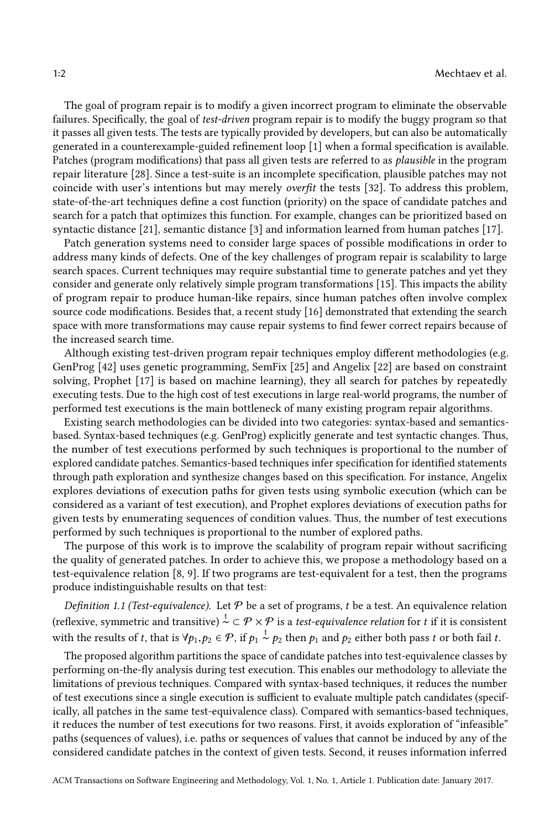The goal of program repair is to modify a given incorrect program to eliminate the observable failures. Specifically, the goal of test-driven program repair is to modify the buggy program so that it passes all given tests. The tests are typically provided by developers, but can also be automatically generated in a counterexample-guided refinement loop [\[1\]](#page-26-0) when a formal specification is available. Patches (program modifications) that pass all given tests are referred to as plausible in the program repair literature [\[28\]](#page-27-2). Since a test-suite is an incomplete specification, plausible patches may not coincide with user's intentions but may merely overfit the tests [\[32\]](#page-27-3). To address this problem, state-of-the-art techniques define a cost function (priority) on the space of candidate patches and search for a patch that optimizes this function. For example, changes can be prioritized based on syntactic distance [\[21\]](#page-27-4), semantic distance [\[3\]](#page-26-1) and information learned from human patches [\[17\]](#page-27-5).

Patch generation systems need to consider large spaces of possible modifications in order to address many kinds of defects. One of the key challenges of program repair is scalability to large search spaces. Current techniques may require substantial time to generate patches and yet they consider and generate only relatively simple program transformations [\[15\]](#page-27-6). This impacts the ability of program repair to produce human-like repairs, since human patches often involve complex source code modifications. Besides that, a recent study [\[16\]](#page-27-7) demonstrated that extending the search space with more transformations may cause repair systems to find fewer correct repairs because of the increased search time.

Although existing test-driven program repair techniques employ different methodologies (e.g. GenProg [\[42\]](#page-28-2) uses genetic programming, SemFix [\[25\]](#page-27-8) and Angelix [\[22\]](#page-27-1) are based on constraint solving, Prophet [\[17\]](#page-27-5) is based on machine learning), they all search for patches by repeatedly executing tests. Due to the high cost of test executions in large real-world programs, the number of performed test executions is the main bottleneck of many existing program repair algorithms.

Existing search methodologies can be divided into two categories: syntax-based and semanticsbased. Syntax-based techniques (e.g. GenProg) explicitly generate and test syntactic changes. Thus, the number of test executions performed by such techniques is proportional to the number of explored candidate patches. Semantics-based techniques infer specification for identified statements through path exploration and synthesize changes based on this specification. For instance, Angelix explores deviations of execution paths for given tests using symbolic execution (which can be considered as a variant of test execution), and Prophet explores deviations of execution paths for given tests by enumerating sequences of condition values. Thus, the number of test executions performed by such techniques is proportional to the number of explored paths.

The purpose of this work is to improve the scalability of program repair without sacrificing the quality of generated patches. In order to achieve this, we propose a methodology based on a test-equivalence relation [\[8,](#page-27-9) [9\]](#page-27-10). If two programs are test-equivalent for a test, then the programs produce indistinguishable results on that test:

<span id="page-1-0"></span>Definition 1.1 (Test-equivalence). Let  $\mathcal P$  be a set of programs, t be a test. An equivalence relation (reflexive, symmetric and transitive)  $\stackrel{t}{\sim}$   $\subset \mathcal{P} \times \mathcal{P}$  is a test-equivalence relation for t if it is consistent with the results of t, that is  $\forall p_1, p_2 \in \mathcal{P}$ , if  $p_1 \stackrel{t}{\sim} p_2$  then  $p_1$  and  $p_2$  either both pass t or both fail t.

The proposed algorithm partitions the space of candidate patches into test-equivalence classes by performing on-the-fly analysis during test execution. This enables our methodology to alleviate the limitations of previous techniques. Compared with syntax-based techniques, it reduces the number of test executions since a single execution is sufficient to evaluate multiple patch candidates (specifically, all patches in the same test-equivalence class). Compared with semantics-based techniques, it reduces the number of test executions for two reasons. First, it avoids exploration of "infeasible" paths (sequences of values), i.e. paths or sequences of values that cannot be induced by any of the considered candidate patches in the context of given tests. Second, it reuses information inferred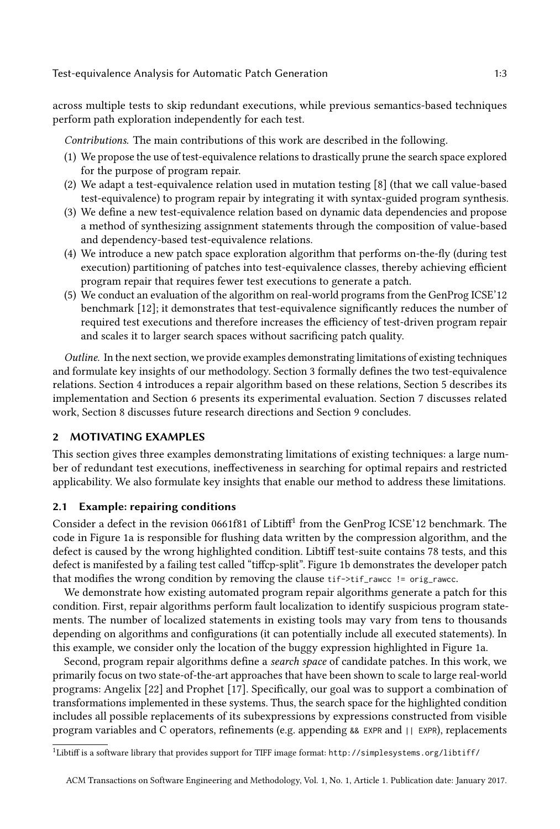across multiple tests to skip redundant executions, while previous semantics-based techniques perform path exploration independently for each test.

Contributions. The main contributions of this work are described in the following.

- (1) We propose the use of test-equivalence relations to drastically prune the search space explored for the purpose of program repair.
- (2) We adapt a test-equivalence relation used in mutation testing [\[8\]](#page-27-9) (that we call value-based test-equivalence) to program repair by integrating it with syntax-guided program synthesis.
- (3) We define a new test-equivalence relation based on dynamic data dependencies and propose a method of synthesizing assignment statements through the composition of value-based and dependency-based test-equivalence relations.
- (4) We introduce a new patch space exploration algorithm that performs on-the-fly (during test execution) partitioning of patches into test-equivalence classes, thereby achieving efficient program repair that requires fewer test executions to generate a patch.
- (5) We conduct an evaluation of the algorithm on real-world programs from the GenProg ICSE'12 benchmark [\[12\]](#page-27-11); it demonstrates that test-equivalence significantly reduces the number of required test executions and therefore increases the efficiency of test-driven program repair and scales it to larger search spaces without sacrificing patch quality.

Outline. In the next section, we provide examples demonstrating limitations of existing techniques and formulate key insights of our methodology. Section [3](#page-7-0) formally defines the two test-equivalence relations. Section [4](#page-14-0) introduces a repair algorithm based on these relations, Section [5](#page-17-0) describes its implementation and Section [6](#page-18-0) presents its experimental evaluation. Section [7](#page-23-0) discusses related work, Section [8](#page-25-0) discusses future research directions and Section [9](#page-26-2) concludes.

## 2 MOTIVATING EXAMPLES

This section gives three examples demonstrating limitations of existing techniques: a large number of redundant test executions, ineffectiveness in searching for optimal repairs and restricted applicability. We also formulate key insights that enable our method to address these limitations.

# <span id="page-2-0"></span>2.1 Example: repairing conditions

Consider a defect in the revision 066[1](#page-0-0)f81 of Libtiff<sup>1</sup> from the GenProg ICSE'12 benchmark. The code in Figure [1a](#page-3-0) is responsible for flushing data written by the compression algorithm, and the defect is caused by the wrong highlighted condition. Libtiff test-suite contains 78 tests, and this defect is manifested by a failing test called "tiffcp-split". Figure [1b](#page-3-0) demonstrates the developer patch that modifies the wrong condition by removing the clause tif->tif\_rawcc != orig\_rawcc.

We demonstrate how existing automated program repair algorithms generate a patch for this condition. First, repair algorithms perform fault localization to identify suspicious program statements. The number of localized statements in existing tools may vary from tens to thousands depending on algorithms and configurations (it can potentially include all executed statements). In this example, we consider only the location of the buggy expression highlighted in Figure [1a.](#page-3-0)

Second, program repair algorithms define a search space of candidate patches. In this work, we primarily focus on two state-of-the-art approaches that have been shown to scale to large real-world programs: Angelix [\[22\]](#page-27-1) and Prophet [\[17\]](#page-27-5). Specifically, our goal was to support a combination of transformations implemented in these systems. Thus, the search space for the highlighted condition includes all possible replacements of its subexpressions by expressions constructed from visible program variables and C operators, refinements (e.g. appending && EXPR and || EXPR), replacements

 $^1$ Libtiff is a software library that provides support for TIFF image format: http://simplesystems.org/libtiff/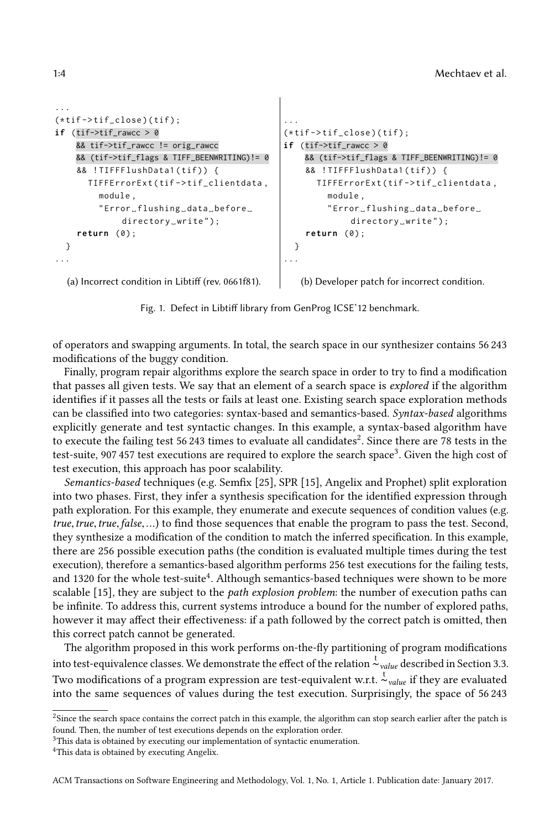```
...
(\star \text{tif}-\gt \text{tif\_close}) (tif);
if (tif\text{-}y\text{-}tif\text{-}rawcc > 0&& tif->tif_rawcc != orig_rawcc
     && (tif->tif_flags & TIFF_BEENWRITING)!= 0
     && !TIFFFlushData1(tif)) {
        TIFFErrorExt ( tif - > tif_clientdata ,
          module ,
          " Error ␣ flushing ␣ data ␣ before ␣
                directory_write");
     return (0) ;
  }
...
                                                        ...
                                                        (\star \text{tif}-\gt \text{tif\_close}) (tif);
                                                        if (tif\text{-}zif\text{-}rawcc > 0&& (tif->tif_flags & TIFF_BEENWRITING)!= 0
                                                              && !TIFFFlushData1(tif)) {
                                                                TIFFErrorExt ( tif - > tif_clientdata ,
                                                                   module ,
                                                                   " Error ␣ flushing ␣ data ␣ before ␣
                                                                         directory_write");
                                                              return (0) ;
                                                           }
                                                        ...
```
(a) Incorrect condition in Libtiff (rev. 0661f81).

(b) Developer patch for incorrect condition.

Fig. 1. Defect in Libtiff library from GenProg ICSE'12 benchmark.

of operators and swapping arguments. In total, the search space in our synthesizer contains 56 243 modifications of the buggy condition.

Finally, program repair algorithms explore the search space in order to try to find a modification that passes all given tests. We say that an element of a search space is explored if the algorithm identifies if it passes all the tests or fails at least one. Existing search space exploration methods can be classified into two categories: syntax-based and semantics-based. Syntax-based algorithms explicitly generate and test syntactic changes. In this example, a syntax-based algorithm have to execute the failing test 56.[2](#page-0-0)43 times to evaluate all candidates<sup>2</sup>. Since there are 78 tests in the test-suite. 907 457 test executions are required to explore the search space<sup>[3](#page-0-0)</sup>. Given the high cost of test execution, this approach has poor scalability.

Semantics-based techniques (e.g. Semfix [\[25\]](#page-27-8), SPR [\[15\]](#page-27-6), Angelix and Prophet) split exploration into two phases. First, they infer a synthesis specification for the identified expression through path exploration. For this example, they enumerate and execute sequences of condition values (e.g. true, true, true, false,...) to find those sequences that enable the program to pass the test. Second, they synthesize a modification of the condition to match the inferred specification. In this example, there are 256 possible execution paths (the condition is evaluated multiple times during the test execution), therefore a semantics-based algorithm performs 256 test executions for the failing tests, and 1320 for the whole test-suite<sup>[4](#page-0-0)</sup>. Although semantics-based techniques were shown to be more scalable [\[15\]](#page-27-6), they are subject to the *path explosion problem*: the number of execution paths can be infinite. To address this, current systems introduce a bound for the number of explored paths, however it may affect their effectiveness: if a path followed by the correct patch is omitted, then this correct patch cannot be generated.

The algorithm proposed in this work performs on-the-fly partitioning of program modifications into test-equivalence classes. We demonstrate the effect of the relation  $t_{value}$  described in Section [3.3.](#page-9-0) Two modifications of a program expression are test-equivalent w.r.t.  $\frac{t}{c}$ <sub>value</sub> if they are evaluated into the same sequences of values during the test execution. Surprisingly, the space of 56 243

<sup>&</sup>lt;sup>2</sup>Since the search space contains the correct patch in this example, the algorithm can stop search earlier after the patch is found. Then, the number of test executions depends on the exploration order.

<sup>&</sup>lt;sup>3</sup>This data is obtained by executing our implementation of syntactic enumeration.

<sup>4</sup>This data is obtained by executing Angelix.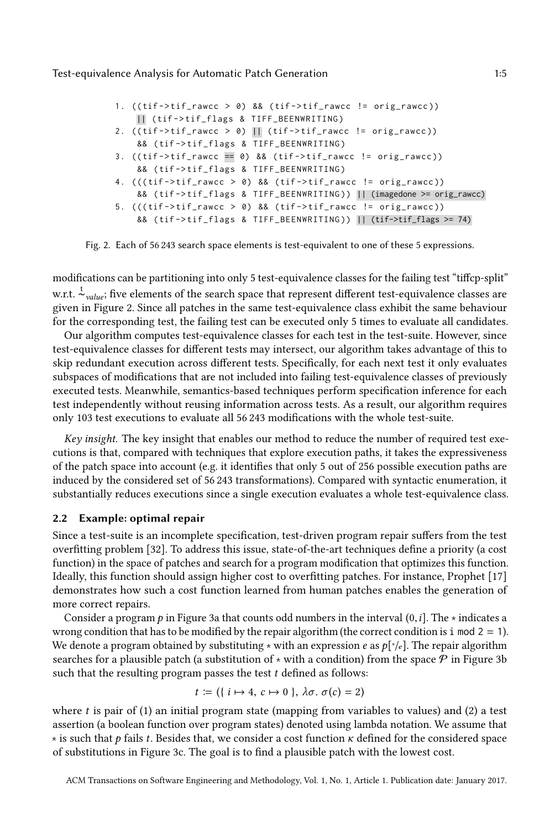```
1. ((\text{tf}-\text{diff\_rawcc} > 0) && (\text{tf}-\text{diff\_rawcc} != \text{orig\_rawcc}))|| ( tif - > tif_flags & TIFF_BEENWRITING )
2. ((\text{tf}\rightarrow\text{tf}\_\text{rawcc} > 0) \Box (\text{tf}\rightarrow\text{tf}\_\text{rawcc} != orig_rawcc))
     && (tif->tif_flags & TIFF_BEENWRITING)
3. ((\text{tf}-\text{diff\_rawcc} == 0) && (\text{tf}-\text{diff\_rawcc} != \text{orig\_rawcc}))&& ( tif - > tif_flags & TIFF_BEENWRITING )
4. (((\text{tf}-\text{atif\_rawcc} > 0) \& (\text{tf}-\text{atif\_rawcc} != \text{orig\_rawcc}))&& ( tif - > tif_flags & TIFF_BEENWRITING )) || (imagedone >= orig_rawcc)
5. (((\text{tf->tf_namec > 0) & 8& (tf->tf_namec != orig_namec))&& ( tif - > tif_flags & TIFF_BEENWRITING )) || (tif->tif_flags >= 74)
```
Fig. 2. Each of 56 243 search space elements is test-equivalent to one of these 5 expressions.

modifications can be partitioning into only 5 test-equivalence classes for the failing test "tiffcp-split" w.r.t. <sup>t</sup><sub>value</sub>; five elements of the search space that represent different test-equivalence classes are given in Figure [2.](#page-4-0) Since all patches in the same test-equivalence class exhibit the same behaviour for the corresponding test, the failing test can be executed only 5 times to evaluate all candidates.

Our algorithm computes test-equivalence classes for each test in the test-suite. However, since test-equivalence classes for different tests may intersect, our algorithm takes advantage of this to skip redundant execution across different tests. Specifically, for each next test it only evaluates subspaces of modifications that are not included into failing test-equivalence classes of previously executed tests. Meanwhile, semantics-based techniques perform specification inference for each test independently without reusing information across tests. As a result, our algorithm requires only 103 test executions to evaluate all 56 243 modifications with the whole test-suite.

Key insight. The key insight that enables our method to reduce the number of required test executions is that, compared with techniques that explore execution paths, it takes the expressiveness of the patch space into account (e.g. it identifies that only 5 out of 256 possible execution paths are induced by the considered set of 56 243 transformations). Compared with syntactic enumeration, it substantially reduces executions since a single execution evaluates a whole test-equivalence class.

# <span id="page-4-1"></span>2.2 Example: optimal repair

Since a test-suite is an incomplete specification, test-driven program repair suffers from the test overfitting problem [\[32\]](#page-27-3). To address this issue, state-of-the-art techniques define a priority (a cost function) in the space of patches and search for a program modification that optimizes this function. Ideally, this function should assign higher cost to overfitting patches. For instance, Prophet [\[17\]](#page-27-5) demonstrates how such a cost function learned from human patches enables the generation of more correct repairs.

Consider a program p in Figure [3a](#page-5-0) that counts odd numbers in the interval  $(0, i]$ . The  $\star$  indicates a wrong condition that has to be modified by the repair algorithm (the correct condition is i mod  $2 = 1$ ). We denote a program obtained by substituting  $\star$  with an expression e as  $p[\star_e]$ . The repair algorithm<br>searches for a plausible patch (a substitution of  $\star$  with a condition) from the space  $\mathcal{P}$  in Figure 3b searches for a plausible patch (a substitution of  $*$  with a condition) from the space  $P$  in Figure [3b](#page-5-0) such that the resulting program passes the test  $t$  defined as follows:

$$
t := (\{ i \mapsto 4, c \mapsto 0 \}, \lambda \sigma. \sigma(c) = 2)
$$

where t is pair of (1) an initial program state (mapping from variables to values) and (2) a test<br>assertion (a boolean function over program states) denoted using lambda notation. We assume that assertion (a boolean function over program states) denoted using lambda notation. We assume that  $*$  is such that p fails t. Besides that, we consider a cost function  $\kappa$  defined for the considered space of substitutions in Figure [3c.](#page-5-0) The goal is to find a plausible patch with the lowest cost.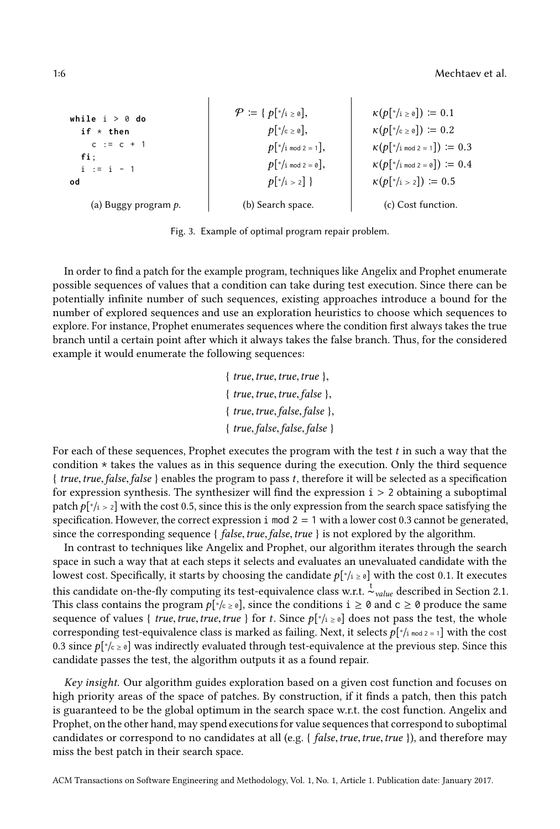1:6 Mechtaev et al.

<span id="page-5-0"></span>while 
$$
i > \emptyset
$$
 do

\nif  $\star$  then

\n $c := c + 1$ 

\nif  $i := i - 1$ 

\nif  $i := i - 1$ 

\nif  $j := i - 1$ 

\nif  $p[\star]$  is a 2 = 0],

\nif  $k(p[\star]$  is a 2 = 1],

\nif  $p[\star]$  and  $2 = 0$ ],

\nif  $p[\star]$  and  $2 = 0$ ,

\nif  $p[\star]$  and  $2 = 0$ ,

\nif  $p[\star]$  and  $2 = 0$ ,

\nif  $p[\star]$  and  $2 = 0$ ,

\nif  $p[\star]$  and  $2 = 0$ ,

\nif  $p[\star]$  and  $2 = 0$ , and

\nif  $p[\star]$  and  $2 = 1$ , and

\nif  $p[\star]$  and  $2 = 0$ , and

\nif  $p[\star]$  and  $2 = 1$ , and

\nif  $p[\star]$  and  $2 = 0$ , and

\nif  $p[\star]$  and  $2 = 1$ , and

\nif  $p[\star]$  and  $2 = 0$ , and

\nif  $p[\star]$  and  $p[\star]$  are a 0.3.

\nif  $p[\star]$  and  $p[\star]$  are a 1.4.

\nif  $p[\star]$  and  $p[\star]$  are a 2.5.

\nif  $p[\star]$  and  $p[\star]$  are a 2.5.

\nif  $p[\star]$  and  $p[\star]$  are a 3.6.

\nif  $p[\star]$  and  $p[\star]$  are a 4.6.

\nif  $p[\star]$  and  $p[\star]$  are a 4.6.

\nif  $p[\star]$  and  $p[\star]$  are a 4.6.

\nif  $p[\star]$  and  $p[\star]$  are a 4.6.

\n

 $\overline{1}$ 

Fig. 3. Example of optimal program repair problem.

In order to find a patch for the example program, techniques like Angelix and Prophet enumerate possible sequences of values that a condition can take during test execution. Since there can be potentially infinite number of such sequences, existing approaches introduce a bound for the number of explored sequences and use an exploration heuristics to choose which sequences to explore. For instance, Prophet enumerates sequences where the condition first always takes the true branch until a certain point after which it always takes the false branch. Thus, for the considered example it would enumerate the following sequences:

> $\{true, true, true, true\},\$  $\{true, true, true, false\}$  $\{true, true, false, false\}$ { true,false,false,false }

For each of these sequences, Prophet executes the program with the test  $t$  in such a way that the condition  $\star$  takes the values as in this sequence during the execution. Only the third sequence { true,true,false,false } enables the program to pass t, therefore it will be selected as a specification for expression synthesis. The synthesizer will find the expression  $i > 2$  obtaining a suboptimal patch  $p[Y_i > 2]$  with the cost 0.5, since this is the only expression from the search space satisfying the spacefication. However, the correct expression i mod  $2 - 1$  with a lower cost 0.3 cannot be generated specification. However, the correct expression i mod  $2 = 1$  with a lower cost 0.3 cannot be generated, since the corresponding sequence {  $false, true, false, true$  } is not explored by the algorithm.

In contrast to techniques like Angelix and Prophet, our algorithm iterates through the search space in such a way that at each steps it selects and evaluates an unevaluated candidate with the lowest cost. Specifically, it starts by choosing the candidate  $p[*_i] \ge 0$  with the cost 0.1. It executes this candidate on-the-fly computing its test-equivalence class w.r.t.  $\frac{t}{c}$ <sub>value</sub> described in Section [2.1.](#page-2-0) This class contains the program  $p[\dot{\cdot} \rangle_c \ge \delta]$ , since the conditions  $i \ge \delta$  and  $c \ge \delta$  produce the same<br>sequence of values  $\delta$  true true true true  $\delta$  for  $t$ . Since  $p[\dot{\cdot}, \dot{\cdot}]$  does not pass the test, the whole sequence of values { true, true, true, true } for t. Since  $p[*_i \ge 0]$  does not pass the test, the whole corresponding test-equivalence class is marked as failing. Next, it selects  $p[\nmid_{in} \leq 2]$  with the cost of  $\frac{1}{2}$  with the cost of  $\frac{1}{2}$  with the cost of  $\frac{1}{2}$  with the cost of  $\frac{1}{2}$  with  $\frac{1}{2}$  with 0.3 since  $p[*c \ge 0]$  was indirectly evaluated through test-equivalence at the previous step. Since this candidate passes the test, the algorithm outputs it as a found repair. candidate passes the test, the algorithm outputs it as a found repair.

Key insight. Our algorithm guides exploration based on a given cost function and focuses on high priority areas of the space of patches. By construction, if it finds a patch, then this patch is guaranteed to be the global optimum in the search space w.r.t. the cost function. Angelix and Prophet, on the other hand, may spend executions for value sequences that correspond to suboptimal candidates or correspond to no candidates at all (e.g. { false, true, true, true }), and therefore may miss the best patch in their search space.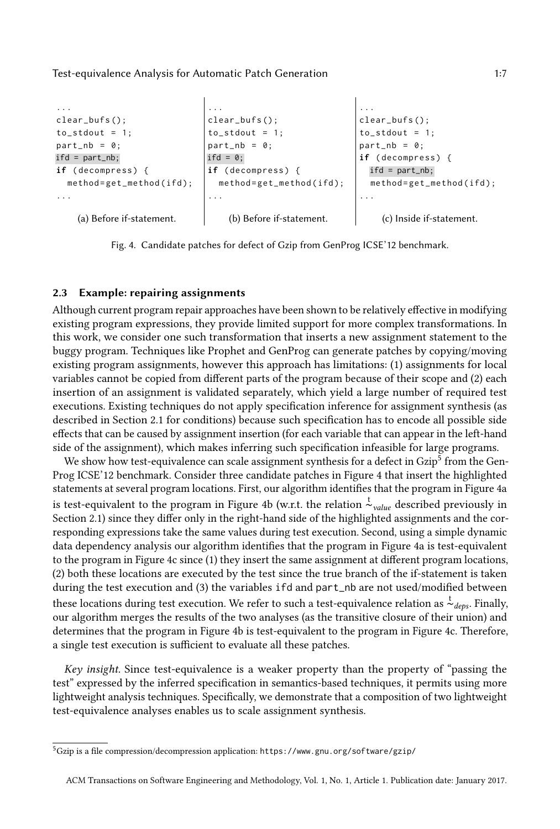```
...
clear_bufs ();
to\_stdout = 1;
part_nb = 0;
ifd = part_nb;
if (decompress) {
  method = get _method (ifd);...
    (a) Before if-statement.
                                ...
                               clear_bufs ();
                                to\_stdout = 1;part_{nb} = 0;ifd = 0;if (decompress) {
                                method = get_method ( ifd );
                                ...
                                    (b) Before if-statement.
                                                                ...
                                                               clear_bufs ();
                                                               to_stdout = 1;
                                                               part_nb = 0;
                                                               if ( decompress ) {
                                                                  ifd = part_nb;method = get\_method (if d);...
                                                                    (c) Inside if-statement.
```
Fig. 4. Candidate patches for defect of Gzip from GenProg ICSE'12 benchmark.

## <span id="page-6-1"></span>2.3 Example: repairing assignments

Although current program repair approaches have been shown to be relatively effective in modifying existing program expressions, they provide limited support for more complex transformations. In this work, we consider one such transformation that inserts a new assignment statement to the buggy program. Techniques like Prophet and GenProg can generate patches by copying/moving existing program assignments, however this approach has limitations: (1) assignments for local variables cannot be copied from different parts of the program because of their scope and (2) each insertion of an assignment is validated separately, which yield a large number of required test executions. Existing techniques do not apply specification inference for assignment synthesis (as described in Section [2.1](#page-2-0) for conditions) because such specification has to encode all possible side effects that can be caused by assignment insertion (for each variable that can appear in the left-hand side of the assignment), which makes inferring such specification infeasible for large programs.

We show how test-equivalence can scale assignment synthesis for a defect in Gzip<sup>[5](#page-0-0)</sup> from the Gen-Prog ICSE'12 benchmark. Consider three candidate patches in Figure [4](#page-6-0) that insert the highlighted statements at several program locations. First, our algorithm identifies that the program in Figure [4a](#page-6-0) is test-equivalent to the program in Figure [4b](#page-6-0) (w.r.t. the relation  $\frac{t}{\sim}$ <sub>value</sub> described previously in Section [2.1\)](#page-2-0) since they differ only in the right-hand side of the highlighted assignments and the corresponding expressions take the same values during test execution. Second, using a simple dynamic data dependency analysis our algorithm identifies that the program in Figure [4a](#page-6-0) is test-equivalent to the program in Figure [4c](#page-6-0) since (1) they insert the same assignment at different program locations, (2) both these locations are executed by the test since the true branch of the if-statement is taken during the test execution and (3) the variables ifd and part\_nb are not used/modified between these locations during test execution. We refer to such a test-equivalence relation as  $\frac{t}{\sim}$  Finally, our algorithm merges the results of the two analyses (as the transitive closure of their union) and determines that the program in Figure [4b](#page-6-0) is test-equivalent to the program in Figure [4c.](#page-6-0) Therefore, a single test execution is sufficient to evaluate all these patches.

Key insight. Since test-equivalence is a weaker property than the property of "passing the test" expressed by the inferred specification in semantics-based techniques, it permits using more lightweight analysis techniques. Specifically, we demonstrate that a composition of two lightweight test-equivalence analyses enables us to scale assignment synthesis.

 $^5$ Gzip is a file compression/decompression application: https://www.gnu.org/software/gzip/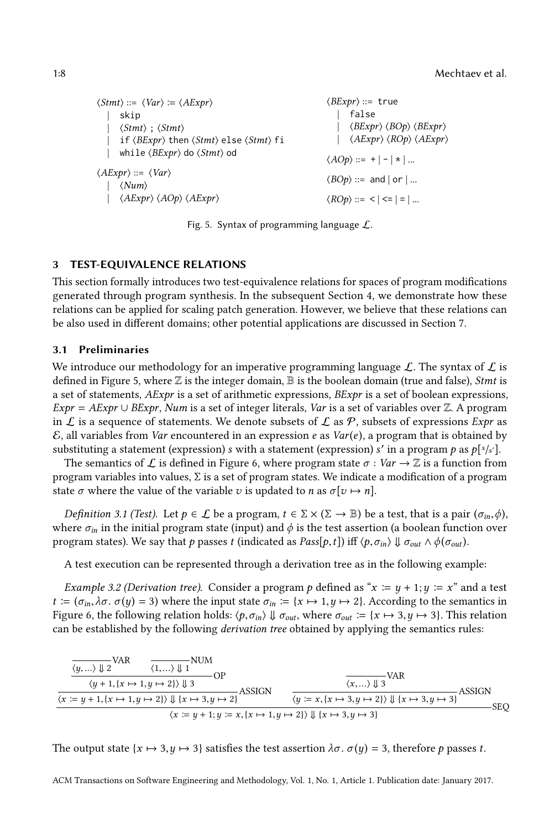<span id="page-7-1"></span> $\langle Stmt \rangle ::= \langle Var \rangle := \langle AExpr \rangle$ | skip  $\langle Stmt \rangle$ ;  $\langle Stmt \rangle$ | if ⟨BExpr⟩ then ⟨Stmt⟩ else ⟨Stmt⟩ fi while ⟨*BExpr*⟩ do ⟨*Stmt*⟩ od  $\langle AExpr \rangle ::= \langle Var \rangle$  $\langle Num \rangle$ | ⟨AExpr⟩ ⟨AOp⟩ ⟨AExpr⟩  $\langle BExpr \rangle ::=$  true | false | ⟨BExpr⟩ ⟨BOp⟩ ⟨BExpr⟩ | ⟨AExpr⟩ ⟨ROp⟩ ⟨AExpr⟩  $\langle AOp \rangle ::= + |- \times |$ ...  $\langle BOp \rangle ::=$  and  $|$  or  $|$  ...  $\langle ROp \rangle ::= \langle | \langle | \rangle = | \rangle$ ...

Fig. 5. Syntax of programming language  $\mathcal{L}$ .

## <span id="page-7-0"></span>3 TEST-EQUIVALENCE RELATIONS

This section formally introduces two test-equivalence relations for spaces of program modifications generated through program synthesis. In the subsequent Section [4,](#page-14-0) we demonstrate how these relations can be applied for scaling patch generation. However, we believe that these relations can be also used in different domains; other potential applications are discussed in Section [7.](#page-23-0)

## 3.1 Preliminaries

We introduce our methodology for an imperative programming language  $\mathcal{L}$ . The syntax of  $\mathcal{L}$  is defined in Figure [5,](#page-7-1) where  $\mathbb Z$  is the integer domain,  $\mathbb B$  is the boolean domain (true and false), *Stmt* is a set of statements, AExpr is a set of arithmetic expressions, BExpr is a set of boolean expressions,  $Expr = AExpr \cup BExpr$ , Num is a set of integer literals, Var is a set of variables over Z. A program in L is a sequence of statements. We denote subsets of L as P, subsets of expressions Expr as  $\mathcal E$ , all variables from Var encountered in an expression e as Var(e), a program that is obtained by substituting a statement (expression) s with a statement (expression) s' in a program p as  $p[s/s']$ .<br>The semantics of f is defined in Figure 6, where program state  $\sigma : Var \to \mathbb{Z}$  is a function from

bstituting a statement (expression)  $s$  with a statement (expression)  $s'$  in a program  $p$  as  $p[s's']$ .<br>The semantics of  $\mathcal L$  is defined in Figure [6,](#page-8-0) where program state  $\sigma : Var \to \mathbb Z$  is a function from<br>param variables in program variables into values,  $\Sigma$  is a set of program states. We indicate a modification of a program state  $\sigma$  where the value of the variable v is updated to n as  $\sigma[\nu \mapsto n]$ .

Definition 3.1 (Test). Let  $p \in \mathcal{L}$  be a program,  $t \in \Sigma \times (\Sigma \to \mathbb{B})$  be a test, that is a pair  $(\sigma_{in}, \phi)$ , where  $\sigma_{in}$  in the initial program state (input) and  $\phi$  is the test assertion (a boolean function over program states). We say that p passes t (indicated as  $Pass[p, t]$ ) iff  $\langle p, \sigma_{in} \rangle \Downarrow \sigma_{out} \wedge \phi(\sigma_{out})$ .

A test execution can be represented through a derivation tree as in the following example:

<span id="page-7-2"></span>*Example 3.2 (Derivation tree).* Consider a program p defined as " $x := y + 1$ ;  $y := x$ " and a test  $t := (\sigma_{in}, \lambda \sigma, \sigma(y) = 3)$  where the input state  $\sigma_{in} := \{x \mapsto 1, y \mapsto 2\}$ . According to the semantics in Figure [6,](#page-8-0) the following relation holds:  $\langle p, \sigma_{in} \rangle \Downarrow \sigma_{out}$ , where  $\sigma_{out} := \{x \mapsto 3, y \mapsto 3\}$ . This relation can be established by the following derivation tree obtained by applying the semantics rules:

$$
\frac{\overline{\langle y, \ldots \rangle \Downarrow 2}^{\text{VAR}} \qquad \overline{\langle 1, \ldots \rangle \Downarrow 1}^{\text{NUM}}}{\langle y+1, \{x \mapsto 1, y \mapsto 2\} \rangle \Downarrow 3} \text{OP}
$$
\n
$$
\frac{\overline{\langle x, \ldots \rangle \Downarrow 3}^{\text{VAR}} \qquad \overline{\langle x, \ldots \rangle \Downarrow 3}^{\text{VAR}}}{\langle y := x, \{x \mapsto 3, y \mapsto 2\} \rangle \Downarrow \{x \mapsto 3, y \mapsto 2\}} \text{ASSIGN}
$$
\n
$$
\frac{\overline{\langle x, \ldots \rangle \Downarrow 3}^{\text{VAR}} \qquad \overline{\langle y, \{x \mapsto 3, y \mapsto 2\} \rangle \Downarrow \{x \mapsto 3, y \mapsto 3\}}}{\langle x := y + 1; y := x, \{x \mapsto 1, y \mapsto 2\} \rangle \Downarrow \{x \mapsto 3, y \mapsto 3\}} \text{SSIGN}
$$
\n
$$
\text{SEQ}
$$

The output state  $\{x \mapsto 3, y \mapsto 3\}$  satisfies the test assertion  $\lambda \sigma$ .  $\sigma(y) = 3$ , therefore p passes t.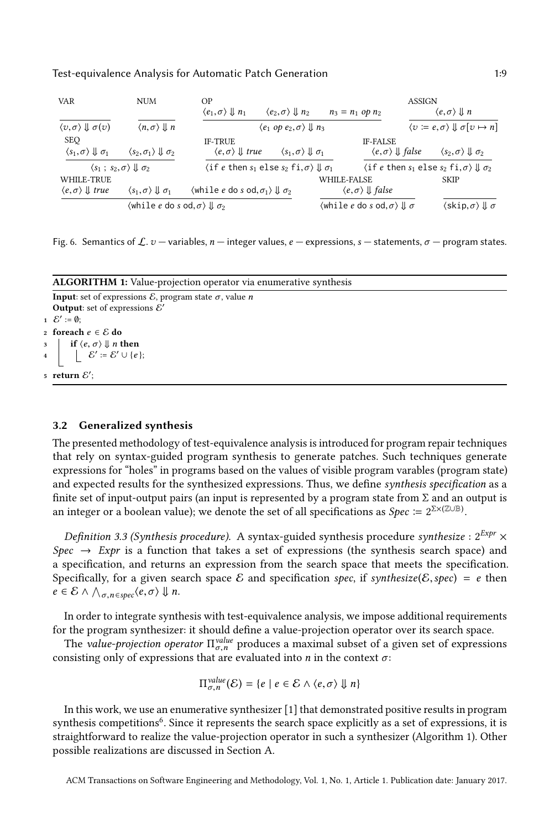<span id="page-8-0"></span>

| <b>VAR</b>                                                       | NUM                                                                          | OP.<br>$\langle e_1,\sigma\rangle \Downarrow n_1$                               | $\langle e_2, \sigma \rangle \Downarrow n_2$          |             | $n_3 = n_1$ op $n_2$                                                            | ASSIGN | $\langle e,\sigma\rangle \Downarrow n$                                 |
|------------------------------------------------------------------|------------------------------------------------------------------------------|---------------------------------------------------------------------------------|-------------------------------------------------------|-------------|---------------------------------------------------------------------------------|--------|------------------------------------------------------------------------|
| $\langle v, \sigma \rangle \Downarrow \sigma(v)$                 | $\langle n, \sigma \rangle \Downarrow n$                                     |                                                                                 | $\langle e_1$ op $e_2, \sigma \rangle \Downarrow n_3$ |             |                                                                                 |        | $\langle v \coloneqq e, \sigma \rangle \Downarrow \sigma[v \mapsto n]$ |
| <b>SEO</b><br>$\langle s_1, \sigma \rangle \Downarrow \sigma_1$  | $\langle s_2, \sigma_1 \rangle \Downarrow \sigma_2$                          | <b>IF-TRUE</b><br>$\langle e, \sigma \rangle \parallel true$                    | $\langle s_1, \sigma \rangle \Downarrow \sigma_1$     |             | <b>IF-FALSE</b><br>$\langle e, \sigma \rangle \Downarrow false$                 |        | $\langle s_2, \sigma \rangle \Downarrow \sigma_2$                      |
| $\langle s_1 \, ; \, s_2, \sigma \rangle \Downarrow \sigma_2$    |                                                                              | $\langle$ if e then $s_1$ else $s_2$ fi, $\sigma$ $\rangle \Downarrow \sigma_1$ |                                                       |             | $\langle$ if e then $s_1$ else $s_2$ fi, $\sigma$ $\rangle \Downarrow \sigma_2$ |        |                                                                        |
| WHILE-TRUE<br>$\langle e, \sigma \rangle \Downarrow \text{true}$ | $\langle s_1, \sigma \rangle \Downarrow \sigma_1$                            | $\langle$ while e do s od, $\sigma_1$ $\rangle \Downarrow \sigma_2$             |                                                       | WHILE-FALSE | $\langle e, \sigma \rangle \Downarrow false$                                    |        | <b>SKIP</b>                                                            |
|                                                                  | $\langle$ while e do s od. $\sigma$ $\rangle \Downarrow \sigma$ <sup>2</sup> |                                                                                 |                                                       |             | $\langle$ while $e$ do $s$ od, $\sigma \rangle \Downarrow \sigma$               |        | $\langle$ skip, $\sigma$ $\rangle \Downarrow \sigma$                   |

Fig. 6. Semantics of  $\mathcal{L}$ .  $v$  — variables,  $n$  — integer values,  $e$  — expressions,  $s$  — statements,  $\sigma$  — program states.

| <b>ALGORITHM 1:</b> Value-projection operator via enumerative synthesis                                                                                                        |  |  |  |  |  |  |
|--------------------------------------------------------------------------------------------------------------------------------------------------------------------------------|--|--|--|--|--|--|
| <b>Input:</b> set of expressions $\mathcal{E}$ , program state $\sigma$ , value <i>n</i>                                                                                       |  |  |  |  |  |  |
| <b>Output:</b> set of expressions $\mathcal{E}'$                                                                                                                               |  |  |  |  |  |  |
| $1 \mathcal{E}' \coloneqq \emptyset$ :                                                                                                                                         |  |  |  |  |  |  |
| $_2$ foreach $e \in \mathcal{E}$ do                                                                                                                                            |  |  |  |  |  |  |
|                                                                                                                                                                                |  |  |  |  |  |  |
| $\begin{array}{c c} \text{3} & \text{if } \langle e, \sigma \rangle \Downarrow n \text{ then} \ \text{4} & \mid & \mathcal{E}' \coloneqq \mathcal{E}' \cup \{e\}; \end{array}$ |  |  |  |  |  |  |
| 5 return $\mathcal{E}'$ :                                                                                                                                                      |  |  |  |  |  |  |

#### <span id="page-8-2"></span><span id="page-8-1"></span>3.2 Generalized synthesis

The presented methodology of test-equivalence analysis is introduced for program repair techniques that rely on syntax-guided program synthesis to generate patches. Such techniques generate expressions for "holes" in programs based on the values of visible program varables (program state) and expected results for the synthesized expressions. Thus, we define synthesis specification as a finite set of input-output pairs (an input is represented by a program state from  $\Sigma$  and an output is an integer or a boolean value); we denote the set of all specifications as  $Spec \coloneqq 2^{\sum \times (\mathbb{Z} \cup \mathbb{B})}$ .

*Definition 3.3 (Synthesis procedure).* A syntax-guided synthesis procedure synthesize :  $2^{Expr} \times$ Spec  $\rightarrow$  Expr is a function that takes a set of expressions (the synthesis search space) and a specification, and returns an expression from the search space that meets the specification. Specifically, for a given search space E and specification spec, if synthesize(E, spec) = e then  $e \in \mathcal{E} \wedge \bigwedge_{\sigma, n \in spec} \langle e, \sigma \rangle \Downarrow n.$ 

In order to integrate synthesis with test-equivalence analysis, we impose additional requirements for the program synthesizer: it should define a value-projection operator over its search space.

The value-projection operator  $\Pi_{\sigma,n}^{value}$  produces a maximal subset of a given set of expressions neisting only of expressions that are evaluated into n in the context  $\sigma$ . consisting only of expressions that are evaluated into  $n$  in the context  $\sigma$ :

$$
\Pi_{\sigma,n}^{value}(\mathcal{E}) = \{e \mid e \in \mathcal{E} \wedge \langle e, \sigma \rangle \Downarrow n\}
$$

In this work, we use an enumerative synthesizer [\[1\]](#page-26-0) that demonstrated positive results in program synthesis competitions<sup>[6](#page-0-0)</sup>. Since it represents the search space explicitly as a set of expressions, it is straightforward to realize the value-projection operator in such a synthesizer (Algorithm [1\)](#page-8-1). Other possible realizations are discussed in Section [A.](#page-28-3)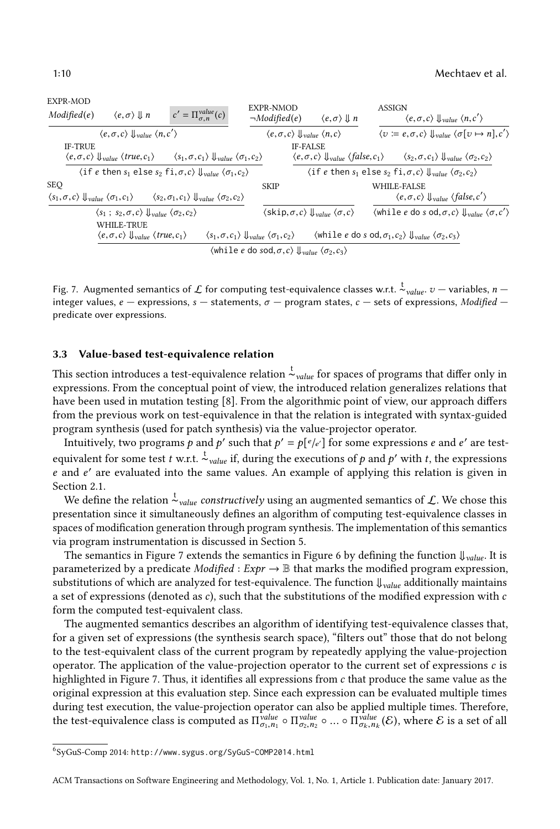<span id="page-9-1"></span>

Fig. 7. Augmented semantics of  $\mathcal L$  for computing test-equivalence classes w.r.t.  $\frac{t}{v}$ <sub>value</sub>.  $v$  — variables,  $n$  — integer values,  $e$  — expressions, s — statements,  $\sigma$  — program states,  $c$  — sets of express integer values,  $e$  — expressions,  $s$  — statements,  $\sigma$  — program states,  $c$  — sets of expressions, *Modified* predicate over expressions.

### <span id="page-9-0"></span>3.3 Value-based test-equivalence relation

This section introduces a test-equivalence relation  $\stackrel{\text{t}}{\sim}_{value}$  for spaces of programs that differ only in expressions. From the conceptual point of view, the introduced relation generalizes relations that have been used in mutation testing [\[8\]](#page-27-9). From the algorithmic point of view, our approach differs from the previous work on test-equivalence in that the relation is integrated with syntax-guided program synthesis (used for patch synthesis) via the value-projector operator.

Intuitively, two programs p and p' such that  $p' = p[e/e']$  for some expressions e and e' are test-<br>wiselest for some test to get the site during the successions of a set of which the summarizes equivalent for some test t w.r.t.  $\frac{1}{x}$  value if, during the executions of p and p' with t, the expressions e and e' are evaluated into the same values. An example of applying this relation is given in<br>Section 2.1 Section [2.1.](#page-2-0)

 $\overline{\mathsf{w}}$ e define the relation  $\overline{\mathsf{w}}_{value}$  *constructively* using an augmented semantics of  $\mathcal{L}.$  We chose this presentation since it simultaneously defines an algorithm of computing test-equivalence classes in spaces of modification generation through program synthesis. The implementation of this semantics via program instrumentation is discussed in Section [5.](#page-17-0)

The semantics in Figure [7](#page-9-1) extends the semantics in Figure [6](#page-8-0) by defining the function  $\downarrow_{value}$ . It is parameterized by a predicate *Modified* : Expr  $\rightarrow \mathbb{B}$  that marks the modified program expression, substitutions of which are analyzed for test-equivalence. The function  $\downarrow_{value}$  additionally maintains a set of expressions (denoted as  $c$ ), such that the substitutions of the modified expression with  $c$ form the computed test-equivalent class.

The augmented semantics describes an algorithm of identifying test-equivalence classes that, for a given set of expressions (the synthesis search space), "filters out" those that do not belong to the test-equivalent class of the current program by repeatedly applying the value-projection operator. The application of the value-projection operator to the current set of expressions  $c$  is highlighted in Figure [7.](#page-9-1) Thus, it identifies all expressions from  $c$  that produce the same value as the original expression at this evaluation step. Since each expression can be evaluated multiple times during test execution, the value-projection operator can also be applied multiple times. Therefore, the test-equivalence class is computed as  $\Pi_{\sigma_1,n_1}^{value} \circ \Pi_{\sigma_2,n_2}^{value} \circ ... \circ \Pi_{\sigma_k,n_k}^{value}(\mathcal{E})$ , where  $\mathcal E$  is a set of all

<sup>6</sup>SyGuS-Comp 2014: http://www.sygus.org/SyGuS-COMP2014.html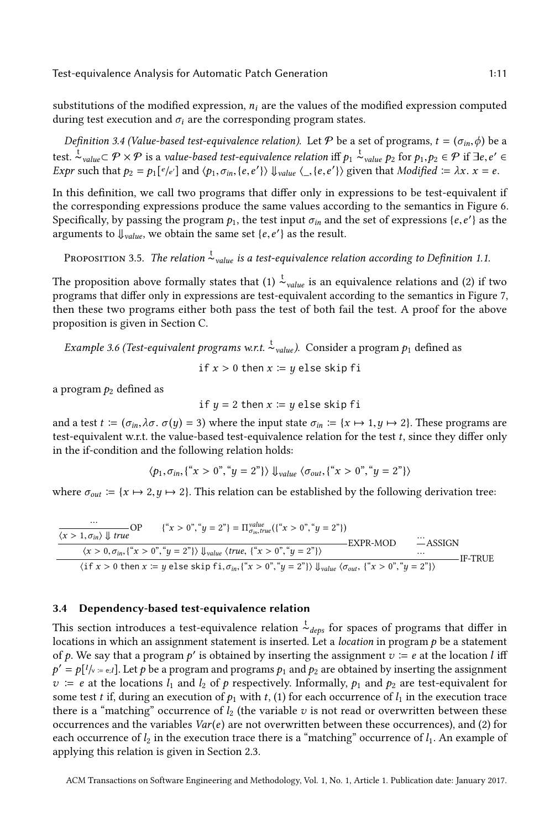substitutions of the modified expression,  $n_i$  are the values of the modified expression computed during test execution and  $\sigma_i$  are the corresponding program states.

<span id="page-10-1"></span>Definition 3.4 (Value-based test-equivalence relation). Let P be a set of programs,  $t = (\sigma_{in}, \phi)$  be a test.  $\frac{1}{r}$ <sub>value</sub>⊂  $\mathcal{P} \times \mathcal{P}$  is a value-based test-equivalence relation iff  $p_1 \overset{t}{\sim}$ <sub>value</sub>  $p_2$  for  $p_1, p_2 \in \mathcal{P}$  if  $\exists e, e' \in \mathcal{P}$  for  $p_1, p_2 \in \mathcal{P}$  if  $\exists e, e' \in \mathcal{P}$ Expr such that  $p_2 = p_1[e/e']$  and  $\langle p_1, \sigma_{in}, \{e, e'\}\rangle$   $\downarrow_{value} \langle \_, \{e, e'\}\rangle$  given that Modified  $:= \lambda x.$   $x = e$ .

In this definition, we call two programs that differ only in expressions to be test-equivalent if the corresponding expressions produce the same values according to the semantics in Figure [6.](#page-8-0) Specifically, by passing the program  $p_1$ , the test input  $\sigma_{in}$  and the set of expressions {e,e'} as the arguments to  $\parallel$  i.e. we obtain the same set  $\{e, e'\}$  as the result arguments to  $\downarrow$ <sub>value</sub>, we obtain the same set  $\{e, e'\}$  as the result.

Proposition 3.5. The relation  $t_{value}$  is a test-equivalence relation according to Definition [1.1.](#page-1-0)

The proposition above formally states that (1)  $\stackrel{\text{t}}{\thicksim}_{value}$  is an equivalence relations and (2) if two programs that differ only in expressions are test-equivalent according to the semantics in Figure [7,](#page-9-1) then these two programs either both pass the test of both fail the test. A proof for the above proposition is given in Section [C.](#page-31-0)

*Example 3.6 (Test-equivalent programs w.r.t.*  $\frac{t}{\sim}$ <sub>value</sub>). Consider a program  $p_1$  defined as if  $x > 0$  then  $x = y$  else skip fi

a program  $p_2$  defined as

if  $y = 2$  then  $x := y$  else skip fi

and a test  $t := (\sigma_{in}, \lambda \sigma, \sigma(y) = 3)$  where the input state  $\sigma_{in} := \{x \mapsto 1, y \mapsto 2\}$ . These programs are test-equivalent w.r.t. the value-based test-equivalence relation for the test t, since they differ only in the if-condition and the following relation holds:

$$
\langle p_1, \sigma_{in}, \{``x > 0", "y = 2"\}\rangle \Downarrow_{value} \langle \sigma_{out}, \{``x > 0", "y = 2"\}\rangle
$$

where  $\sigma_{out} := \{x \mapsto 2, y \mapsto 2\}$ . This relation can be established by the following derivation tree:

$$
\frac{\cdots}{\langle x>1,\sigma_{in}\rangle \downarrow true} \text{OP} \qquad \{``x>0", "y=2"\} = \Pi_{\sigma_{in},true}^{value} (\{``x>0", "y=2"\})
$$
\n
$$
\frac{\langle x>1,\sigma_{in}\rangle \downarrow true}{\langle x>0,\sigma_{in},\{``x>0", "y=2"\}\rangle \downarrow \text{value}} \langle true, \{``x>0", "y=2"\}\rangle} = \text{EXPR-MOD} \qquad \cdots
$$
\n
$$
\frac{\cdots}{\cdots} \text{ASSIGN}
$$
\n
$$
\langle \text{if } x>0 \text{ then } x := y \text{ else skip fi, } \sigma_{in},\{``x>0", "y=2"\}\rangle \downarrow \text{value} \langle \sigma_{out},\{``x>0", "y=2"\}\rangle} \qquad \text{IF-TRUE}
$$

#### <span id="page-10-0"></span>3.4 Dependency-based test-equivalence relation

This section introduces a test-equivalence relation  $\stackrel{\text{t}}{\thicksim}_{deps}$  for spaces of programs that differ in locations in which an assignment statement is inserted. Let a *location* in program  $p$  be a statement of p. We say that a program p' is obtained by inserting the assignment  $v := e$  at the location l iff  $v := e$  at the locations  $l_1$  and  $l_2$  of p respectively. Informally,  $p_1$  and  $p_2$  are test-equivalent for some test t if during an evecution of p, with t (1) for each occurrence of L in the evecution trace  $\mathcal{L} = p[l/\psi = e_i]$ . Let p be a program and programs  $p_1$  and  $p_2$  are obtained by inserting the assignment  $p_2 \neq e_i$  at the locations  $l_i$  and  $l_i$  of a respectively. Informally,  $p_i$  and  $p_i$  are test-equivalent for some test t if, during an execution of  $p_1$  with t, (1) for each occurrence of  $l_1$  in the execution trace there is a "matching" occurrence of  $l_2$  (the variable v is not read or overwritten between these occurrences and the variables  $Var(e)$  are not overwritten between these occurrences), and (2) for each occurrence of  $l_2$  in the execution trace there is a "matching" occurrence of  $l_1$ . An example of applying this relation is given in Section [2.3.](#page-6-1)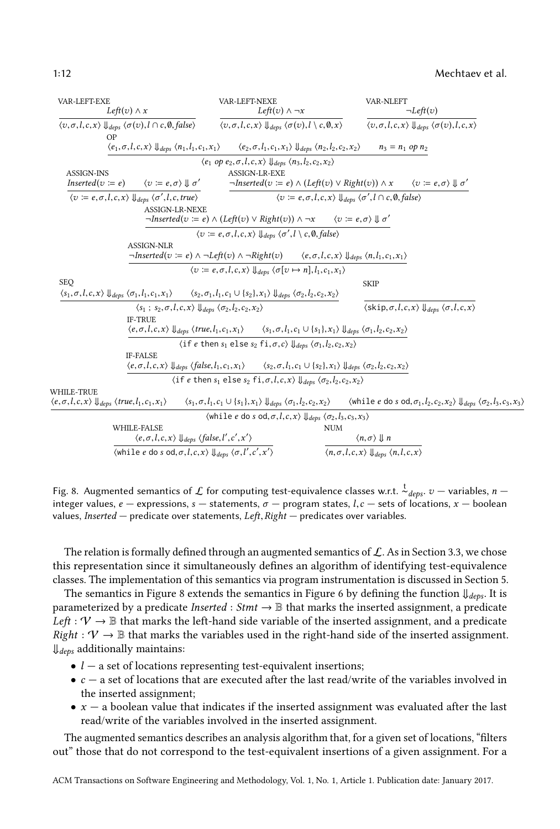<span id="page-11-0"></span>

| VAR-LEFT-EXE<br>Left(v) $\wedge x$<br>$\langle v, \sigma, l, c, x \rangle \Downarrow_{deps} \langle \sigma(v), l \cap c, \emptyset, false \rangle$<br>ΟP |                                                                                                                                                                                                                             | VAR-LEFT-NEXE<br>Left(v) $\wedge \neg x$                                                                                                                                                                                |                                                                                                                | VAR-NLEFT                                                                                 | $\neg Left(v)$                                                                                                         |  |
|----------------------------------------------------------------------------------------------------------------------------------------------------------|-----------------------------------------------------------------------------------------------------------------------------------------------------------------------------------------------------------------------------|-------------------------------------------------------------------------------------------------------------------------------------------------------------------------------------------------------------------------|----------------------------------------------------------------------------------------------------------------|-------------------------------------------------------------------------------------------|------------------------------------------------------------------------------------------------------------------------|--|
|                                                                                                                                                          |                                                                                                                                                                                                                             | $\langle v, \sigma, l, c, x \rangle \Downarrow_{deps} \langle \sigma(v), l \setminus c, \emptyset, x \rangle$                                                                                                           |                                                                                                                | $\langle v, \sigma, l, c, x \rangle \Downarrow_{deps} \langle \sigma(v), l, c, x \rangle$ |                                                                                                                        |  |
|                                                                                                                                                          | $\langle e_1, \sigma, l, c, x \rangle \Downarrow_{deps} \langle n_1, l_1, c_1, x_1 \rangle$                                                                                                                                 | $\langle e_2, \sigma, l_1, c_1, x_1 \rangle \Downarrow_{deps} \langle n_2, l_2, c_2, x_2 \rangle$                                                                                                                       |                                                                                                                | $n_3 = n_1$ op $n_2$                                                                      |                                                                                                                        |  |
|                                                                                                                                                          |                                                                                                                                                                                                                             | $\langle e_1 \text{ op } e_2, \sigma, l, c, x \rangle \Downarrow_{deps} \langle n_3, l_2, c_2, x_2 \rangle$                                                                                                             |                                                                                                                |                                                                                           |                                                                                                                        |  |
| <b>ASSIGN-INS</b>                                                                                                                                        |                                                                                                                                                                                                                             | <b>ASSIGN-LR-EXE</b>                                                                                                                                                                                                    |                                                                                                                |                                                                                           |                                                                                                                        |  |
| $Inserted(v := e)$                                                                                                                                       | $\langle v \coloneqq e, \sigma \rangle \Downarrow \sigma'$                                                                                                                                                                  | $\neg Inverted(v := e) \land (Left(v) \lor Right(v)) \land x \qquad \langle v := e, \sigma \rangle \Downarrow \sigma'$                                                                                                  |                                                                                                                |                                                                                           |                                                                                                                        |  |
|                                                                                                                                                          | $\langle v := e, \sigma, l, c, x \rangle \Downarrow_{deps} \langle \sigma', l, c, true \rangle$                                                                                                                             |                                                                                                                                                                                                                         | $\langle v := e, \sigma, l, c, x \rangle \Downarrow_{des} \langle \sigma', l \cap c, \emptyset, false \rangle$ |                                                                                           |                                                                                                                        |  |
|                                                                                                                                                          | <b>ASSIGN-LR-NEXE</b>                                                                                                                                                                                                       |                                                                                                                                                                                                                         |                                                                                                                |                                                                                           |                                                                                                                        |  |
|                                                                                                                                                          |                                                                                                                                                                                                                             | $\neg Inserted(v := e) \land (Left(v) \lor Right(v)) \land \neg x$                                                                                                                                                      | $\langle v \coloneqq e, \sigma \rangle \parallel \sigma'$                                                      |                                                                                           |                                                                                                                        |  |
|                                                                                                                                                          |                                                                                                                                                                                                                             | $\langle v := e, \sigma, l, c, x \rangle \Downarrow_{dens} \langle \sigma', l \setminus c, \emptyset, false \rangle$                                                                                                    |                                                                                                                |                                                                                           |                                                                                                                        |  |
|                                                                                                                                                          | <b>ASSIGN-NLR</b>                                                                                                                                                                                                           |                                                                                                                                                                                                                         |                                                                                                                |                                                                                           |                                                                                                                        |  |
|                                                                                                                                                          |                                                                                                                                                                                                                             | $\neg Inserted(v := e) \land \neg Left(v) \land \neg Right(v)$ $\langle e, \sigma, l, c, x \rangle \Downarrow_{deps} \langle n, l_1, c_1, x_1 \rangle$                                                                  |                                                                                                                |                                                                                           |                                                                                                                        |  |
|                                                                                                                                                          |                                                                                                                                                                                                                             | $\langle v \coloneqq e, \sigma, l, c, x \rangle \Downarrow_{dens} \langle \sigma[v \mapsto n], l_1, c_1, x_1 \rangle$                                                                                                   |                                                                                                                |                                                                                           |                                                                                                                        |  |
| <b>SEQ</b>                                                                                                                                               |                                                                                                                                                                                                                             |                                                                                                                                                                                                                         |                                                                                                                | <b>SKIP</b>                                                                               |                                                                                                                        |  |
|                                                                                                                                                          | $\langle s_1, \sigma, l, c, x \rangle \Downarrow_{deps} \langle \sigma_1, l_1, c_1, x_1 \rangle \qquad \langle s_2, \sigma_1, l_1, c_1 \cup \{s_2\}, x_1 \rangle \Downarrow_{deps} \langle \sigma_2, l_2, c_2, x_2 \rangle$ |                                                                                                                                                                                                                         |                                                                                                                |                                                                                           |                                                                                                                        |  |
|                                                                                                                                                          | $\langle s_1 ; s_2, \sigma, l, c, x \rangle \Downarrow_{debs} \langle \sigma_2, l_2, c_2, x_2 \rangle$                                                                                                                      |                                                                                                                                                                                                                         |                                                                                                                |                                                                                           | $\langle$ skip, $\sigma, l, c, x \rangle$ $\Downarrow$ <sub>dens</sub> $\langle \sigma, l, c, x \rangle$               |  |
|                                                                                                                                                          | <b>IF-TRUE</b>                                                                                                                                                                                                              |                                                                                                                                                                                                                         |                                                                                                                |                                                                                           |                                                                                                                        |  |
|                                                                                                                                                          |                                                                                                                                                                                                                             | $\langle e, \sigma, l, c, x \rangle \Downarrow_{debs} \langle true, l_1, c_1, x_1 \rangle$ $\langle s_1, \sigma, l_1, c_1 \cup \{s_1\}, x_1 \rangle \Downarrow_{debs} \langle \sigma_1, l_2, c_2, x_2 \rangle$          |                                                                                                                |                                                                                           |                                                                                                                        |  |
|                                                                                                                                                          |                                                                                                                                                                                                                             | $\langle$ if e then $s_1$ else $s_2$ fi, $\sigma$ , $c \rangle \Downarrow_{deps} \langle \sigma_1, l_2, c_2, x_2 \rangle$                                                                                               |                                                                                                                |                                                                                           |                                                                                                                        |  |
|                                                                                                                                                          | <b>IF-FALSE</b>                                                                                                                                                                                                             |                                                                                                                                                                                                                         |                                                                                                                |                                                                                           |                                                                                                                        |  |
|                                                                                                                                                          |                                                                                                                                                                                                                             | $\langle e, \sigma, l, c, x \rangle$ $\Downarrow_{deps}$ $\langle false, l_1, c_1, x_1 \rangle$ $\langle s_2, \sigma, l_1, c_1 \cup \{s_2\}, x_1 \rangle$ $\Downarrow_{deps}$ $\langle \sigma_2, l_2, c_2, x_2 \rangle$ |                                                                                                                |                                                                                           |                                                                                                                        |  |
|                                                                                                                                                          |                                                                                                                                                                                                                             | $\langle$ if e then $s_1$ else $s_2$ fi, $\sigma$ , $l$ , $c$ , $x$ ) $\downarrow$ $\downarrow$ $\downarrow$ $\downarrow$ $\sigma$ <sub>2</sub> , $l$ <sub>2</sub> , $c$ <sub>2</sub> , $x$ <sub>2</sub> )              |                                                                                                                |                                                                                           |                                                                                                                        |  |
| WHILE-TRUE                                                                                                                                               |                                                                                                                                                                                                                             |                                                                                                                                                                                                                         |                                                                                                                |                                                                                           |                                                                                                                        |  |
| $\langle e, \sigma, l, c, x \rangle \Downarrow_{deps} \langle true, l_1, c_1, x_1 \rangle$                                                               |                                                                                                                                                                                                                             | $\langle s_1,\sigma,l_1,c_1\cup\{s_1\},x_1\rangle$ $\Downarrow_{\textit{deps}}$ $\langle\sigma_1,l_2,c_2,x_2\rangle$                                                                                                    |                                                                                                                |                                                                                           | $\langle$ while e do s od, $\sigma_1, l_2, c_2, x_2 \rangle \Downarrow_{deps} \langle \sigma_2, l_3, c_3, x_3 \rangle$ |  |
|                                                                                                                                                          |                                                                                                                                                                                                                             | $\langle \text{while } e \text{ do } s \text{ od}, \sigma, l, c, x \rangle \Downarrow_{deps} \langle \sigma_2, l_3, c_3, x_3 \rangle$                                                                                   |                                                                                                                |                                                                                           |                                                                                                                        |  |
|                                                                                                                                                          | WHILE-FALSE                                                                                                                                                                                                                 |                                                                                                                                                                                                                         | <b>NUM</b>                                                                                                     |                                                                                           |                                                                                                                        |  |
|                                                                                                                                                          | $\langle e, \sigma, l, c, x \rangle \Downarrow_{deps} \langle false, l', c', x' \rangle$                                                                                                                                    |                                                                                                                                                                                                                         |                                                                                                                | $\langle n, \sigma \rangle \Downarrow n$                                                  |                                                                                                                        |  |
|                                                                                                                                                          | $\langle$ while e do s od, $\sigma$ , $l$ , $c$ , $x \rangle$ $\Downarrow$ $_{deps}$ $\langle \sigma$ , $l'$ , $c'$ , $x' \rangle$                                                                                          |                                                                                                                                                                                                                         |                                                                                                                | $\langle n, \sigma, l, c, x \rangle \Downarrow_{deps} \langle n, l, c, x \rangle$         |                                                                                                                        |  |

Fig. 8. Augmented semantics of  $\mathcal L$  for computing test-equivalence classes w.r.t.  $\frac{t}{c}$  *deps.*  $v$  — variables,  $n$  — integer values,  $\frac{d}{c}$  — expressions, s — statements,  $\pi$  — program states,  $l$   $c$  — sets integer values,  $e$  – expressions,  $s$  – statements,  $\sigma$  – program states,  $l, c$  – sets of locations,  $x$  – boolean values, Inserted — predicate over statements, Left, Right — predicates over variables.

The relation is formally defined through an augmented semantics of  $\mathcal{L}$ . As in Section [3.3,](#page-9-0) we chose this representation since it simultaneously defines an algorithm of identifying test-equivalence classes. The implementation of this semantics via program instrumentation is discussed in Section [5.](#page-17-0)

The semantics in Figure [8](#page-11-0) extends the semantics in Figure [6](#page-8-0) by defining the function  $\psi_{\text{deps}}$ . It is parameterized by a predicate *Inserted* : *Stmt*  $\rightarrow$  B that marks the inserted assignment, a predicate Left :  $V \rightarrow \mathbb{B}$  that marks the left-hand side variable of the inserted assignment, and a predicate  $Right: \mathcal{V} \to \mathbb{B}$  that marks the variables used in the right-hand side of the inserted assignment.  $\downarrow$ <sub>deps</sub> additionally maintains:

- $\bullet$   $l$  a set of locations representing test-equivalent insertions;
- $\bullet$  c a set of locations that are executed after the last read/write of the variables involved in the inserted assignment;
- $\bullet$   $x a$  boolean value that indicates if the inserted assignment was evaluated after the last read/write of the variables involved in the inserted assignment.

The augmented semantics describes an analysis algorithm that, for a given set of locations, "filters out" those that do not correspond to the test-equivalent insertions of a given assignment. For a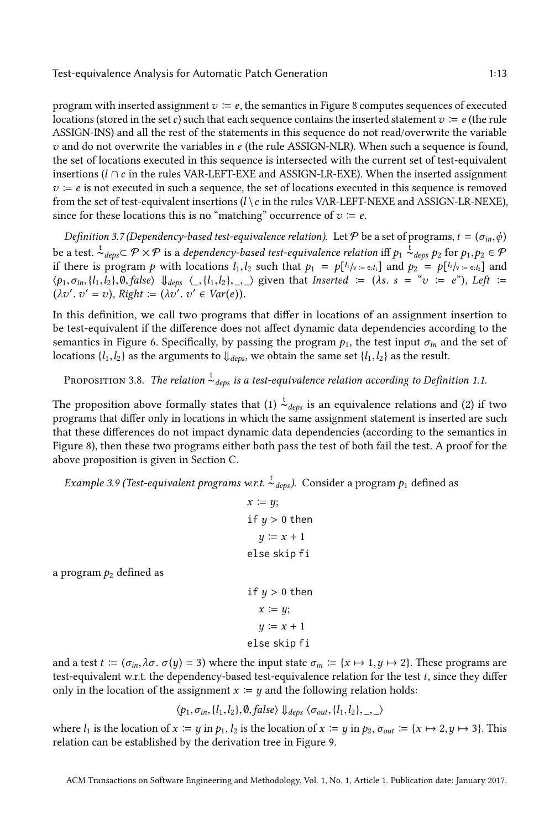program with inserted assignment  $v := e$ , the semantics in Figure [8](#page-11-0) computes sequences of executed locations (stored in the set c) such that each sequence contains the inserted statement  $v := e$  (the rule ASSIGN-INS) and all the rest of the statements in this sequence do not read/overwrite the variable  $v$  and do not overwrite the variables in  $e$  (the rule ASSIGN-NLR). When such a sequence is found, the set of locations executed in this sequence is intersected with the current set of test-equivalent insertions ( $l \cap c$  in the rules VAR-LEFT-EXE and ASSIGN-LR-EXE). When the inserted assignment  $v = e$  is not executed in such a sequence, the set of locations executed in this sequence is removed from the set of test-equivalent insertions  $(l \setminus c$  in the rules VAR-LEFT-NEXE and ASSIGN-LR-NEXE), since for these locations this is no "matching" occurrence of  $v \coloneqq e$ .

<span id="page-12-1"></span>Definition 3.7 (Dependency-based test-equivalence relation). Let  $P$  be a set of programs,  $t = (\sigma_{in}, \phi)$ be a test.  $\frac{t}{\alpha}$ <sub>deps</sub> $\subset \mathcal{P} \times \mathcal{P}$  is a dependency-based test-equivalence relation iff  $p_1 \stackrel{t}{\sim}$ <sub>deps</sub>  $p_2$  for  $p_1, p_2 \in \mathcal{P}$ <br>if there is program a with locations *L*, *b* such that  $p_1 = p[k_{\text{max}}]$  an if there is program p with locations  $l_1, l_2$  such that  $p_1 = p[l_1/v_1 = e_i, l_1]$  and  $p_2 = p[l_2/v_1 = e_i, l_2]$  and  $l_2, l_3, l_4, l_5, l_6, l_7, l_8, l_9, l_1, l_1, l_2, l_3, l_4, l_1, l_2, l_3, l_4, l_1, l_2, l_3, l_4, l_1, l_2, l_3, l_4, l_1, l_2, l_3$  $\langle p_1, \sigma_{in}, \{l_1, l_2\}, \emptyset, false \rangle$   $\downarrow d_{deps} \langle \_, \{l_1, l_2\}, \_, \_ \rangle$  given that Inserted  $\coloneqq (\lambda s. s = "v \coloneqq e"),$  Left  $\coloneqq$  $(\lambda v'. v' = v),$  Right :=  $(\lambda v'. v' \in Var(e)).$ 

In this definition, we call two programs that differ in locations of an assignment insertion to be test-equivalent if the difference does not affect dynamic data dependencies according to the semantics in Figure [6.](#page-8-0) Specifically, by passing the program  $p_1$ , the test input  $\sigma_{in}$  and the set of locations { $l_1, l_2$ } as the arguments to  $\downarrow$ <sub>deps</sub>, we obtain the same set { $l_1, l_2$ } as the result.

Proposition 3.8. The relation  $\stackrel{\text{t}}{\thicksim}_{deps}$  is a test-equivalence relation according to Definition [1.1.](#page-1-0)

The proposition above formally states that (1)  $\stackrel{t}{\thicksim}_{deps}$  is an equivalence relations and (2) if two programs that differ only in locations in which the same assignment statement is inserted are such that these differences do not impact dynamic data dependencies (according to the semantics in Figure [8\)](#page-11-0), then these two programs either both pass the test of both fail the test. A proof for the above proposition is given in Section [C.](#page-31-0)

<span id="page-12-0"></span>*Example 3.9 (Test-equivalent programs w.r.t.*  $\stackrel{t}{\sim}_{deps}$ ). Consider a program  $p_1$  defined as

$$
x := y;
$$
  
if  $y > 0$  then  

$$
y := x + 1
$$
  
else skip fi

a program  $p_2$  defined as

if 
$$
y > 0
$$
 then  
\n $x := y;$   
\n $y := x + 1$   
\nelse skip fi

and a test  $t := (\sigma_{in}, \lambda \sigma, \sigma(y) = 3)$  where the input state  $\sigma_{in} := \{x \mapsto 1, y \mapsto 2\}$ . These programs are test-equivalent w.r.t. the dependency-based test-equivalence relation for the test t, since they differ only in the location of the assignment  $x = y$  and the following relation holds:

$$
\langle p_1, \sigma_{in}, \{l_1, l_2\}, \emptyset, false \rangle \Downarrow_{\text{deps}} \langle \sigma_{out}, \{l_1, l_2\}, \_, \_ \rangle
$$

where  $l_1$  is the location of  $x := y$  in  $p_1, l_2$  is the location of  $x := y$  in  $p_2, \sigma_{out} := \{x \mapsto 2, y \mapsto 3\}$ . This relation can be established by the derivation tree in Figure 9. relation can be established by the derivation tree in Figure [9.](#page-13-0)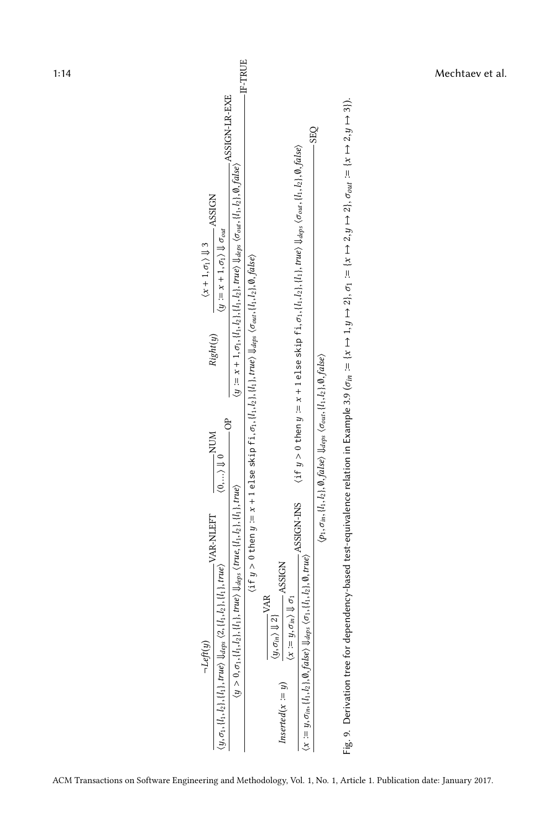<span id="page-13-0"></span>

| 1:14 | -IF-TRUE                                                                                                                                                                                                                                                                                                                                                                                                                                                                                                                                                                                                                                                                                                                                                                                                                                                                                                                                                                                                                                                                                                                                                                                                                                                                                                                                                                                                                                                                                                                                                                                                                                                                                                                                                                                                                                                                            | Mechtaev et al. |
|------|-------------------------------------------------------------------------------------------------------------------------------------------------------------------------------------------------------------------------------------------------------------------------------------------------------------------------------------------------------------------------------------------------------------------------------------------------------------------------------------------------------------------------------------------------------------------------------------------------------------------------------------------------------------------------------------------------------------------------------------------------------------------------------------------------------------------------------------------------------------------------------------------------------------------------------------------------------------------------------------------------------------------------------------------------------------------------------------------------------------------------------------------------------------------------------------------------------------------------------------------------------------------------------------------------------------------------------------------------------------------------------------------------------------------------------------------------------------------------------------------------------------------------------------------------------------------------------------------------------------------------------------------------------------------------------------------------------------------------------------------------------------------------------------------------------------------------------------------------------------------------------------|-----------------|
|      | $(y := x + 1, \sigma_1, \{l_1, l_2\}, \{l_1, l_2\}, true)$ $\downarrow_{deps}$ $\langle \sigma_{out}, \{l_1, l_2\}, \emptyset, false \rangle$ ASSIGN-LR-EXE<br>Fig. 9. Derivation tree for dependency-based test-equivalence relation in Example 3.9 ( $\sigma_{in} := \{x \mapsto 2\}, \sigma_1 := \{x \mapsto 2\}, \sigma_{out} := \{x \mapsto 2, y \mapsto 3\}.$<br><b>SEQ</b><br>$\langle$ if $y>0$ then $y:=x+1$ else skip fi, $\sigma_1,$ $\{l_1,l_2\},$ $\{l_1\},$ $true\rangle$ $\bigvee_{\text{deg}y}\langle \sigma_{out},\{l_1,l_2\},\emptyset,$ $\text{false}\rangle$<br><b>ASSIGN</b><br>$\langle y:=x+1,\sigma_1\rangle \Downarrow \sigma_{out}$<br>$\langle x+1,\sigma_1\rangle \Downarrow 3$<br>$($ if $y>0$ then $y\coloneqq x+1$ else skip fi, $\sigma_1, [l_1,l_2], [l_1], true \rangle$ $\Downarrow_{deps}$ $\langle \sigma_{out}, [l_1,l_2], \emptyset, false \rangle$<br>Right(y)<br>$\langle p_1, \sigma_{in}, \{l_1, l_2\}, \emptyset, \mathit{false} \rangle$ $\Downarrow_{\mathit{deps}}$ $\langle \sigma_{out}, \{l_1, l_2\}, \emptyset, \mathit{false} \rangle$<br>ð<br>$\underbrace{\langle 0, \ldots \rangle \Downarrow 0}_{\text{Q}} \text{MOM}$<br>$(y > 0, \sigma_1, \{l_1, l_2\}, \{l_1\}, true)$ $\bigcup_{deg s} \langle true, \{l_1, l_2\}, \{l_1\}, true \rangle$<br>$(x := y, \sigma_{in}, \{l_1, l_2\}, \emptyset, false)$ $\downarrow \downarrow_{deps}$ $\langle \sigma_1, \{l_1, l_2\}, \emptyset, true \rangle$ ASSIGN-INS<br>$\langle y, \sigma_1, \{l_1, l_2\}, \{l_1\}, \mathit{true} \rangle \Downarrow_{\mathit{deps}} \langle 2, \{l_1, l_2\}, \{l_1\}, \mathit{true} \rangle \quad \text{VAR-NLEFT}$<br>$\overline{y} = y, \sigma_{in} \rangle \Downarrow \sigma_1$<br>MOISSES $\overline{y}$<br>$\underbrace{\langle y, \sigma_{in} \rangle \Downarrow 2 \}}_{\text{}} \text{VAR}$<br>$\neg Left(y)$<br>$\emph{Instead}(x := y)$ |                 |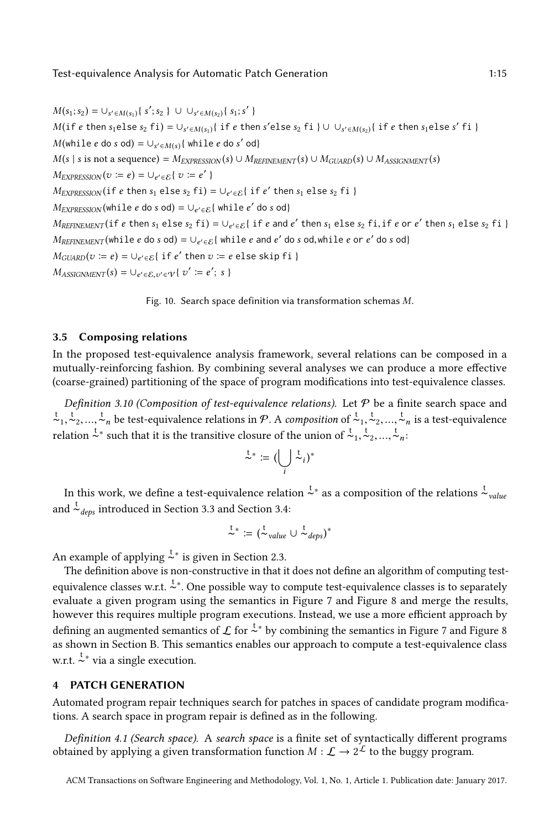<span id="page-14-1"></span> $M(s_1; s_2) = \bigcup_{s' \in M(s_1)} \{ s'; s_2 \} \cup \bigcup_{s' \in M(s_2)} \{ s_1; s' \}$  $M(i \in \text{then } s_1 \in \text{else } s_2 \text{ fi}) = \bigcup_{s' \in M(s_1)} \{ \text{ if } e \text{ then } s' \in \text{else } s_2 \text{ fi } \} \cup \bigcup_{s' \in M(s_2)} \{ \text{ if } e \text{ then } s_1 \in \text{else } s' \text{ fi } \}$  $M(\text{while } e \text{ do } s \text{ od}) = \bigcup_{s' \in M(s)} {\text{while } e \text{ do } s' \text{ od}}$  $M(s \mid s \text{ is not a sequence}) = M_{EXPRESSION}(s) \cup M_{REFINEMENT}(s) \cup M_{GUARD}(s) \cup M_{ASSIGIMENT}(s)$  $M_{EXPRESSON}(v := e) = \bigcup_{e' \in \mathcal{E}} \{ v := e' \}$  $M_{EXPRESSION}$  (if e then  $s_1$  else  $s_2$  fi) = ∪<sub>e'∈E</sub> { if e' then  $s_1$  else  $s_2$  fi }  $M_{EXPRESSON}$ (while e do s od) =  $\cup_{e' \in \mathcal{E}}$ { while e' do s od}  $M_{REFINEMENT}$  (if e then s<sub>1</sub> else s<sub>2</sub> fi) =  $\cup_{e' \in \mathcal{E}}$  { if e and e' then s<sub>1</sub> else s<sub>2</sub> fi, if e or e' then s<sub>1</sub> else s<sub>2</sub> fi }  $M_{REFINEMENT}$ (while e do s od) =  $\cup_{e' \in \mathcal{E}}$ { while e and e' do s od,while e or e' do s od}  $M_{GUARD}(v := e) = \bigcup_{e' \in \mathcal{E}} \{ \text{ if } e' \text{ then } v := e \text{ else skip } fi \}$  $M_{ASSIGNMENT}(s) = \bigcup_{e' \in \mathcal{E}, v' \in \mathcal{V}} \{ v' \coloneqq e'; s \}$ 

Fig. 10. Search space definition via transformation schemas M.

## <span id="page-14-3"></span>3.5 Composing relations

In the proposed test-equivalence analysis framework, several relations can be composed in a mutually-reinforcing fashion. By combining several analyses we can produce a more effective (coarse-grained) partitioning of the space of program modifications into test-equivalence classes.

Definition 3.10 (Composition of test-equivalence relations). Let  $P$  be a finite search space and  $\tau_1, \tau_2, ..., \tau_n$  be test-equivalence relations in P. A composition of  $\tau_1, \tau_2, ..., \tau_n$  is a test-equivalence relation  $\frac{t}{\lambda}$  such that it is the transitive closure of the union of  $\frac{t}{\lambda}$ ,  $\frac{t}{\lambda}$ ,  $\ldots$ ,  $\frac{t}{\lambda}$ ,

$$
\overset{\mathsf{t}}{\sim} \coloneqq \bigl(\bigcup_i \overset{\mathsf{t}}{\sim}_i\bigr)^*
$$

In this work, we define a test-equivalence relation  $\overset{t}{\thicksim}{}^*$  as a composition of the relations  $\overset{t}{\thicksim}_{value}$ and  $\frac{t}{\sim}$ <sub>deps</sub> introduced in Section [3.3](#page-9-0) and Section [3.4:](#page-10-0)

$$
\overset{t}{\sim}{}^* := (\overset{t}{\sim}_{value} \cup \overset{t}{\sim}_{deps})^*
$$

An example of applying  $\stackrel{t}{\sim}^*$  is given in Section [2.3.](#page-6-1)

The definition above is non-constructive in that it does not define an algorithm of computing testequivalence classes w.r.t.  $\stackrel{t}{\sim}$ . One possible way to compute test-equivalence classes is to separately evaluate a given program using the semantics in Figure [7](#page-9-1) and Figure [8](#page-11-0) and merge the results, however this requires multiple program executions. Instead, we use a more efficient approach by defining an augmented semantics of  $\mathcal L$  for  $\stackrel{t}{\sim}$  by combining the semantics in Figure [7](#page-9-1) and Figure [8](#page-11-0) as shown in Section [B.](#page-29-0) This semantics enables our approach to compute a test-equivalence class w.r.t.  $\stackrel{t}{\sim}^*$  via a single execution.

# <span id="page-14-0"></span>4 PATCH GENERATION

Automated program repair techniques search for patches in spaces of candidate program modifications. A search space in program repair is defined as in the following.

<span id="page-14-2"></span>Definition 4.1 (Search space). A search space is a finite set of syntactically different programs obtained by applying a given transformation function  $M : L \to 2^L$  to the buggy program.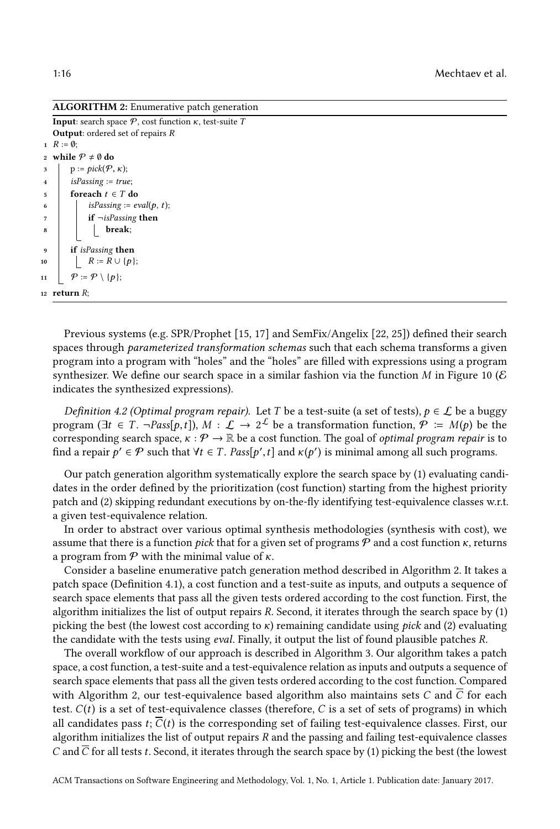ALGORITHM 2: Enumerative patch generation

```
Input: search space \mathcal{P}, cost function \kappa, test-suite T
   Output: ordered set of repairs R
 1 \ R := \emptyset;2 while P \neq \emptyset do
3 p := pick(P, \kappa);<br>4 isPassing := trueisPassing := true;5 foreach t \in T do
6 | isPassing := eval(p, t);
7 | if \neg isPassing then
8 | | break;
9 if isPassing then
10 | R := R \cup \{p\};11 \big| \varphi := \mathcal{P} \setminus \{p\};
```
<span id="page-15-0"></span>12 return  $R$ ;

Previous systems (e.g. SPR/Prophet [\[15,](#page-27-6) [17\]](#page-27-5) and SemFix/Angelix [\[22,](#page-27-1) [25\]](#page-27-8)) defined their search spaces through *parameterized transformation schemas* such that each schema transforms a given program into a program with "holes" and the "holes" are filled with expressions using a program synthesizer. We define our search space in a similar fashion via the function M in Figure [10](#page-14-1) ( $\epsilon$ ) indicates the synthesized expressions).

Definition 4.2 (Optimal program repair). Let T be a test-suite (a set of tests),  $p \in \mathcal{L}$  be a buggy program  $(\exists t \in T, \neg Pass[p, t])$ ,  $M : \mathcal{L} \to 2^{\mathcal{L}}$  be a transformation function,  $\mathcal{P} := M(p)$  be the corresponding search space,  $\kappa : \mathcal{P} \to \mathbb{R}$  be a cost function. The goal of optimal program repair is to corresponding search space,  $\kappa : \mathcal{P} \to \mathbb{R}$  be a cost function. The goal of *optimal program repair* is to find a repair  $p' \in \mathcal{P}$  such that  $\forall t \in T$ .  $Pass[p', t]$  and  $\kappa(p')$  is minimal among all such programs.

Our patch generation algorithm systematically explore the search space by (1) evaluating candidates in the order defined by the prioritization (cost function) starting from the highest priority patch and (2) skipping redundant executions by on-the-fly identifying test-equivalence classes w.r.t. a given test-equivalence relation.

In order to abstract over various optimal synthesis methodologies (synthesis with cost), we assume that there is a function *pick* that for a given set of programs  $P$  and a cost function  $\kappa$ , returns a program from  $P$  with the minimal value of κ.

Consider a baseline enumerative patch generation method described in Algorithm [2.](#page-15-0) It takes a patch space (Definition [4.1\)](#page-14-2), a cost function and a test-suite as inputs, and outputs a sequence of search space elements that pass all the given tests ordered according to the cost function. First, the algorithm initializes the list of output repairs R. Second, it iterates through the search space by (1) picking the best (the lowest cost according to  $\kappa$ ) remaining candidate using *pick* and (2) evaluating the candidate with the tests using *eval*. Finally, it output the list of found plausible patches R.

The overall workflow of our approach is described in Algorithm [3.](#page-16-0) Our algorithm takes a patch space, a cost function, a test-suite and a test-equivalence relation as inputs and outputs a sequence of search space elements that pass all the given tests ordered according to the cost function. Compared with Algorithm [2,](#page-15-0) our test-equivalence based algorithm also maintains sets C and  $\overline{C}$  for each test.  $C(t)$  is a set of test-equivalence classes (therefore, C is a set of sets of programs) in which all candidates pass  $t$ ;  $C(t)$  is the corresponding set of failing test-equivalence classes. First, our algorithm initializes the list of output repairs  $R$  and the passing and failing test-equivalence classes C and  $\overline{C}$  for all tests t. Second, it iterates through the search space by (1) picking the best (the lowest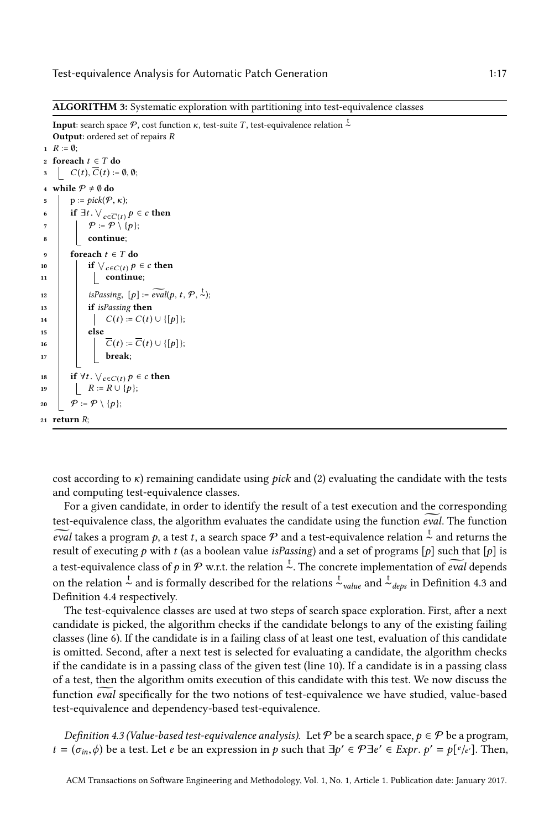ALGORITHM 3: Systematic exploration with partitioning into test-equivalence classes

```
Input: search space \mathcal{P}, cost function \kappa, test-suite T, test-equivalence relation \stackrel{t}{\thicksim}Output: ordered set of repairs R
 1 \ R := \emptyset;2 foreach t \in T do
       \bigcup C(t), C(t) := \emptyset, \emptyset;4 while P \neq \emptyset do
 5 p := pick(P, \kappa);<br>6 if \exists t \vee \exists6 if \exists t.\ \vee_{c \in \overline{C}(t)} p \in c then
 7 \mid \mid \mathcal{P} := \mathcal{P} \setminus \{p\};8 continue;
 9 foreach t \in T do
10 if \bigvee_{c \in C(t)} p \in c then
11 \Big| \Big| continue;
12 isPassing, [p] := \widetilde{eval}(p, t, \mathcal{P}, \overset{t}{\sim});13 if isPassing then
14 \begin{bmatrix} \cdot & \cdot \\ \cdot & \cdot \\ \cdot & \cdot \\ \cdot & \cdot \\ \cdot & \cdot \\ \cdot & \cdot \\ \cdot & \cdot \\ \cdot & \cdot \\ \cdot & \cdot \end{bmatrix} := C(t) \cup \{[p]\};else
16 \overline{C}(t) := \overline{C}(t) \cup \{[p]\};<br>17 break:
                            break;
18 if \forall t. \; \forall_{c \in C(t)} p \in c then
19 | R := R \cup \{p\};20 \vert \varphi := \mathcal{P} \setminus \{p\};21 return R;
```
<span id="page-16-0"></span>cost according to  $\kappa$ ) remaining candidate using *pick* and (2) evaluating the candidate with the tests and computing test-equivalence classes.

For a given candidate, in order to identify the result of a test execution and the corresponding test-equivalence class, the algorithm evaluates the candidate using the function *eval*. The function eval takes a program p, a test t, a search space P and a test-equivalence relation  $\frac{t}{\infty}$  and returns the result of executing p with t (as a boolean value is Passing) and a set of programs [p] such that [p] is result of executing p with t (as a boolean value is Passing) and a set of programs [p] such that [p] is a test-equivalence class of p in P w.r.t. the relation  $\frac{t}{\infty}$ . The concrete implementation of *eval* depends on the relation  $\stackrel{t}{\sim}$  and is formally described for the relations  $\stackrel{t}{\sim}$ <sub>value</sub> and  $\stackrel{t}{\sim}$ <sub>deps</sub> in Definition [4.3](#page-16-1) and Definition [4.4](#page-17-1) respectively.

The test-equivalence classes are used at two steps of search space exploration. First, after a next candidate is picked, the algorithm checks if the candidate belongs to any of the existing failing classes (line 6). If the candidate is in a failing class of at least one test, evaluation of this candidate is omitted. Second, after a next test is selected for evaluating a candidate, the algorithm checks if the candidate is in a passing class of the given test (line 10). If a candidate is in a passing class of a test, then the algorithm omits execution of this candidate with this test. We now discuss the function eval specifically for the two notions of test-equivalence we have studied, value-based test-equivalence and dependency-based test-equivalence.

<span id="page-16-1"></span>Definition 4.3 (Value-based test-equivalence analysis). Let  $P$  be a search space,  $p \in P$  be a program,  $t = (\sigma_{in}, \phi)$  be a test. Let *e* be an expression in *p* such that  $\exists p' \in \mathcal{P} \exists e' \in \mathit{Expr}, p' = p[e/e']$ . Then,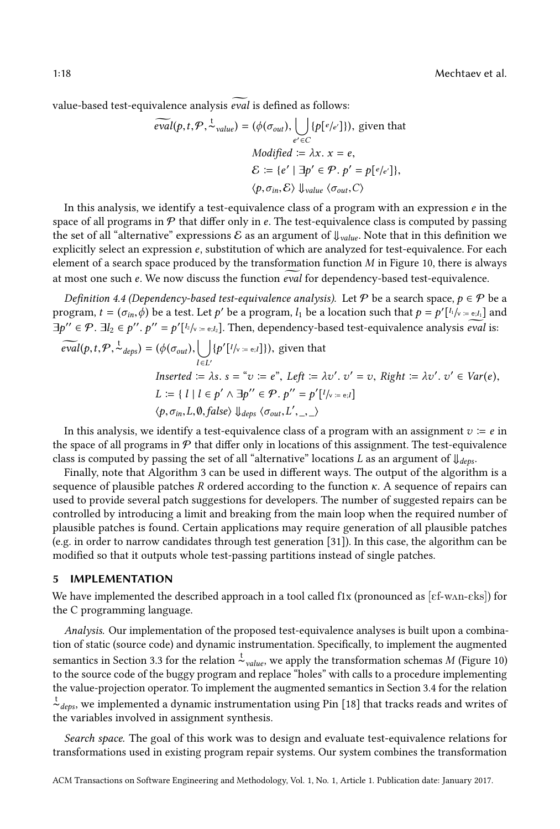1:18 Mechtaev et al.

value-based test-equivalence analysis eval is defined as follows:

$$
\widetilde{eval}(p, t, \mathcal{P}, \overset{t}{\sim}_{value}) = (\phi(\sigma_{out}), \bigcup_{e' \in C} \{p[e/e']\}), \text{ given that}
$$
\n
$$
\text{Modified} := \lambda x. \ x = e,
$$
\n
$$
\mathcal{E} := \{e' \mid \exists p' \in \mathcal{P}, p' = p[e/e']\},
$$
\n
$$
\langle p, \sigma_{in}, \mathcal{E} \rangle \Downarrow_{value} \langle \sigma_{out}, C \rangle
$$

In this analysis, we identify a test-equivalence class of a program with an expression  $e$  in the space of all programs in  $P$  that differ only in e. The test-equivalence class is computed by passing the set of all "alternative" expressions  $\mathcal E$  as an argument of  $\psi_{value}$ . Note that in this definition we explicitly select an expression e, substitution of which are analyzed for test-equivalence. For each element of a search space produced by the transformation function  $M$  in Figure [10,](#page-14-1) there is always at most one such e. We now discuss the function *eval* for dependency-based test-equivalence.

<span id="page-17-1"></span>Definition 4.4 (Dependency-based test-equivalence analysis). Let P be a search space,  $p \in \mathcal{P}$  be a program,  $t = (\sigma_{in}, \dot{\phi})$  be a test. Let  $p'$  be a program,  $l_1$  be a location such that  $p = p'[l_1]_{\dot{\phi}} = e_l l_1]$  and  $\exists p'' \in \mathcal{P}. \exists l_2 \in p''$ .  $p'' = p'[l_2]_{V:=[l_2]}.$  Then, dependency-based test-equivalence analysis *eval* is:

$$
\widetilde{eval}(p, t, \mathcal{P}, \stackrel{t}{\sim} _{deps}) = (\phi(\sigma_{out}), \bigcup_{l \in L'} \{p'[l/\vee_{l} = e, l]\}), \text{ given that}
$$
\n
$$
\text{Inserted} := \lambda s. \ s = \ ^{\omega} v := e^{\gamma}, \ \text{Left} := \lambda v'. \ v' = v, \ \text{Right} := \lambda v'. \ v' \in \text{Var}(e),
$$
\n
$$
L := \{ l \mid l \in p' \land \exists p'' \in \mathcal{P}. \ p'' = p'[l/\vee_{l} = e, l]\}
$$
\n
$$
\langle p, \sigma_{in}, L, \emptyset, \text{false} \rangle \Downarrow_{deps} \langle \sigma_{out}, L', \_ \rangle
$$

In this analysis, we identify a test-equivalence class of a program with an assignment  $v = e$  in the space of all programs in  $P$  that differ only in locations of this assignment. The test-equivalence class is computed by passing the set of all "alternative" locations L as an argument of  $\downarrow$ <sub>deps</sub>.

Finally, note that Algorithm [3](#page-16-0) can be used in different ways. The output of the algorithm is a sequence of plausible patches R ordered according to the function  $\kappa$ . A sequence of repairs can used to provide several patch suggestions for developers. The number of suggested repairs can be controlled by introducing a limit and breaking from the main loop when the required number of plausible patches is found. Certain applications may require generation of all plausible patches (e.g. in order to narrow candidates through test generation [\[31\]](#page-27-12)). In this case, the algorithm can be modified so that it outputs whole test-passing partitions instead of single patches.

## <span id="page-17-0"></span>5 IMPLEMENTATION

We have implemented the described approach in a tool called f1x (pronounced as  $[\text{cf-wan-eks}]$ ) for the C programming language.

Analysis. Our implementation of the proposed test-equivalence analyses is built upon a combination of static (source code) and dynamic instrumentation. Specifically, to implement the augmented semantics in Section [3.3](#page-9-0) for the relation  $\frac{t}{c}$  value, we apply the transformation schemas M (Figure [10\)](#page-14-1) to the source code of the buggy program and replace "holes" with calls to a procedure implementing the value-projection operator. To implement the augmented semantics in Section [3.4](#page-10-0) for the relation t ∼deps, we implemented a dynamic instrumentation using Pin [\[18\]](#page-27-13) that tracks reads and writes of the variables involved in assignment synthesis.

Search space. The goal of this work was to design and evaluate test-equivalence relations for transformations used in existing program repair systems. Our system combines the transformation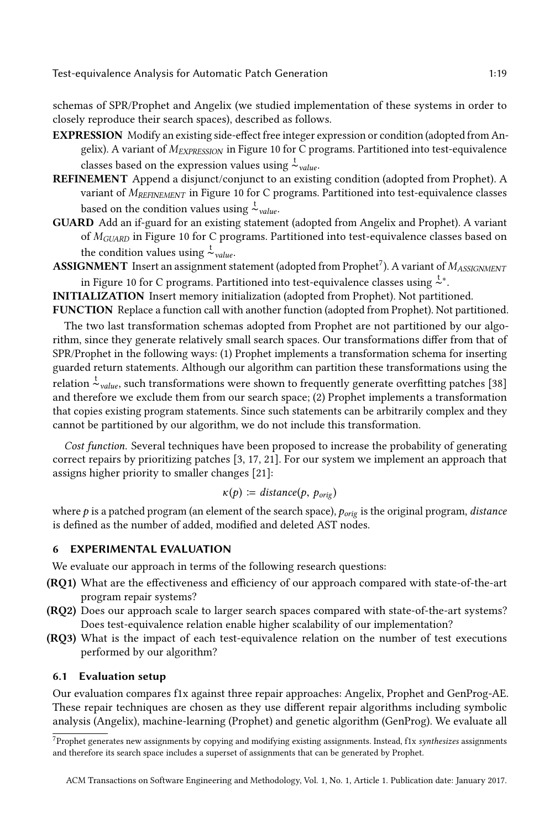schemas of SPR/Prophet and Angelix (we studied implementation of these systems in order to closely reproduce their search spaces), described as follows.

- EXPRESSION Modify an existing side-effect free integer expression or condition (adopted from Angelix). A variant of  $M_{EXPRESSON}$  in Figure [10](#page-14-1) for C programs. Partitioned into test-equivalence classes based on the expression values using  $\frac{t}{\sim}$ <sub>value</sub>.
- REFINEMENT Append a disjunct/conjunct to an existing condition (adopted from Prophet). A variant of  $M_{REFINEMENT}$  in Figure [10](#page-14-1) for C programs. Partitioned into test-equivalence classes based on the condition values using  $\sim \frac{t}{value}$ .
- GUARD Add an if-guard for an existing statement (adopted from Angelix and Prophet). A variant of  $M_{GIARD}$  in Figure [10](#page-14-1) for C programs. Partitioned into test-equivalence classes based on the condition values using  $\frac{t}{\sim}$ <sub>value</sub>.
- **ASSIGNMENT** Insert an assignment statement (adopted from Prophet<sup>[7](#page-0-0)</sup>). A variant of  $M_{ASSIGNMENT}$ in Figure [10](#page-14-1) for C programs. Partitioned into test-equivalence classes using  $\zeta^*$ .

INITIALIZATION Insert memory initialization (adopted from Prophet). Not partitioned. FUNCTION Replace a function call with another function (adopted from Prophet). Not partitioned.

The two last transformation schemas adopted from Prophet are not partitioned by our algorithm, since they generate relatively small search spaces. Our transformations differ from that of SPR/Prophet in the following ways: (1) Prophet implements a transformation schema for inserting guarded return statements. Although our algorithm can partition these transformations using the  $\sum_{value}^{\infty}$  and  $\sum_{value}^{\infty}$  such transformations were shown to frequently generate overfitting patches [\[38\]](#page-28-4) and therefore we exclude them from our search space; (2) Prophet implements a transformation that copies existing program statements. Since such statements can be arbitrarily complex and they cannot be partitioned by our algorithm, we do not include this transformation.

Cost function. Several techniques have been proposed to increase the probability of generating correct repairs by prioritizing patches [\[3,](#page-26-1) [17,](#page-27-5) [21\]](#page-27-4). For our system we implement an approach that assigns higher priority to smaller changes [\[21\]](#page-27-4):

$$
\kappa(p) := distance(p, p_{orig})
$$

where  $p$  is a patched program (an element of the search space),  $p_{orig}$  is the original program, *distance* is defined as the number of added modified and deleted  $\triangle ST$  nodes is defined as the number of added, modified and deleted AST nodes.

## <span id="page-18-0"></span>6 EXPERIMENTAL EVALUATION

We evaluate our approach in terms of the following research questions:

- (RQ1) What are the effectiveness and efficiency of our approach compared with state-of-the-art program repair systems?
- (RQ2) Does our approach scale to larger search spaces compared with state-of-the-art systems? Does test-equivalence relation enable higher scalability of our implementation?
- (RQ3) What is the impact of each test-equivalence relation on the number of test executions performed by our algorithm?

# 6.1 Evaluation setup

Our evaluation compares f1x against three repair approaches: Angelix, Prophet and GenProg-AE. These repair techniques are chosen as they use different repair algorithms including symbolic analysis (Angelix), machine-learning (Prophet) and genetic algorithm (GenProg). We evaluate all

<sup>7</sup>Prophet generates new assignments by copying and modifying existing assignments. Instead, f1x synthesizes assignments and therefore its search space includes a superset of assignments that can be generated by Prophet.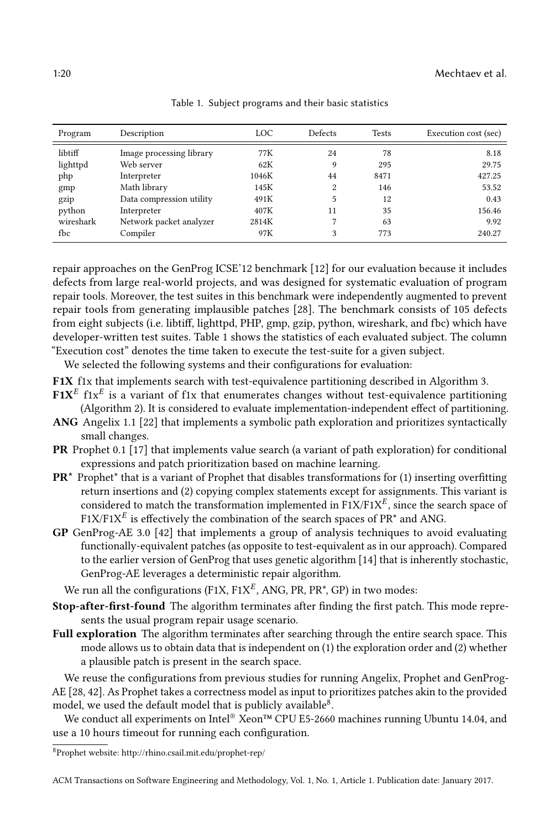<span id="page-19-0"></span>

| Program   | Description              | LOC   | Defects | <b>Tests</b> | Execution cost (sec) |
|-----------|--------------------------|-------|---------|--------------|----------------------|
| libtiff   | Image processing library | 77K   | 24      | 78           | 8.18                 |
| lighttpd  | Web server               | 62K   | 9       | 295          | 29.75                |
| php       | Interpreter              | 1046K | 44      | 8471         | 427.25               |
| gmp       | Math library             | 145K  | 2       | 146          | 53.52                |
| gzip      | Data compression utility | 491K  | 5       | 12           | 0.43                 |
| python    | Interpreter              | 407K  | 11      | 35           | 156.46               |
| wireshark | Network packet analyzer  | 2814K | 7       | 63           | 9.92                 |
| fbc       | Compiler                 | 97K   | 3       | 773          | 240.27               |

Table 1. Subject programs and their basic statistics

repair approaches on the GenProg ICSE'12 benchmark [\[12\]](#page-27-11) for our evaluation because it includes defects from large real-world projects, and was designed for systematic evaluation of program repair tools. Moreover, the test suites in this benchmark were independently augmented to prevent repair tools from generating implausible patches [\[28\]](#page-27-2). The benchmark consists of 105 defects from eight subjects (i.e. libtiff, lighttpd, PHP, gmp, gzip, python, wireshark, and fbc) which have developer-written test suites. Table [1](#page-19-0) shows the statistics of each evaluated subject. The column "Execution cost" denotes the time taken to execute the test-suite for a given subject.

We selected the following systems and their configurations for evaluation:

- F1X f1x that implements search with test-equivalence partitioning described in Algorithm [3.](#page-16-0)
- $\mathbf{F1X}^E$  f1x<sup>E</sup> is a variant of f1x that enumerates changes without test-equivalence partitioning (Algorithm [2\)](#page-15-0). It is considered to evaluate implementation-independent effect of partitioning.
- ANG Angelix 1.1 [\[22\]](#page-27-1) that implements a symbolic path exploration and prioritizes syntactically small changes.
- PR Prophet 0.1 [\[17\]](#page-27-5) that implements value search (a variant of path exploration) for conditional expressions and patch prioritization based on machine learning.
- PR\* Prophet\* that is a variant of Prophet that disables transformations for (1) inserting overfitting return insertions and (2) copying complex statements except for assignments. This variant is considered to match the transformation implemented in  $\text{F1X}/\text{F1X}^E$ , since the search space of  $F1X/F1X^E$  is effectively the combination of the search spaces of PR<sup>\*</sup> and ANG.
- GP GenProg-AE 3.0 [\[42\]](#page-28-2) that implements a group of analysis techniques to avoid evaluating functionally-equivalent patches (as opposite to test-equivalent as in our approach). Compared to the earlier version of GenProg that uses genetic algorithm [\[14\]](#page-27-14) that is inherently stochastic, GenProg-AE leverages a deterministic repair algorithm.

We run all the configurations (F1X,  $F1X^E$ , ANG, PR, PR<sup>\*</sup>, GP) in two modes:

- Stop-after-first-found The algorithm terminates after finding the first patch. This mode represents the usual program repair usage scenario.
- Full exploration The algorithm terminates after searching through the entire search space. This mode allows us to obtain data that is independent on (1) the exploration order and (2) whether a plausible patch is present in the search space.

We reuse the configurations from previous studies for running Angelix, Prophet and GenProg-AE [\[28,](#page-27-2) [42\]](#page-28-2). As Prophet takes a correctness model as input to prioritizes patches akin to the provided model, we used the default model that is publicly available<sup>[8](#page-0-0)</sup>.

We conduct all experiments on Intel® Xeon™ CPU E5-2660 machines running Ubuntu 14.04, and use a 10 hours timeout for running each configuration.

<sup>8</sup>Prophet website: http://rhino.csail.mit.edu/prophet-rep/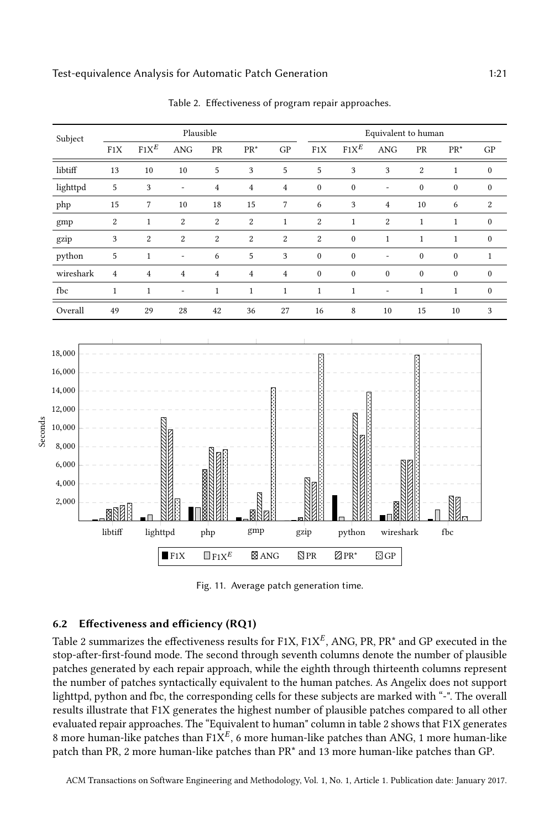<span id="page-20-1"></span><span id="page-20-0"></span>

Table 2. Effectiveness of program repair approaches.

Fig. 11. Average patch generation time.

## 6.2 Effectiveness and efficiency (RQ1)

Table [2](#page-20-0) summarizes the effectiveness results for  $F1X$ ,  $F1X^E$ , ANG, PR, PR\* and GP executed in the stop-after-first-found mode. The second through seventh columns denote the number of plausible patches generated by each repair approach, while the eighth through thirteenth columns represent the number of patches syntactically equivalent to the human patches. As Angelix does not support lighttpd, python and fbc, the corresponding cells for these subjects are marked with "-". The overall results illustrate that F1X generates the highest number of plausible patches compared to all other evaluated repair approaches. The "Equivalent to human" column in table [2](#page-20-0) shows that F1X generates 8 more human-like patches than F1 $X^E$ , 6 more human-like patches than ANG, 1 more human-like patch than PR, 2 more human-like patches than PR\* and 13 more human-like patches than GP.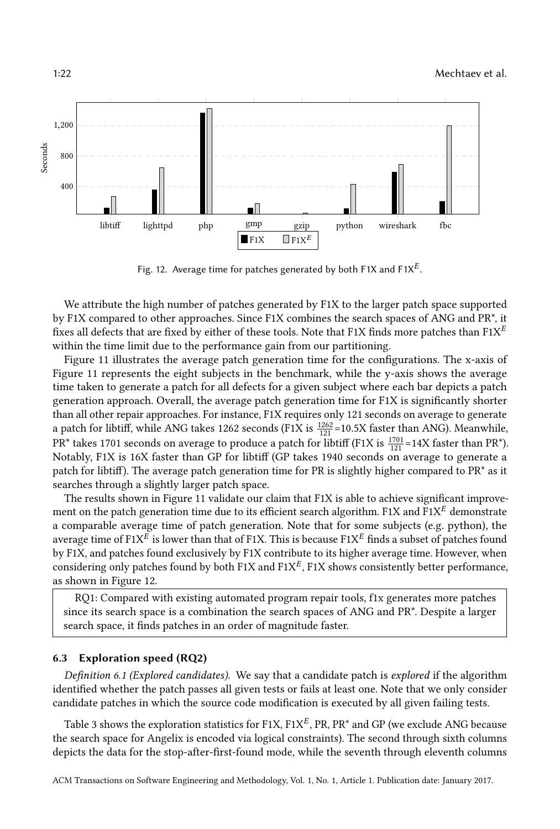<span id="page-21-0"></span>

Fig. 12. Average time for patches generated by both F1X and F1X $^E$ .

We attribute the high number of patches generated by F1X to the larger patch space supported by F1X compared to other approaches. Since F1X combines the search spaces of ANG and PR\*, it fixes all defects that are fixed by either of these tools. Note that F1X finds more patches than  $F1X^E$ within the time limit due to the performance gain from our partitioning.

Figure [11](#page-20-1) illustrates the average patch generation time for the configurations. The x-axis of Figure [11](#page-20-1) represents the eight subjects in the benchmark, while the y-axis shows the average time taken to generate a patch for all defects for a given subject where each bar depicts a patch generation approach. Overall, the average patch generation time for F1X is significantly shorter than all other repair approaches. For instance, F1X requires only 121 seconds on average to generate a patch for libtiff, while ANG takes 1262 seconds (F1X is  $\frac{1262}{121}$ =10.5X faster than ANG). Meanwhile,  $\overline{PR}^*$  takes 1701 seconds on average to produce a patch for libtiff (F1X is  $\frac{1701}{121}$ =14X faster than PR\*). Notably, F1X is 16X faster than GP for libtiff (GP takes 1940 seconds on average to generate a patch for libtiff). The average patch generation time for PR is slightly higher compared to PR\* as it searches through a slightly larger patch space.

The results shown in Figure [11](#page-20-1) validate our claim that F1X is able to achieve significant improvement on the patch generation time due to its efficient search algorithm. F1X and F1X $^E$  demonstrate a comparable average time of patch generation. Note that for some subjects (e.g. python), the average time of F1X $^E$  is lower than that of F1X. This is because F1X $^E$  finds a subset of patches found by F1X, and patches found exclusively by F1X contribute to its higher average time. However, when considering only patches found by both  $F1X$  and  $F1X^E$ ,  $F1X$  shows consistently better performance. as shown in Figure [12.](#page-21-0)

RQ1: Compared with existing automated program repair tools, f1x generates more patches since its search space is a combination the search spaces of ANG and PR\*. Despite a larger search space, it finds patches in an order of magnitude faster.

#### 6.3 Exploration speed (RQ2)

Definition 6.1 (Explored candidates). We say that a candidate patch is explored if the algorithm identified whether the patch passes all given tests or fails at least one. Note that we only consider candidate patches in which the source code modification is executed by all given failing tests.

Table [3](#page-22-0) shows the exploration statistics for  $F1X$ ,  $F1X^E$ , PR, PR\* and GP (we exclude ANG because the search space for Angelix is encoded via logical constraints). The second through sixth columns depicts the data for the stop-after-first-found mode, while the seventh through eleventh columns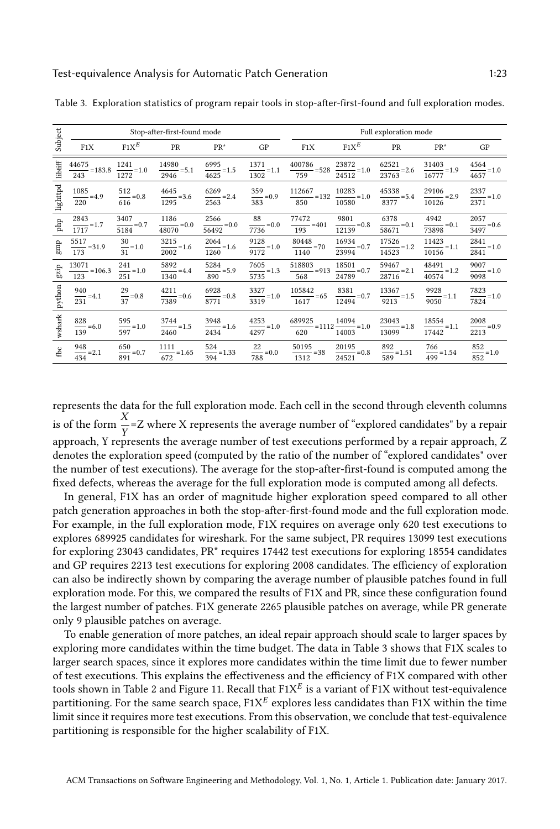|          |                               |                                | Stop-after-first-found mode           |                                     |                                     | Full exploration mode                 |                                      |                                      |                                            |                                    |
|----------|-------------------------------|--------------------------------|---------------------------------------|-------------------------------------|-------------------------------------|---------------------------------------|--------------------------------------|--------------------------------------|--------------------------------------------|------------------------------------|
| Subject  | F1X                           | $F1X^E$                        | PR                                    | $PR^*$                              | GP                                  | F1X                                   | $F1X^E$                              | PR                                   | $PR^*$                                     | GP                                 |
| libtiff  | 44675                         | 1241                           | 14980                                 | 6995                                | 1371                                | 400786                                | 23872                                | 62521                                | 31403                                      | 4564                               |
|          | $\frac{111111}{2} = 183.8$    | $\overline{\phantom{0}}$ = 1.0 | $\equiv$ =5.1                         | $\equiv$ =1.5                       | $\equiv$ =1.1                       | $\frac{1111122}{6} = 528$             | $\equiv$ =1.0                        | $=2.6$                               | $=1.9$                                     | $\equiv$ =1.0                      |
|          | 243                           | 1272                           | 2946                                  | 4625                                | 1302                                | 759                                   | 24512                                | 23763                                | 16777                                      | 4657                               |
| lighttpd | 1085<br>$=4.9$<br>220         | 512<br>$= 0.8$<br>616          | 4645<br>$\frac{1295}{1295} = 3.6$     | 6269<br>$\frac{1}{2}$ = 2.4<br>2563 | 359<br>$= 0.9$<br>383               | 112667<br>$=132$<br>850               | $\frac{10283}{1000} = 1.0$<br>10580  | 45338<br>$\frac{1}{2}$ = 5.4<br>8377 | 29106<br>$\frac{344444}{2} = 2.9$<br>10126 | 2337<br>$\frac{1}{2}$ =1.0<br>2371 |
| php      | 2843                          | 3407                           | 1186                                  | 2566                                | 88                                  | 77472                                 | 9801                                 | 6378                                 | 4942                                       | 2057                               |
|          | $\equiv$ =1.7                 | $\frac{1}{2}$ = 0.7            | $=0.0$                                | $= 0.0$                             | $\frac{0.0}{2}$ = 0.0               | $=401$                                | $\equiv$ =0.8                        | $\frac{1}{2}$ = 0.1                  | $= 0.1$                                    | $\equiv$ =0.6                      |
|          | 1717                          | 5184                           | 48070                                 | 56492                               | 7736                                | 193                                   | 12139                                | 58671                                | 73898                                      | 3497                               |
| gmp      | 5517                          | 30                             | 3215                                  | 2064                                | 9128                                | 80448                                 | 16934                                | 17526                                | 11423                                      | 2841                               |
|          | $\frac{1}{2}$ = 31.9          | $=1.0$                         | $\equiv$ =1.6                         | $=1.6$                              | $=1.0$                              | $\frac{344442}{2} = 70$               | $= 0.7$                              | $=1.2$                               | $\equiv$ =1.1                              | $= 1.0$                            |
|          | 173                           | 31                             | 2002                                  | 1260                                | 9172                                | 1140                                  | 23994                                | 14523                                | 10156                                      | 2841                               |
| gzip     | 13071                         | 241                            | 5892                                  | 5284                                | 7605                                | 518803                                | 18501                                | 59467                                | 48491                                      | 9007                               |
|          | $\frac{344}{1}$ = 106.3       | $=1.0$                         | $=4.4$                                | $\frac{1}{2}$ = 5.9                 | $\frac{1}{2}$ = 1.3                 | $= 913$                               | $\frac{1}{2}$ = 0.7                  | $\frac{24.264}{2} = 2.1$             | $\frac{1}{2}$ = 1.2                        | $\equiv$ =1.0                      |
|          | 123                           | 251                            | 1340                                  | 890                                 | 5735                                | 568                                   | 24789                                | 28716                                | 40574                                      | 9098                               |
| python   | 940<br>$\frac{12}{231}$ = 4.1 | 29<br>$\frac{1}{37}$ =0.8      | 4211<br>$\frac{1211}{7389} = 0.6$     | 6928<br>$\frac{128}{8771}$ = 0.8    | 3327<br>$\frac{1}{2}$ = 1.0<br>3319 | 105842<br>$\frac{1}{2}$ = 65<br>1617  | 8381<br>$\frac{1}{2}$ = 0.7<br>12494 | 13367<br>$\frac{1}{2}$ = 1.5<br>9213 | 9928<br>$\equiv$ = 1.1<br>9050             | 7823<br>$\equiv$ =1.0<br>7824      |
| wshark   | 828<br>$\equiv$ =6.0<br>139   | 595<br>$\equiv$ =1.0<br>597    | 3744<br>$\frac{34}{12}$ = 1.5<br>2460 | 3948<br>$=1.6$<br>2434              | 4253<br>$= 1.0$<br>4297             | 689925<br>$-$ = 1112 $-$ = 1.0<br>620 | 14094<br>14003                       | 23043<br>$\equiv$ =1.8<br>13099      | 18554<br>17442                             | 2008<br>$= 0.9$<br>2213            |
| fbc      | 948                           | 650                            | 1111                                  | 524                                 | 22                                  | 50195                                 | 20195                                | 892                                  | 766                                        | 852                                |
|          | $=$ =2.1                      | $\equiv$ =0.7                  | $-$ =1.65                             | $=$ =1.33                           | $= 0.0$                             | $\frac{32244}{2} = 38$                | $\equiv$ =0.8                        | $=$ =1.51                            | $= 1.54$                                   | $\equiv$ =1.0                      |
|          | 434                           | 891                            | 672                                   | 394                                 | 788                                 | 1312                                  | 24521                                | 589                                  | 499                                        | 852                                |

<span id="page-22-0"></span>Table 3. Exploration statistics of program repair tools in stop-after-first-found and full exploration modes.

represents the data for the full exploration mode. Each cell in the second through eleventh columns is of the form  $\frac{\Lambda}{\mathrm{v}}$ =Z where X represents the average number of "explored candidates" by a repair approach, Y represents the average number of test executions performed by a repair approach, Z denotes the exploration speed (computed by the ratio of the number of "explored candidates" over the number of test executions). The average for the stop-after-first-found is computed among the fixed defects, whereas the average for the full exploration mode is computed among all defects.

In general, F1X has an order of magnitude higher exploration speed compared to all other patch generation approaches in both the stop-after-first-found mode and the full exploration mode. For example, in the full exploration mode, F1X requires on average only 620 test executions to explores 689925 candidates for wireshark. For the same subject, PR requires 13099 test executions for exploring 23043 candidates, PR\* requires 17442 test executions for exploring 18554 candidates and GP requires 2213 test executions for exploring 2008 candidates. The efficiency of exploration can also be indirectly shown by comparing the average number of plausible patches found in full exploration mode. For this, we compared the results of F1X and PR, since these configuration found the largest number of patches. F1X generate 2265 plausible patches on average, while PR generate only 9 plausible patches on average.

To enable generation of more patches, an ideal repair approach should scale to larger spaces by exploring more candidates within the time budget. The data in Table [3](#page-22-0) shows that F1X scales to larger search spaces, since it explores more candidates within the time limit due to fewer number of test executions. This explains the effectiveness and the efficiency of F1X compared with other tools shown in Table [2](#page-20-0) and Figure [11.](#page-20-1) Recall that  $\mathrm{F1X}^E$  is a variant of F1X without test-equivalence partitioning. For the same search space,  $F1X^E$  explores less candidates than F1X within the time limit since it requires more test executions. From this observation, we conclude that test-equivalence partitioning is responsible for the higher scalability of F1X.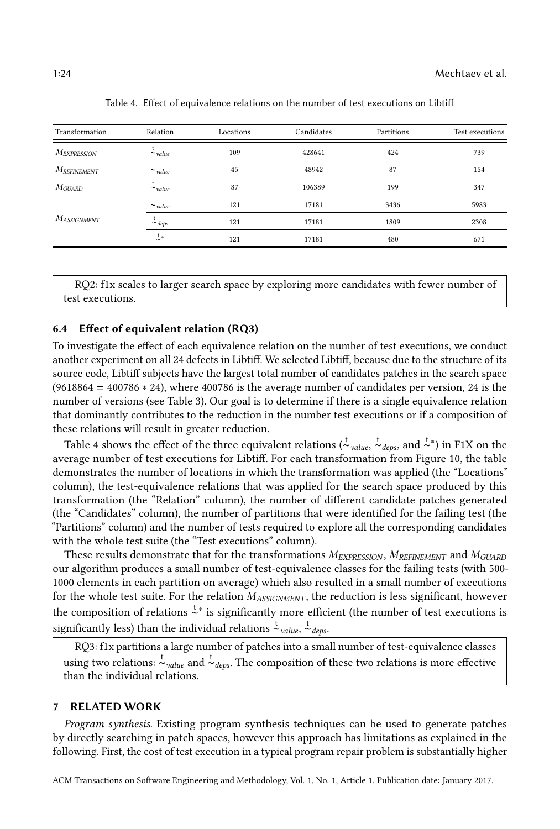<span id="page-23-1"></span>

| Transformation     | Relation      | Locations | Candidates | Partitions | Test executions |
|--------------------|---------------|-----------|------------|------------|-----------------|
| <b>MEXPRESSION</b> | $\sim$ value  | 109       | 428641     | 424        | 739             |
| $M_{REFINEMENT}$   | $\sim$ value  | 45        | 48942      | 87         | 154             |
| <b>M</b> GUARD     | $\sim$ value  | 87        | 106389     | 199        | 347             |
|                    | $\sim$ value  | 121       | 17181      | 3436       | 5983            |
| $M_{ASSIGNMENT}$   | $\sim$ deps   | 121       | 17181      | 1809       | 2308            |
|                    | $\frac{t}{2}$ | 121       | 17181      | 480        | 671             |

Table 4. Effect of equivalence relations on the number of test executions on Libtiff

RQ2: f1x scales to larger search space by exploring more candidates with fewer number of test executions.

#### 6.4 Effect of equivalent relation (RQ3)

To investigate the effect of each equivalence relation on the number of test executions, we conduct another experiment on all 24 defects in Libtiff. We selected Libtiff, because due to the structure of its source code, Libtiff subjects have the largest total number of candidates patches in the search space  $(9618864 = 400786 * 24)$ , where 400786 is the average number of candidates per version, 24 is the number of versions (see Table [3\)](#page-22-0). Our goal is to determine if there is a single equivalence relation that dominantly contributes to the reduction in the number test executions or if a composition of these relations will result in greater reduction.

Table [4](#page-23-1) shows the effect of the three equivalent relations ( $\frac{t}{c}$ <sub>value</sub>,  $\frac{t}{c}$ <sub>deps</sub>, and  $\frac{t}{c}$ <sup>+</sup>) in F1X on the average number of test executions for Libtiff. For each transformation from Figure [10,](#page-14-1) the table demonstrates the number of locations in which the transformation was applied (the "Locations" column), the test-equivalence relations that was applied for the search space produced by this transformation (the "Relation" column), the number of different candidate patches generated (the "Candidates" column), the number of partitions that were identified for the failing test (the "Partitions" column) and the number of tests required to explore all the corresponding candidates with the whole test suite (the "Test executions" column).

These results demonstrate that for the transformations  $M_{EXPRESSON}$ ,  $M_{REFINEMENT}$  and  $M_{GUARD}$ our algorithm produces a small number of test-equivalence classes for the failing tests (with 500- 1000 elements in each partition on average) which also resulted in a small number of executions for the whole test suite. For the relation  $M_{ASSGNMENT}$ , the reduction is less significant, however the composition of relations  $\zeta^*$  is significantly more efficient (the number of test executions is significantly less) than the individual relations  $\stackrel{\text{t}}{\sim}_{value}$ ,  $\stackrel{\text{t}}{\sim}_{deps}$ .

RQ3: f1x partitions a large number of patches into a small number of test-equivalence classes using two relations:  $\frac{t}{\sim}$ <sub>value</sub> and  $\frac{t}{\sim}$ <sub>deps</sub>. The composition of these two relations is more effective than the individual relations.

## <span id="page-23-0"></span>7 RELATED WORK

Program synthesis. Existing program synthesis techniques can be used to generate patches by directly searching in patch spaces, however this approach has limitations as explained in the following. First, the cost of test execution in a typical program repair problem is substantially higher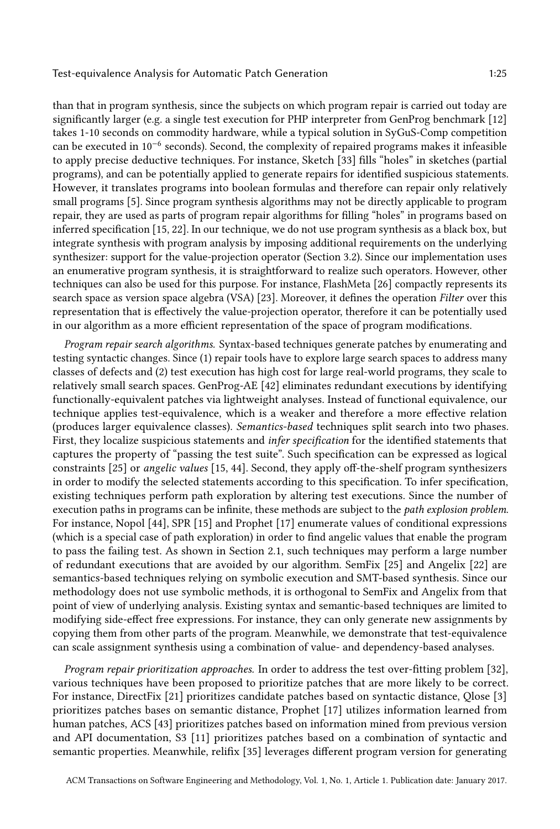than that in program synthesis, since the subjects on which program repair is carried out today are significantly larger (e.g. a single test execution for PHP interpreter from GenProg benchmark [\[12\]](#page-27-11) takes 1-10 seconds on commodity hardware, while a typical solution in SyGuS-Comp competition can be executed in 10−<sup>6</sup> seconds). Second, the complexity of repaired programs makes it infeasible to apply precise deductive techniques. For instance, Sketch [\[33\]](#page-27-15) fills "holes" in sketches (partial programs), and can be potentially applied to generate repairs for identified suspicious statements. However, it translates programs into boolean formulas and therefore can repair only relatively small programs [\[5\]](#page-26-3). Since program synthesis algorithms may not be directly applicable to program repair, they are used as parts of program repair algorithms for filling "holes" in programs based on inferred specification [\[15,](#page-27-6) [22\]](#page-27-1). In our technique, we do not use program synthesis as a black box, but integrate synthesis with program analysis by imposing additional requirements on the underlying synthesizer: support for the value-projection operator (Section [3.2\)](#page-8-2). Since our implementation uses an enumerative program synthesis, it is straightforward to realize such operators. However, other techniques can also be used for this purpose. For instance, FlashMeta [\[26\]](#page-27-16) compactly represents its search space as version space algebra (VSA) [\[23\]](#page-27-17). Moreover, it defines the operation Filter over this representation that is effectively the value-projection operator, therefore it can be potentially used in our algorithm as a more efficient representation of the space of program modifications.

Program repair search algorithms. Syntax-based techniques generate patches by enumerating and testing syntactic changes. Since (1) repair tools have to explore large search spaces to address many classes of defects and (2) test execution has high cost for large real-world programs, they scale to relatively small search spaces. GenProg-AE [\[42\]](#page-28-2) eliminates redundant executions by identifying functionally-equivalent patches via lightweight analyses. Instead of functional equivalence, our technique applies test-equivalence, which is a weaker and therefore a more effective relation (produces larger equivalence classes). Semantics-based techniques split search into two phases. First, they localize suspicious statements and infer specification for the identified statements that captures the property of "passing the test suite". Such specification can be expressed as logical constraints [\[25\]](#page-27-8) or angelic values [\[15,](#page-27-6) [44\]](#page-28-5). Second, they apply off-the-shelf program synthesizers in order to modify the selected statements according to this specification. To infer specification, existing techniques perform path exploration by altering test executions. Since the number of execution paths in programs can be infinite, these methods are subject to the path explosion problem. For instance, Nopol [\[44\]](#page-28-5), SPR [\[15\]](#page-27-6) and Prophet [\[17\]](#page-27-5) enumerate values of conditional expressions (which is a special case of path exploration) in order to find angelic values that enable the program to pass the failing test. As shown in Section [2.1,](#page-2-0) such techniques may perform a large number of redundant executions that are avoided by our algorithm. SemFix [\[25\]](#page-27-8) and Angelix [\[22\]](#page-27-1) are semantics-based techniques relying on symbolic execution and SMT-based synthesis. Since our methodology does not use symbolic methods, it is orthogonal to SemFix and Angelix from that point of view of underlying analysis. Existing syntax and semantic-based techniques are limited to modifying side-effect free expressions. For instance, they can only generate new assignments by copying them from other parts of the program. Meanwhile, we demonstrate that test-equivalence can scale assignment synthesis using a combination of value- and dependency-based analyses.

Program repair prioritization approaches. In order to address the test over-fitting problem [\[32\]](#page-27-3), various techniques have been proposed to prioritize patches that are more likely to be correct. For instance, DirectFix [\[21\]](#page-27-4) prioritizes candidate patches based on syntactic distance, Qlose [\[3\]](#page-26-1) prioritizes patches bases on semantic distance, Prophet [\[17\]](#page-27-5) utilizes information learned from human patches, ACS [\[43\]](#page-28-6) prioritizes patches based on information mined from previous version and API documentation, S3 [\[11\]](#page-27-18) prioritizes patches based on a combination of syntactic and semantic properties. Meanwhile, relifix [\[35\]](#page-27-19) leverages different program version for generating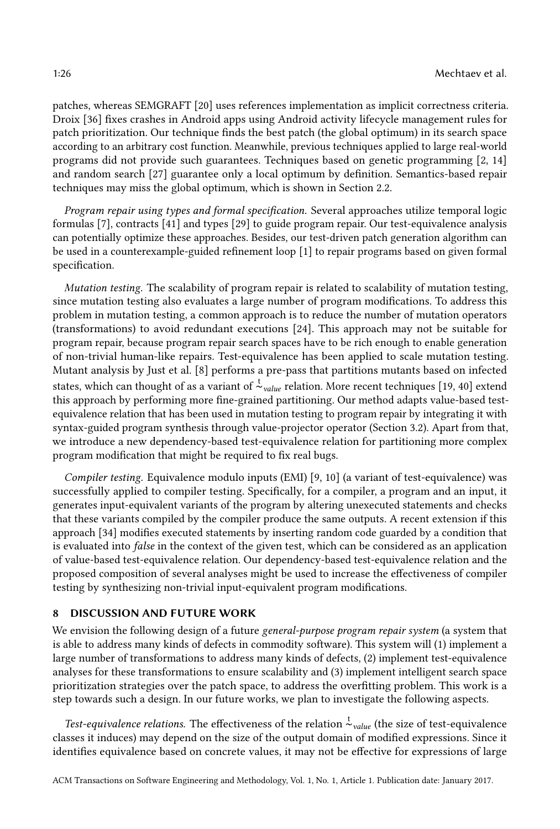patches, whereas SEMGRAFT [\[20\]](#page-27-20) uses references implementation as implicit correctness criteria. Droix [\[36\]](#page-27-21) fixes crashes in Android apps using Android activity lifecycle management rules for patch prioritization. Our technique finds the best patch (the global optimum) in its search space according to an arbitrary cost function. Meanwhile, previous techniques applied to large real-world programs did not provide such guarantees. Techniques based on genetic programming [\[2,](#page-26-4) [14\]](#page-27-14) and random search [\[27\]](#page-27-22) guarantee only a local optimum by definition. Semantics-based repair techniques may miss the global optimum, which is shown in Section [2.2.](#page-4-1)

Program repair using types and formal specification. Several approaches utilize temporal logic formulas [\[7\]](#page-27-23), contracts [\[41\]](#page-28-7) and types [\[29\]](#page-27-24) to guide program repair. Our test-equivalence analysis can potentially optimize these approaches. Besides, our test-driven patch generation algorithm can be used in a counterexample-guided refinement loop [\[1\]](#page-26-0) to repair programs based on given formal specification.

Mutation testing. The scalability of program repair is related to scalability of mutation testing, since mutation testing also evaluates a large number of program modifications. To address this problem in mutation testing, a common approach is to reduce the number of mutation operators (transformations) to avoid redundant executions [\[24\]](#page-27-25). This approach may not be suitable for program repair, because program repair search spaces have to be rich enough to enable generation of non-trivial human-like repairs. Test-equivalence has been applied to scale mutation testing. Mutant analysis by Just et al. [\[8\]](#page-27-9) performs a pre-pass that partitions mutants based on infected states, which can thought of as a variant of  $\sim \frac{1}{2}$  value relation. More recent techniques [\[19,](#page-27-26) [40\]](#page-28-8) extend this approach by performing more fine-grained partitioning. Our method adapts value-based testequivalence relation that has been used in mutation testing to program repair by integrating it with syntax-guided program synthesis through value-projector operator (Section [3.2\)](#page-8-2). Apart from that, we introduce a new dependency-based test-equivalence relation for partitioning more complex program modification that might be required to fix real bugs.

Compiler testing. Equivalence modulo inputs (EMI) [\[9,](#page-27-10) [10\]](#page-27-27) (a variant of test-equivalence) was successfully applied to compiler testing. Specifically, for a compiler, a program and an input, it generates input-equivalent variants of the program by altering unexecuted statements and checks that these variants compiled by the compiler produce the same outputs. A recent extension if this approach [\[34\]](#page-27-28) modifies executed statements by inserting random code guarded by a condition that is evaluated into false in the context of the given test, which can be considered as an application of value-based test-equivalence relation. Our dependency-based test-equivalence relation and the proposed composition of several analyses might be used to increase the effectiveness of compiler testing by synthesizing non-trivial input-equivalent program modifications.

#### <span id="page-25-0"></span>8 DISCUSSION AND FUTURE WORK

We envision the following design of a future general-purpose program repair system (a system that is able to address many kinds of defects in commodity software). This system will (1) implement a large number of transformations to address many kinds of defects, (2) implement test-equivalence analyses for these transformations to ensure scalability and (3) implement intelligent search space prioritization strategies over the patch space, to address the overfitting problem. This work is a step towards such a design. In our future works, we plan to investigate the following aspects.

Test-equivalence relations. The effectiveness of the relation  $\frac{t}{r}$ <sub>value</sub> (the size of test-equivalence classes it induces) may depend on the size of the output domain of modified expressions. Since it identifies equivalence based on concrete values, it may not be effective for expressions of large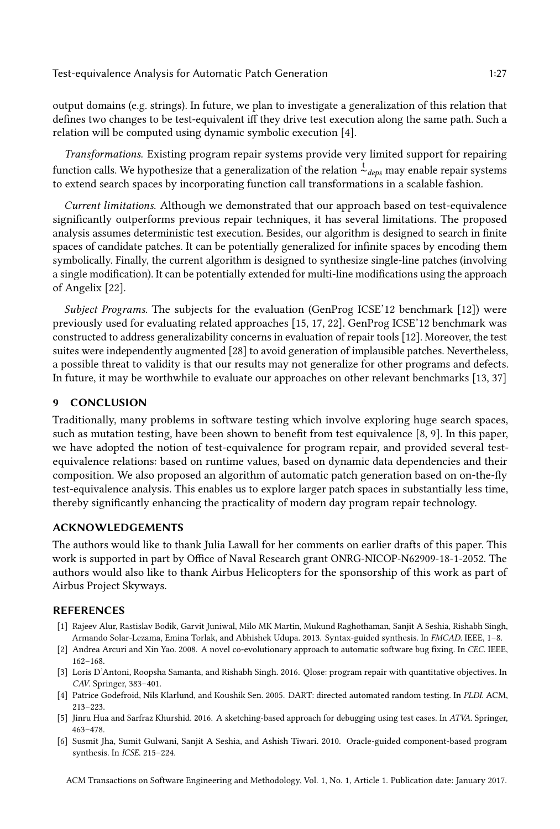output domains (e.g. strings). In future, we plan to investigate a generalization of this relation that defines two changes to be test-equivalent iff they drive test execution along the same path. Such a relation will be computed using dynamic symbolic execution [\[4\]](#page-26-5).

Transformations. Existing program repair systems provide very limited support for repairing function calls. We hypothesize that a generalization of the relation  $\frac{t}{\alpha}$  deps may enable repair systems to extend search spaces by incorporating function call transformations in a scalable fashion.

Current limitations. Although we demonstrated that our approach based on test-equivalence significantly outperforms previous repair techniques, it has several limitations. The proposed analysis assumes deterministic test execution. Besides, our algorithm is designed to search in finite spaces of candidate patches. It can be potentially generalized for infinite spaces by encoding them symbolically. Finally, the current algorithm is designed to synthesize single-line patches (involving a single modification). It can be potentially extended for multi-line modifications using the approach of Angelix [\[22\]](#page-27-1).

Subject Programs. The subjects for the evaluation (GenProg ICSE'12 benchmark [\[12\]](#page-27-11)) were previously used for evaluating related approaches [\[15,](#page-27-6) [17,](#page-27-5) [22\]](#page-27-1). GenProg ICSE'12 benchmark was constructed to address generalizability concerns in evaluation of repair tools [\[12\]](#page-27-11). Moreover, the test suites were independently augmented [\[28\]](#page-27-2) to avoid generation of implausible patches. Nevertheless, a possible threat to validity is that our results may not generalize for other programs and defects. In future, it may be worthwhile to evaluate our approaches on other relevant benchmarks [\[13,](#page-27-29) [37\]](#page-28-9)

## <span id="page-26-2"></span>9 CONCLUSION

Traditionally, many problems in software testing which involve exploring huge search spaces, such as mutation testing, have been shown to benefit from test equivalence [\[8,](#page-27-9) [9\]](#page-27-10). In this paper, we have adopted the notion of test-equivalence for program repair, and provided several testequivalence relations: based on runtime values, based on dynamic data dependencies and their composition. We also proposed an algorithm of automatic patch generation based on on-the-fly test-equivalence analysis. This enables us to explore larger patch spaces in substantially less time, thereby significantly enhancing the practicality of modern day program repair technology.

## ACKNOWLEDGEMENTS

The authors would like to thank Julia Lawall for her comments on earlier drafts of this paper. This work is supported in part by Office of Naval Research grant ONRG-NICOP-N62909-18-1-2052. The authors would also like to thank Airbus Helicopters for the sponsorship of this work as part of Airbus Project Skyways.

### REFERENCES

- <span id="page-26-0"></span>[1] Rajeev Alur, Rastislav Bodik, Garvit Juniwal, Milo MK Martin, Mukund Raghothaman, Sanjit A Seshia, Rishabh Singh, Armando Solar-Lezama, Emina Torlak, and Abhishek Udupa. 2013. Syntax-guided synthesis. In FMCAD. IEEE, 1–8.
- <span id="page-26-4"></span>[2] Andrea Arcuri and Xin Yao. 2008. A novel co-evolutionary approach to automatic software bug fixing. In CEC. IEEE, 162–168.
- <span id="page-26-1"></span>[3] Loris D'Antoni, Roopsha Samanta, and Rishabh Singh. 2016. Qlose: program repair with quantitative objectives. In CAV. Springer, 383–401.
- <span id="page-26-5"></span>[4] Patrice Godefroid, Nils Klarlund, and Koushik Sen. 2005. DART: directed automated random testing. In PLDI. ACM, 213–223.
- <span id="page-26-3"></span>[5] Jinru Hua and Sarfraz Khurshid. 2016. A sketching-based approach for debugging using test cases. In ATVA. Springer, 463–478.
- <span id="page-26-6"></span>[6] Susmit Jha, Sumit Gulwani, Sanjit A Seshia, and Ashish Tiwari. 2010. Oracle-guided component-based program synthesis. In ICSE. 215–224.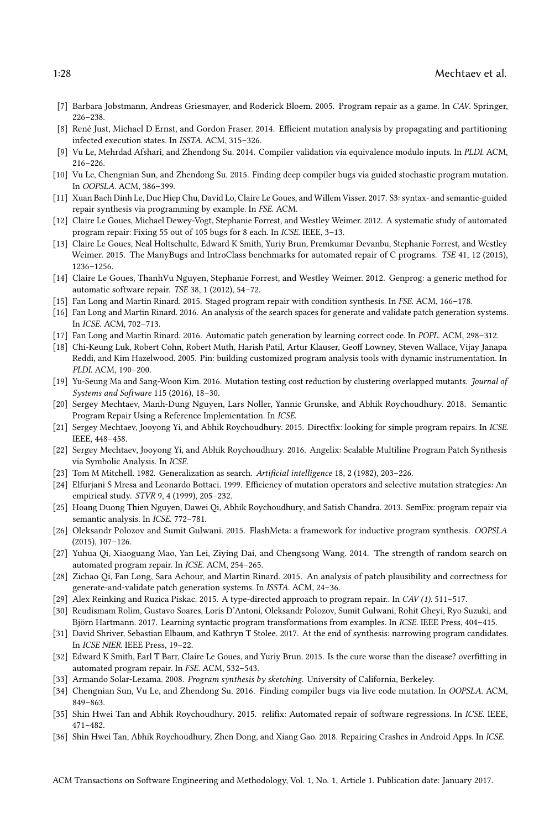- <span id="page-27-23"></span>[7] Barbara Jobstmann, Andreas Griesmayer, and Roderick Bloem. 2005. Program repair as a game. In CAV. Springer, 226–238.
- <span id="page-27-9"></span>[8] René Just, Michael D Ernst, and Gordon Fraser. 2014. Efficient mutation analysis by propagating and partitioning infected execution states. In ISSTA. ACM, 315–326.
- <span id="page-27-10"></span>[9] Vu Le, Mehrdad Afshari, and Zhendong Su. 2014. Compiler validation via equivalence modulo inputs. In PLDI. ACM, 216–226.
- <span id="page-27-27"></span>[10] Vu Le, Chengnian Sun, and Zhendong Su. 2015. Finding deep compiler bugs via guided stochastic program mutation. In OOPSLA. ACM, 386–399.
- <span id="page-27-18"></span>[11] Xuan Bach Dinh Le, Duc Hiep Chu, David Lo, Claire Le Goues, and Willem Visser. 2017. S3: syntax- and semantic-guided repair synthesis via programming by example. In FSE. ACM.
- <span id="page-27-11"></span>[12] Claire Le Goues, Michael Dewey-Vogt, Stephanie Forrest, and Westley Weimer. 2012. A systematic study of automated program repair: Fixing 55 out of 105 bugs for 8 each. In ICSE. IEEE, 3–13.
- <span id="page-27-29"></span>[13] Claire Le Goues, Neal Holtschulte, Edward K Smith, Yuriy Brun, Premkumar Devanbu, Stephanie Forrest, and Westley Weimer. 2015. The ManyBugs and IntroClass benchmarks for automated repair of C programs. TSE 41, 12 (2015), 1236–1256.
- <span id="page-27-14"></span>[14] Claire Le Goues, ThanhVu Nguyen, Stephanie Forrest, and Westley Weimer. 2012. Genprog: a generic method for automatic software repair. TSE 38, 1 (2012), 54–72.
- <span id="page-27-6"></span>[15] Fan Long and Martin Rinard. 2015. Staged program repair with condition synthesis. In FSE. ACM, 166–178.
- <span id="page-27-7"></span>[16] Fan Long and Martin Rinard. 2016. An analysis of the search spaces for generate and validate patch generation systems. In ICSE. ACM, 702–713.
- <span id="page-27-5"></span>[17] Fan Long and Martin Rinard. 2016. Automatic patch generation by learning correct code. In POPL. ACM, 298–312.
- <span id="page-27-13"></span>[18] Chi-Keung Luk, Robert Cohn, Robert Muth, Harish Patil, Artur Klauser, Geoff Lowney, Steven Wallace, Vijay Janapa Reddi, and Kim Hazelwood. 2005. Pin: building customized program analysis tools with dynamic instrumentation. In PLDI. ACM, 190–200.
- <span id="page-27-26"></span>[19] Yu-Seung Ma and Sang-Woon Kim. 2016. Mutation testing cost reduction by clustering overlapped mutants. Journal of Systems and Software 115 (2016), 18–30.
- <span id="page-27-20"></span>[20] Sergey Mechtaev, Manh-Dung Nguyen, Lars Noller, Yannic Grunske, and Abhik Roychoudhury. 2018. Semantic Program Repair Using a Reference Implementation. In ICSE.
- <span id="page-27-4"></span>[21] Sergey Mechtaev, Jooyong Yi, and Abhik Roychoudhury. 2015. Directfix: looking for simple program repairs. In ICSE. IEEE, 448–458.
- <span id="page-27-1"></span>[22] Sergey Mechtaev, Jooyong Yi, and Abhik Roychoudhury. 2016. Angelix: Scalable Multiline Program Patch Synthesis via Symbolic Analysis. In ICSE.
- <span id="page-27-17"></span>[23] Tom M Mitchell. 1982. Generalization as search. Artificial intelligence 18, 2 (1982), 203–226.
- <span id="page-27-25"></span>[24] Elfurjani S Mresa and Leonardo Bottaci. 1999. Efficiency of mutation operators and selective mutation strategies: An empirical study. STVR 9, 4 (1999), 205–232.
- <span id="page-27-8"></span>[25] Hoang Duong Thien Nguyen, Dawei Qi, Abhik Roychoudhury, and Satish Chandra. 2013. SemFix: program repair via semantic analysis. In ICSE. 772–781.
- <span id="page-27-16"></span>[26] Oleksandr Polozov and Sumit Gulwani. 2015. FlashMeta: a framework for inductive program synthesis. OOPSLA (2015), 107–126.
- <span id="page-27-22"></span>[27] Yuhua Qi, Xiaoguang Mao, Yan Lei, Ziying Dai, and Chengsong Wang. 2014. The strength of random search on automated program repair. In ICSE. ACM, 254–265.
- <span id="page-27-2"></span>[28] Zichao Qi, Fan Long, Sara Achour, and Martin Rinard. 2015. An analysis of patch plausibility and correctness for generate-and-validate patch generation systems. In ISSTA. ACM, 24–36.
- <span id="page-27-24"></span>[29] Alex Reinking and Ruzica Piskac. 2015. A type-directed approach to program repair.. In CAV (1). 511–517.
- <span id="page-27-0"></span>[30] Reudismam Rolim, Gustavo Soares, Loris D'Antoni, Oleksandr Polozov, Sumit Gulwani, Rohit Gheyi, Ryo Suzuki, and Björn Hartmann. 2017. Learning syntactic program transformations from examples. In ICSE. IEEE Press, 404–415.
- <span id="page-27-12"></span>[31] David Shriver, Sebastian Elbaum, and Kathryn T Stolee. 2017. At the end of synthesis: narrowing program candidates. In ICSE NIER. IEEE Press, 19–22.
- <span id="page-27-3"></span>[32] Edward K Smith, Earl T Barr, Claire Le Goues, and Yuriy Brun. 2015. Is the cure worse than the disease? overfitting in automated program repair. In FSE. ACM, 532–543.
- <span id="page-27-15"></span>[33] Armando Solar-Lezama. 2008. Program synthesis by sketching. University of California, Berkeley.
- <span id="page-27-28"></span>[34] Chengnian Sun, Vu Le, and Zhendong Su. 2016. Finding compiler bugs via live code mutation. In OOPSLA. ACM, 849–863.
- <span id="page-27-19"></span>[35] Shin Hwei Tan and Abhik Roychoudhury. 2015. relifix: Automated repair of software regressions. In ICSE. IEEE, 471–482.
- <span id="page-27-21"></span>[36] Shin Hwei Tan, Abhik Roychoudhury, Zhen Dong, and Xiang Gao. 2018. Repairing Crashes in Android Apps. In ICSE.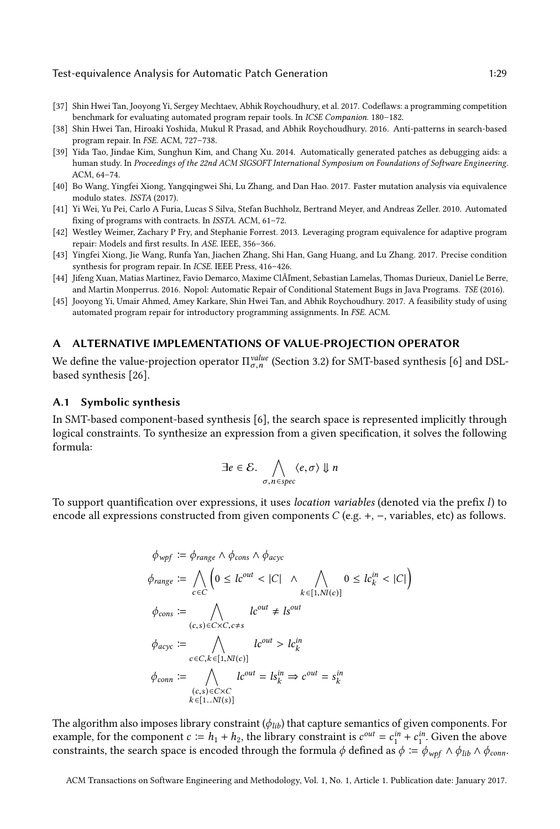- <span id="page-28-9"></span>[37] Shin Hwei Tan, Jooyong Yi, Sergey Mechtaev, Abhik Roychoudhury, et al. 2017. Codeflaws: a programming competition benchmark for evaluating automated program repair tools. In ICSE Companion. 180-182.
- <span id="page-28-4"></span>[38] Shin Hwei Tan, Hiroaki Yoshida, Mukul R Prasad, and Abhik Roychoudhury. 2016. Anti-patterns in search-based program repair. In FSE. ACM, 727–738.
- <span id="page-28-0"></span>[39] Yida Tao, Jindae Kim, Sunghun Kim, and Chang Xu. 2014. Automatically generated patches as debugging aids: a human study. In Proceedings of the 22nd ACM SIGSOFT International Symposium on Foundations of Software Engineering. ACM, 64–74.
- <span id="page-28-8"></span>[40] Bo Wang, Yingfei Xiong, Yangqingwei Shi, Lu Zhang, and Dan Hao. 2017. Faster mutation analysis via equivalence modulo states. ISSTA (2017).
- <span id="page-28-7"></span>[41] Yi Wei, Yu Pei, Carlo A Furia, Lucas S Silva, Stefan Buchholz, Bertrand Meyer, and Andreas Zeller. 2010. Automated fixing of programs with contracts. In ISSTA. ACM, 61–72.
- <span id="page-28-2"></span>[42] Westley Weimer, Zachary P Fry, and Stephanie Forrest. 2013. Leveraging program equivalence for adaptive program repair: Models and first results. In ASE. IEEE, 356–366.
- <span id="page-28-6"></span>[43] Yingfei Xiong, Jie Wang, Runfa Yan, Jiachen Zhang, Shi Han, Gang Huang, and Lu Zhang. 2017. Precise condition synthesis for program repair. In ICSE. IEEE Press, 416–426.
- <span id="page-28-5"></span>[44] Jifeng Xuan, Matias Martinez, Favio Demarco, Maxime ClÃľment, Sebastian Lamelas, Thomas Durieux, Daniel Le Berre, and Martin Monperrus. 2016. Nopol: Automatic Repair of Conditional Statement Bugs in Java Programs. TSE (2016).
- <span id="page-28-1"></span>[45] Jooyong Yi, Umair Ahmed, Amey Karkare, Shin Hwei Tan, and Abhik Roychoudhury. 2017. A feasibility study of using automated program repair for introductory programming assignments. In FSE. ACM.

## <span id="page-28-3"></span>A ALTERNATIVE IMPLEMENTATIONS OF VALUE-PROJECTION OPERATOR

We define the value-projection operator  $\Pi_{\sigma,n}^{value}$  (Section [3.2\)](#page-8-2) for SMT-based synthesis [\[6\]](#page-26-6) and DSL-<br>based synthesis [26] based synthesis [\[26\]](#page-27-16).

## A.1 Symbolic synthesis

In SMT-based component-based synthesis [\[6\]](#page-26-6), the search space is represented implicitly through logical constraints. To synthesize an expression from a given specification, it solves the following formula:

$$
\exists e \in \mathcal{E}. \bigwedge_{\sigma, n \in spec} \langle e, \sigma \rangle \Downarrow n
$$

To support quantification over expressions, it uses location variables (denoted via the prefix l) to encode all expressions constructed from given components  $C$  (e.g. +, -, variables, etc) as follows.

$$
\phi_{wpf} := \phi_{range} \land \phi_{cons} \land \phi_{acyc}
$$
\n
$$
\phi_{range} := \bigwedge_{c \in C} \left( 0 \le lc^{out} < |C| \land \bigwedge_{k \in [1, NI(c)]} 0 \le lc^{in}_{k} < |C| \right)
$$
\n
$$
\phi_{cons} := \bigwedge_{(c,s) \in C \times C, c \ne s} lc^{out} \ne ls^{out}
$$
\n
$$
\phi_{acyc} := \bigwedge_{c \in C, k \in [1, NI(c)]} lc^{out} > lc^{in}
$$
\n
$$
\phi_{conn} := \bigwedge_{(c,s) \in C \times C} lc^{out} = ls^{in}_{k} \Rightarrow c^{out} = s^{in}_{k}
$$
\n
$$
= [1, NI(s)]
$$

The algorithm also imposes library constraint  $(\phi_{lib})$  that capture semantics of given components. For example, for the component  $c := h_1 + h_2$ , the library constraint is  $c^{out} = c_1^{in} + c_1^{in}$ . Given the above<br>constraints the search space is encoded through the formula d defined as  $\phi = \phi$ ,  $c \wedge \phi_{\text{int}} \wedge \phi$ constraints, the search space is encoded through the formula  $\phi$  defined as  $\phi := \phi_{wpf} \wedge \phi_{lib} \wedge \phi_{conn}$ .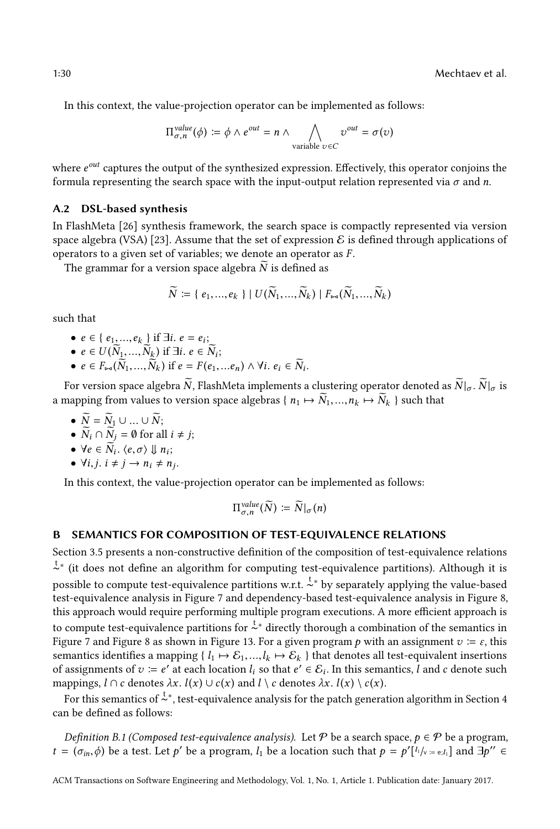In this context, the value-projection operator can be implemented as follows:

$$
\Pi_{\sigma,n}^{value}(\phi) := \phi \wedge e^{out} = n \wedge \bigwedge_{\text{variable } v \in C} v^{out} = \sigma(v)
$$

where  $e^{out}$  captures the output of the synthesized expression. Effectively, this operator conjoins the formula representing the search space with the input-output relation represented via  $\sigma$  and  $n$ formula representing the search space with the input-output relation represented via  $\sigma$  and n.

## A.2 DSL-based synthesis

In FlashMeta [\[26\]](#page-27-16) synthesis framework, the search space is compactly represented via version space algebra (VSA) [\[23\]](#page-27-17). Assume that the set of expression  $\mathcal E$  is defined through applications of operators to a given set of variables; we denote an operator as F .

The grammar for a version space algebra  $\widetilde{N}$  is defined as

$$
\widetilde{N} \coloneqq \{e_1, ..., e_k\} \mid U(\widetilde{N}_1, ..., \widetilde{N}_k) \mid F_{\bowtie}(\widetilde{N}_1, ..., \widetilde{N}_k)
$$

such that

- $e \in \{e_1, ..., e_k\}$  if  $\exists i. e = e_i;$ <br>•  $e \in U(\widetilde{N}, \widetilde{N}, \widetilde{r})$  if  $\exists i. e \in \widetilde{N}$
- $e \in U(\widetilde{N}_1, ..., \widetilde{N}_k)$  if  $\exists i. e \in \widetilde{N}_i$ ;<br>•  $e \in F(\widetilde{N}_1, ..., \widetilde{N}_k)$  if  $e = F(e)$
- $e \in F_{\bowtie}(\widetilde{N}_1, ..., \widetilde{N}_k)$  if  $e = F(e_1, ... e_n) \wedge \forall i. e_i \in \widetilde{N}_i$ .

For version space algebra  $\widetilde{N}$ , FlashMeta implements a clustering operator denoted as  $\widetilde{N}|_{\sigma}$ .  $\widetilde{N}|_{\sigma}$  is a mapping from values to version space algebras {  $n_1 \mapsto \widetilde{N}_1, ..., n_k \mapsto \widetilde{N}_k$  } such that

•  $\widetilde{N} = \widetilde{N}_1 \cup \ldots \cup \widetilde{N};$ 

• 
$$
\overrightarrow{N}_i \cap \overrightarrow{N}_j = \emptyset \text{ for all } i \neq j;
$$

- $\forall e \in \widetilde{N}_i$ ,  $\langle e, \sigma \rangle \Downarrow n_i$ ;
- $\forall i, j. i \neq j \rightarrow n_i \neq n_j.$

In this context, the value-projection operator can be implemented as follows:

$$
\Pi^{value}_{\sigma,n}(\widetilde{N})\coloneqq \widetilde{N}|_{\sigma}(n)
$$

# <span id="page-29-0"></span>B SEMANTICS FOR COMPOSITION OF TEST-EQUIVALENCE RELATIONS

Section [3.5](#page-14-3) presents a non-constructive definition of the composition of test-equivalence relations t ∼ ∗ (it does not define an algorithm for computing test-equivalence partitions). Although it is  $\frac{1}{2}$  by separately applying the value-based possible to compute the value-based test-equivalence analysis in Figure [7](#page-9-1) and dependency-based test-equivalence analysis in Figure [8,](#page-11-0) this approach would require performing multiple program executions. A more efficient approach is to compute test-equivalence partitions for  $\frac{t}{n}$  directly thorough a combination of the semantics in Figure [7](#page-9-1) and Figure [8](#page-11-0) as shown in Figure [13.](#page-30-0) For a given program p with an assignment  $v = \varepsilon$ , this semantics identifies a mapping { $l_1 \mapsto \mathcal{E}_1,...,l_k \mapsto \mathcal{E}_k$  } that denotes all test-equivalent insertions of assignments of  $v := e'$  at each location  $l_i$  so that  $e' \in \mathcal{E}_i$ . In this semantics, l and c denote such mannings  $l \cap c$  denotes  $\lambda x \cdot l(x) \cup c(x)$  and  $l \setminus c$  denotes  $\lambda x \cdot l(x) \setminus c(x)$ mappings,  $l \cap c$  denotes  $\lambda x$ .  $l(x) \cup c(x)$  and  $l \setminus c$  denotes  $\lambda x$ .  $l(x) \setminus c(x)$ .

 $\overline{r}$  for this semantics of  $\overline{z}^*$ , test-equivalence analysis for the patch generation algorithm in Section [4](#page-14-0) can be defined as follows:

Definition B.1 (Composed test-equivalence analysis). Let P be a search space,  $p \in \mathcal{P}$  be a program,  $t = (\sigma_{in}, \phi)$  be a test. Let  $p'$  be a program,  $l_1$  be a location such that  $p = p'[l_1]_{\vee} = e_{i}l_1]$  and  $\exists p'' \in$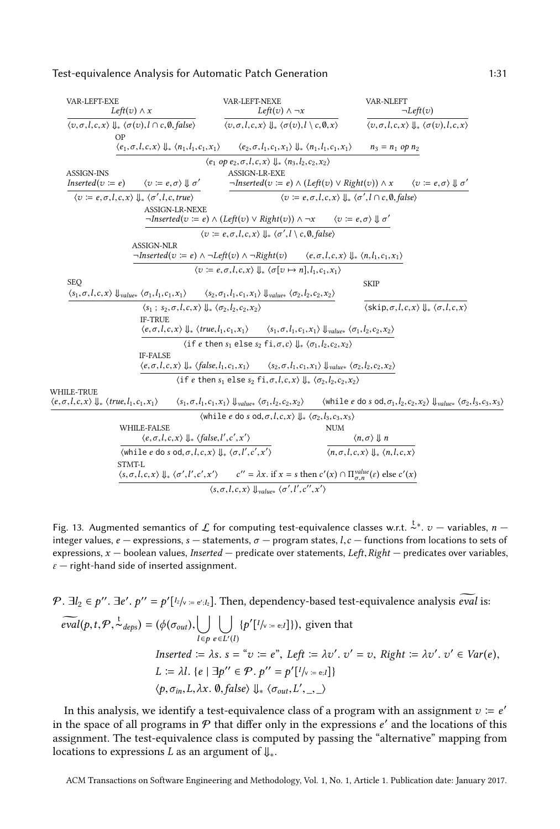$W$ 

<span id="page-30-0"></span>

| VAR-LEFT-EXE<br>Left(v) $\wedge x$                                                                            | VAR-LEFT-NEXE<br>Left(v) $\wedge \neg x$                                                                                                                                                                      | VAR-NLEFT                                                                                                              | $\neg Left(v)$                                                                                                                                         |
|---------------------------------------------------------------------------------------------------------------|---------------------------------------------------------------------------------------------------------------------------------------------------------------------------------------------------------------|------------------------------------------------------------------------------------------------------------------------|--------------------------------------------------------------------------------------------------------------------------------------------------------|
| $\langle v, \sigma, l, c, x \rangle \Downarrow_* \langle \sigma(v), l \cap c, \emptyset, false \rangle$<br>OΡ | $\langle v, \sigma, l, c, x \rangle \Downarrow_* \langle \sigma(v), l \setminus c, \emptyset, x \rangle$                                                                                                      |                                                                                                                        | $\langle v, \sigma, l, c, x \rangle \Downarrow_* \langle \sigma(v), l, c, x \rangle$                                                                   |
| $\langle e_1, \sigma, l, c, x \rangle \Downarrow_* \langle n_1, l_1, c_1, x_1 \rangle$                        | $\langle e_2, \sigma, l_1, c_1, x_1 \rangle \Downarrow_* \langle n_1, l_1, c_1, x_1 \rangle$                                                                                                                  | $n_3 = n_1$ op $n_2$                                                                                                   |                                                                                                                                                        |
|                                                                                                               | $\langle e_1 \text{ op } e_2, \sigma, l, c, x \rangle \Downarrow_* \langle n_3, l_2, c_2, x_2 \rangle$                                                                                                        |                                                                                                                        |                                                                                                                                                        |
| <b>ASSIGN-INS</b><br>$\langle v \coloneqq e, \sigma \rangle \parallel \sigma'$<br>$Inserted(v := e)$          | <b>ASSIGN-LR-EXE</b>                                                                                                                                                                                          | $\neg Inserted(v := e) \land (Left(v) \lor Right(v)) \land x \qquad \langle v := e, \sigma \rangle \Downarrow \sigma'$ |                                                                                                                                                        |
| $\langle v := e, \sigma, l, c, x \rangle \parallel_{\ast} \langle \sigma', l, c, true \rangle$                |                                                                                                                                                                                                               | $\langle v := e, \sigma, l, c, x \rangle \Downarrow_{\ast} \langle \sigma', l \cap c, \emptyset, false \rangle$        |                                                                                                                                                        |
| <b>ASSIGN-LR-NEXE</b>                                                                                         | $\neg Inverted(v := e) \land (Left(v) \lor Right(v)) \land \neg x \quad \langle v := e, \sigma \rangle \Downarrow \sigma'$                                                                                    |                                                                                                                        |                                                                                                                                                        |
|                                                                                                               | $\langle v := e, \sigma, l, c, x \rangle \Downarrow_{*} \langle \sigma', l \setminus c, \emptyset, false \rangle$                                                                                             |                                                                                                                        |                                                                                                                                                        |
| <b>ASSIGN-NLR</b>                                                                                             | $\neg Inserted(v := e) \land \neg Left(v) \land \neg Right(v)$ $\langle e, \sigma, l, c, x \rangle \Downarrow_{\ast} \langle n, l_1, c_1, x_1 \rangle$                                                        |                                                                                                                        |                                                                                                                                                        |
|                                                                                                               | $\langle v := e, \sigma, l, c, x \rangle \Downarrow_{*} \langle \sigma[v \mapsto n], l_1, c_1, x_1 \rangle$                                                                                                   |                                                                                                                        |                                                                                                                                                        |
| <b>SEO</b>                                                                                                    |                                                                                                                                                                                                               | <b>SKIP</b>                                                                                                            |                                                                                                                                                        |
|                                                                                                               | $\langle s_1, \sigma, l, c, x \rangle \downarrow_{values} \langle \sigma_1, l_1, c_1, x_1 \rangle$ $\langle s_2, \sigma_1, l_1, c_1, x_1 \rangle \downarrow_{values} \langle \sigma_2, l_2, c_2, x_2 \rangle$ |                                                                                                                        |                                                                                                                                                        |
|                                                                                                               | $\langle s_1; s_2, \sigma, l, c, x \rangle \parallel_{\ast} \langle \sigma_2, l_2, c_2, x_2 \rangle$                                                                                                          |                                                                                                                        | $\langle$ skip, $\sigma, l, c, x \rangle \Downarrow (\sigma, l, c, x)$                                                                                 |
| <b>IF-TRUE</b>                                                                                                | $\langle e, \sigma, l, c, x \rangle \Downarrow_* \langle true, l_1, c_1, x_1 \rangle$ $\langle s_1, \sigma, l_1, c_1, x_1 \rangle \Downarrow_{\text{values}} \langle \sigma_1, l_2, c_2, x_2 \rangle$         |                                                                                                                        |                                                                                                                                                        |
|                                                                                                               | $\langle$ if e then $s_1$ else $s_2$ fi, $\sigma$ , $c$ $\Downarrow$ $\langle \sigma_1, l_2, c_2, x_2 \rangle$                                                                                                |                                                                                                                        |                                                                                                                                                        |
| <b>IF-FALSE</b>                                                                                               |                                                                                                                                                                                                               |                                                                                                                        |                                                                                                                                                        |
|                                                                                                               | $\langle e, \sigma, l, c, x \rangle \Downarrow_{*} \langle false, l_1, c_1, x_1 \rangle$ $\langle s_2, \sigma, l_1, c_1, x_1 \rangle \Downarrow_{\text{value*}} \langle \sigma_2, l_2, c_2, x_2 \rangle$      |                                                                                                                        |                                                                                                                                                        |
|                                                                                                               | $\langle$ if e then $s_1$ else $s_2$ fi, $\sigma$ , $l$ , $c$ , $x$ ) $\Downarrow$ $\langle \sigma_2, l_2, c_2, x_2 \rangle$                                                                                  |                                                                                                                        |                                                                                                                                                        |
| WHILE-TRUE<br>$\langle e, \sigma, l, c, x \rangle \Downarrow_{*} \langle true, l_1, c_1, x_1 \rangle$         | $\langle s_1, \sigma, l_1, c_1, x_1 \rangle \downarrow_{value*} \langle \sigma_1, l_2, c_2, x_2 \rangle$                                                                                                      |                                                                                                                        | $\langle \text{while } e \text{ do } s \text{ od}, \sigma_1, l_2, c_2, x_2 \rangle \Downarrow_{\text{value*}} \langle \sigma_2, l_3, c_3, x_3 \rangle$ |
|                                                                                                               | $\langle$ while e do s od, $\sigma$ , $l$ , $c$ , $x$ ) $\ $ $\langle \sigma_2, l_3, c_3, x_3 \rangle$                                                                                                        |                                                                                                                        |                                                                                                                                                        |
| WHILE-FALSE                                                                                                   |                                                                                                                                                                                                               | <b>NUM</b>                                                                                                             |                                                                                                                                                        |
|                                                                                                               | $\langle e, \sigma, l, c, x \rangle \Downarrow$ (false, l', c', x')                                                                                                                                           | $\langle n,\sigma \rangle \parallel n$                                                                                 |                                                                                                                                                        |
|                                                                                                               | $\langle$ while e do s od, $\sigma$ , $l$ , $c$ , $x$ $\rangle$ , $\downarrow$ <sub>*</sub> , $\langle \sigma$ , $l'$ , $c'$ , $x'$ $\rangle$                                                                 | $\langle n, \sigma, l, c, x \rangle \Downarrow_* \langle n, l, c, x \rangle$                                           |                                                                                                                                                        |
| STMT-L                                                                                                        | $\langle s, \sigma, l, c, x \rangle \Downarrow_* \langle \sigma', l', c', x' \rangle$ $c'' = \lambda x$ . if $x = s$ then $c'(x) \cap \prod_{\sigma, n}^{value}(s)$ else $c'(x)$                              |                                                                                                                        |                                                                                                                                                        |
|                                                                                                               | $\overline{\langle s, \sigma, l, c, x \rangle \Downarrow_{\text{value*}} \langle \sigma', l', c'', x' \rangle}$                                                                                               |                                                                                                                        |                                                                                                                                                        |
|                                                                                                               |                                                                                                                                                                                                               |                                                                                                                        |                                                                                                                                                        |

Fig. 13. Augmented semantics of  $\mathcal L$  for computing test-equivalence classes w.r.t.  $\lambda^*, v$  — variables,  $n$  — integer values,  $e$  — expressions, s — statements,  $\sigma$  — program states,  $l$   $c$  — functions from locations integer values,  $e$  – expressions,  $s$  – statements,  $\sigma$  – program states,  $l, c$  – functions from locations to sets of expressions,  $x$  – boolean values, *Inserted* – predicate over statements, *Left*, *Right* – predicates over variables,  $\varepsilon$  – right-hand side of inserted assignment.

 $\mathcal{P}$ .  $\exists l_2 \in p''$ .  $\exists e'. p'' = p'[l_2]_{\vee} = e'_{l_2}$ . Then, dependency-based test-equivalence analysis  $\widetilde{eval}$  is:  $\overline{f}$  $\widetilde{eval}(p,t,\mathcal{P},\overset{t}{\sim}_{deps}) = (\phi(\sigma_{out}), \bigcup_{l \in \mathcal{P}}$  $l \in p$  $\vert \ \ \vert$  $e \in L'(l)$  $\{p'[l/\text{v} = \text{e};l]\},$  given that Inserted  $\Xi \lambda s$ .  $s = \omega : \equiv e^s$ , Left  $\Xi \lambda v'$ .  $v' = v$ , Right  $\Xi \lambda v'$ .  $v' = v'$ .  $\prime \in Var(e),$ L :=  $\lambda l. \{e \mid \exists p'' \in \mathcal{P} \cdot p'' = p'[l/\sqrt{e} = e, l]\}$  $\langle p, \sigma_{in}, L, \lambda x. \emptyset, false \rangle \Downarrow \langle \sigma_{out}, L', \_, \_ \rangle$ 

In this analysis, we identify a test-equivalence class of a program with an assignment  $v = e'$ <br>the space of all programs in  $\mathcal{P}$  that differ only in the expressions  $e'$  and the locations of this in the space of all programs in  $\mathcal P$  that differ only in the expressions  $e'$  and the locations of this assignment. The test-equivalence class is computed by passing the "alternative" mapping from assignment. The test-equivalence class is computed by passing the "alternative" mapping from locations to expressions L as an argument of  $\mathcal{L}_{*}$ .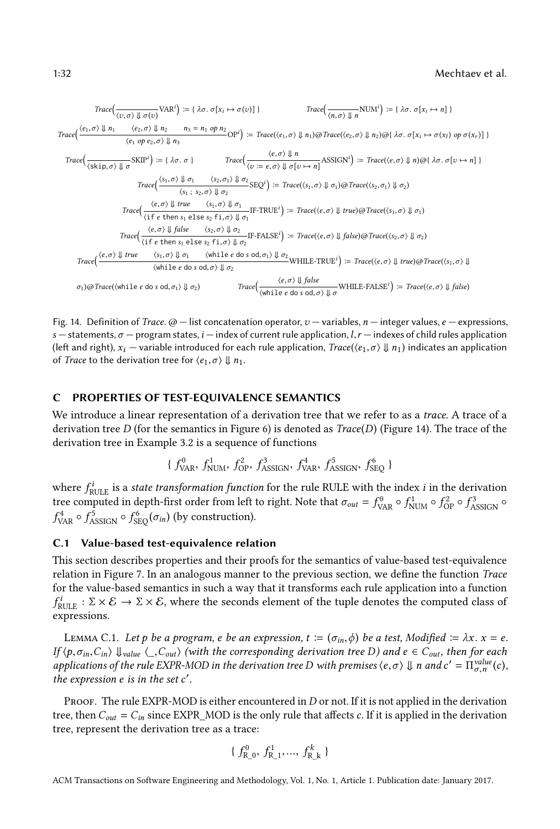#### 1:32 Mechtaev et al.

<span id="page-31-1"></span>
$$
Trace\left(\frac{\langle e_1, \sigma \rangle \Downarrow \sigma(v)}{\langle v, \sigma \rangle \Downarrow \sigma(v)} \text{VAR}^i\right) := \{ \lambda \sigma. \sigma[x_i \mapsto \sigma(v)] \}
$$
\n
$$
Trace\left(\frac{\langle e_1, \sigma \rangle \Downarrow n_1 \quad \langle e_2, \sigma \rangle \Downarrow n_2 \quad n_3 = n_1 \text{ op } n_2}{\langle e_1 \text{ op } e_2, \sigma \rangle \Downarrow n_3} \text{Trace}(\langle e_1, \sigma \rangle \Downarrow n_1) \text{ @Trace}\left(\langle e_2, \sigma \rangle \Downarrow n_2 \text{ OR}(x_i) \text{ op } \sigma(x_r) \text{]}
$$
\n
$$
Trace\left(\frac{\langle e_1, \sigma \rangle \Downarrow n_3 \quad \langle e_2, \sigma \rangle \Downarrow n_3}{\langle e_1 \text{ op } e_2, \sigma \rangle \Downarrow n_3} \text{SKIP}^i\right) := \{ \lambda \sigma. \sigma \}
$$
\n
$$
Trace\left(\frac{\langle e, \sigma \rangle \Downarrow n}{\langle v : = e, \sigma \rangle \Downarrow \sigma(v)} \text{SSGN}^i\right) := Trace(\langle e, \sigma \rangle \Downarrow n) \text{ @[} \lambda \sigma. \sigma[v \mapsto n] \text{]}
$$
\n
$$
Trace\left(\frac{\langle e, \sigma \rangle \Downarrow \sigma(v \mapsto n_1 \land s_2, \sigma \rangle \Downarrow \sigma(v_2 \land \sigma(v_2 \land \sigma(v_2 \land \sigma(v_2 \land \sigma(v_2 \land \sigma(v_2 \land \sigma(v_2 \land \sigma(v_2 \land \sigma(v_2 \land \sigma(v_2 \land \sigma(v_2 \land \sigma(v_2 \land \sigma(v_2 \land \sigma(v_2 \land \sigma(v_2 \land \sigma(v_2 \land \sigma(v_2 \land \sigma(v_2 \land \sigma(v_2 \land \sigma(v_2 \land \sigma(v_2 \land \sigma(v_2 \land \sigma(v_2 \land \sigma(v_2 \land \sigma(v_2 \land \sigma(v_2 \land \sigma(v_2 \land \sigma(v_2 \land \sigma(v_2 \land \sigma(v_2 \land \sigma(v_2 \land \sigma(v_2 \land \sigma(v_2 \land \sigma(v_2 \land \sigma(v_2 \land \sigma(v_2 \land \sigma(v_2 \land \sigma(v_2 \land \sigma(v_2 \land \sigma(v_2 \land \sigma(v_2 \land \sigma(v_2 \land
$$

Fig. 14. Definition of Trace.  $\omega$  – list concatenation operator,  $v$  – variables, n – integer values, e – expressions, s — statements,  $\sigma$  — program states,  $i$  — index of current rule application,  $l,r$  — indexes of child rules application (left and right),  $x_i$  — variable introduced for each rule application,  $Trace(\langle e_1, \sigma \rangle \Downarrow n_1)$  indicates an application of *Trace* to the derivation tree for  $\langle e_1, \sigma \rangle \Downarrow n_1$ .

#### <span id="page-31-0"></span>C PROPERTIES OF TEST-EQUIVALENCE SEMANTICS

We introduce a linear representation of a derivation tree that we refer to as a trace. A trace of a derivation tree D (for the semantics in Figure [6\)](#page-8-0) is denoted as  $Trace(D)$  (Figure [14\)](#page-31-1). The trace of the derivation tree in Example [3.2](#page-7-2) is a sequence of functions

$$
\{\,f_{\text{VAR}}^0,\,f_{\text{NUM}}^1,\,f_{\text{OP}}^2,\,f_{\text{ASSIGN}}^3,\,f_{\text{VAR}}^4,\,f_{\text{ASSIGN}}^5,\,f_{\text{SEQ}}^6\,\}
$$

where  $f_{\text{RULE}}^i$  is a *state transformation function* for the rule RULE with the index *i* in the derivation tree computed in don't first order from left to right. Note that  $\tau = f^0$  of  $f^1$  of  $f^2$  of  $f^3$  or  $f^3$ tree computed in depth-first order from left to right. Note that  $\sigma_{out} = f_{VAR}^0 \circ f_{NUM}^1 \circ f_{OP}^2 \circ f_{ASSIGN}^3 \circ f_{NUM}^4$  $\overline{\phantom{a}}$ <sup>24</sup> <sup>o</sup>  $f_{\text{ASSIGN}}^5 \circ f_{\text{SEQ}}^6(\sigma_{in})$  (by construction).

# C.1 Value-based test-equivalence relation

This section describes properties and their proofs for the semantics of value-based test-equivalence relation in Figure [7.](#page-9-1) In an analogous manner to the previous section, we define the function Trace for the value-based semantics in such a way that it transforms each rule application into a function f expressions.  $\mathbb{R}^i$ <br>RULE :  $\Sigma \times \mathcal{E} \to \Sigma \times \mathcal{E}$ , where the seconds element of the tuple denotes the computed class of

<span id="page-31-2"></span>LEMMA C.1. Let p be a program, e be an expression,  $t := (\sigma_{in}, \phi)$  be a test, Modified  $= \lambda x$ .  $x = e$ . If  $\langle p, \sigma_{in}, C_{in} \rangle$   $\downarrow_{value} \langle S_{out} \rangle$  (with the corresponding derivation tree D) and  $e \in C_{out}$ , then for each applications of the rule EXPR-MOD in the derivation tree D with premises  $\langle e, \sigma \rangle \Downarrow n$  and  $c' = \prod_{\sigma,n}^{\text{value}}(c)$ , the expression e is in the set  $c'$ the expression  $e$  is in the set  $c'$ .

PROOF. The rule EXPR-MOD is either encountered in  $D$  or not. If it is not applied in the derivation tree, then  $C_{out} = C_{in}$  since EXPR\_MOD is the only rule that affects c. If it is applied in the derivation tree, represent the derivation tree as a trace:

$$
\{f_{\text{R\_0}}^0, f_{\text{R\_1}}^1, ..., f_{\text{R\_k}}^k\}
$$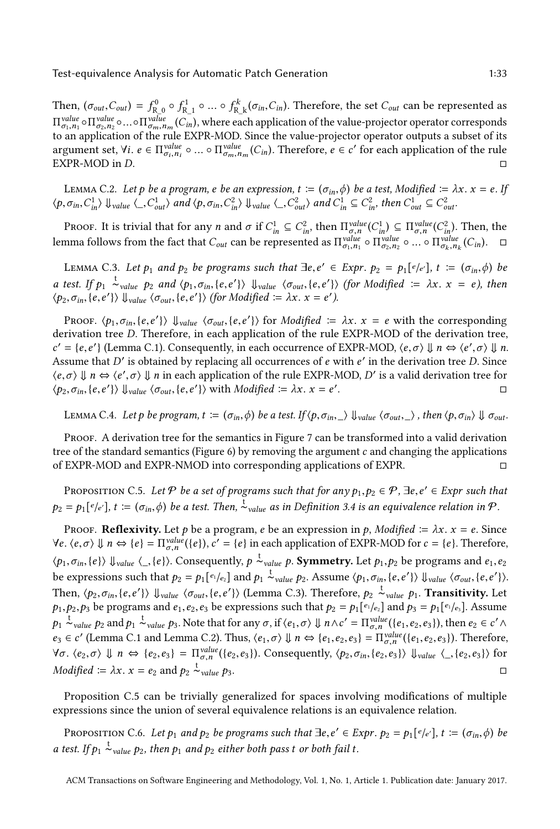Then,  $(\sigma_{out}, C_{out}) = f_{R_0}^0 \circ f_{R_1}^1 \circ ... \circ f_{R_k}^k (\sigma_{in}, C_{in})$ . Therefore, the set  $C_{out}$  can be represented as  $\frac{1}{2}$  $\Pi^{\text{value}}_{\sigma_1,n_1} \circ \Pi^{\text{value}}_{\sigma_2,n_2} \circ ... \circ \Pi^{\text{value}}_{\sigma_m,n_m} (C_{in}),$  where each application of the value-projector operator corresponds to an application of the rule EXPR-MOD. Since the value-projector operator outputs a subse argument set,  $\forall i. e \in \Pi^{value}_{\sigma_i, n_i} \circ ... \circ \Pi^{value}_{\sigma_m, n_m}(C_{in}).$  Therefore,  $e \in c'$  for each application of the rule  $\Box$  $\Box$ EXPR-MOD in D.  $\Box$ 

<span id="page-32-1"></span>LEMMA C.2. Let p be a program, e be an expression,  $t := (\sigma_{in}, \phi)$  be a test, Modified  $:= \lambda x$ .  $x = e$ . If  $\langle p, \sigma_{in}, C_{in}^1 \rangle$   $\downarrow$  value  $\langle P, C_{out}^1 \rangle$  and  $\langle p, \sigma_{in}, C_{in}^2 \rangle$   $\downarrow$  value  $\langle P, C_{out}^2 \rangle$  and  $C_{in}^1 \subseteq C_{in}^2$ , then  $C_{out}^1 \subseteq C_{out}^2$ .

PROOF. It is trivial that for any *n* and  $\sigma$  if  $C_{in}^1 \subseteq C_{in}^2$ , then  $\Pi_{g,n}^{value}(C_{in}$ <br>must follow from the feet that  $C_{in}$  can be represented as  $\Pi_{g,n}^{value} \in \Pi_{g,n}^{value}$  $\prod_{in}^{1}$ )  $\subseteq \prod_{\sigma,n}^{value}(C)$  $\sum_{\text{in}}^{2}$ ). Then, the lemma follows from the fact that  $C_{out}$  can be represented as  $\Pi^{value}_{\sigma_1,n_1} \circ \Pi^{value}_{\sigma_2,n_2} \circ ... \circ \Pi^{value}_{\sigma_k,n_k}(C_{in})$ .  $\Box$ 

<span id="page-32-0"></span>LEMMA C.3. Let  $p_1$  and  $p_2$  be programs such that  $\exists e, e' \in Exp$ ,  $p_2 = p_1[e/e']$ ,  $t := (\sigma_{in}, \phi)$  be a test. If  $p_1 \stackrel{t}{\sim}_{value} p_2$  and  $\langle p_1, \sigma_{in}, \{e, e'\}\rangle$   $\downarrow_{value}$   $\langle \sigma_{out}, \{e, e'\}\rangle$  (for Modified  $\coloneqq \lambda x$ .  $x = e$ ), then  $\langle p_2, \sigma_{in}, \{e, e'\}\rangle$   $\downarrow$ <sub>value</sub>  $\langle \sigma_{out}, \{e, e'\}\rangle$  (for Modified :=  $\lambda x. x = e'$ ).

PROOF.  $\langle p_1, \sigma_{in}, \{e, e'\}\rangle$   $\downarrow$   $\forall$  value  $\langle \sigma_{out}, \{e, e'\}\rangle$  for *Modified*  $\coloneqq \lambda x$ .  $x = e$  with the corresponding rivation tree *D*. Therefore, in each application of the rule EXPR-MOD of the derivation tree derivation tree D. Therefore, in each application of the rule EXPR-MOD of the derivation tree, Assume that D' is obtained by replacing all occurrences of e with e' in the derivation tree D. Since  $(e, \sigma) \parallel n \leftrightarrow (e', \sigma) \parallel n$  in each application of the rule EXPR-MOD, D' is a valid derivation tree for  $\mathcal{C} = \{e, e'\}$  (Lemma [C.1\)](#page-31-2). Consequently, in each occurrence of EXPR-MOD,  $\langle e, \sigma \rangle \Downarrow n \Leftrightarrow \langle e', \sigma \rangle \Downarrow n$ .  $\langle e, \sigma \rangle \Downarrow n \Leftrightarrow \langle e', \sigma \rangle \Downarrow n$  in each application of the rule EXPR-MOD, D' is a valid derivation tree for  $\langle p_2, \sigma_{in}, \{e, e'\}\rangle \Downarrow_{value} \langle \sigma_{out}, \{e, e'\}\rangle$  with Modified  $:= \lambda x. x = e'$ . <del>о</del>

<span id="page-32-3"></span>LEMMA C.4. Let p be program,  $t := (\sigma_{in}, \phi)$  be a test. If  $\langle p, \sigma_{in}, \rangle$   $\downarrow$  value  $\langle \sigma_{out}, \rangle$ , then  $\langle p, \sigma_{in} \rangle$   $\downarrow$   $\sigma_{out}$ .

Proof. A derivation tree for the semantics in Figure [7](#page-9-1) can be transformed into a valid derivation tree of the standard semantics (Figure [6\)](#page-8-0) by removing the argument  $c$  and changing the applications of EXPR-MOD and EXPR-NMOD into corresponding applications of EXPR. of EXPR-MOD and EXPR-NMOD into corresponding applications of EXPR.

<span id="page-32-2"></span>PROPOSITION C.5. Let  $P$  be a set of programs such that for any  $p_1, p_2 \in P$ ,  $\exists e, e' \in \text{Expr}$  such that  $p_2 = p_1[e/e'], t := (\sigma_{in}, \phi)$  be a test. Then,  $\stackrel{t}{\sim}_{value}$  as in Definition [3.4](#page-10-1) is an equivalence relation in  $\mathcal{P}$ .

Proof. **Reflexivity.** Let p be a program, e be an expression in p, Modified  $\coloneqq \lambda x$ .  $x = e$ . Since  $\forall e. \langle e, \sigma \rangle \Downarrow n \Leftrightarrow \{e\} = \Pi_{\sigma, n}^{value}(\{e\}), c' = \{e\}$  in each application of EXPR-MOD for  $c = \{e\}$ . Therefore,  $\langle e, e, o \rangle \Downarrow n \Leftrightarrow \{e\} = \Pi_{\sigma,n} (\{e\}), \emptyset = \{e\}$  in each application of EXFR-MOD for  $e = \{e\}$ . Therefore<br>  $\langle p_1, \sigma_{in}, \{e\} \rangle \Downarrow_{value} \langle \_, \{e\} \rangle$ . Consequently,  $p \stackrel{t}{\sim}_{value} p$ . Symmetry. Let  $p_1, p_2$  be programs and  $e_1,$ be expressions such that  $p_2 = p_1[e_1/e_2]$  and  $p_1 \stackrel{t}{\sim} \text{value } p_2$ . Assume  $\langle p_1, \sigma_{in}, \{e, e'\} \rangle$   $\downarrow_{value} \langle \sigma_{out}, \{e, e'\} \rangle$ . Then,  $\langle p_2, \sigma_{in}, \{e, e'\}\rangle$   $\downarrow$   $\downarrow$   $\downarrow$   $\downarrow$   $\downarrow$   $\downarrow$   $\downarrow$   $\downarrow$   $\downarrow$   $\downarrow$   $\downarrow$   $\downarrow$   $\downarrow$   $\downarrow$   $\downarrow$   $\downarrow$   $\downarrow$   $\downarrow$   $\downarrow$   $\downarrow$   $\downarrow$   $\downarrow$   $\downarrow$   $\downarrow$   $\downarrow$   $\downarrow$   $\downarrow$   $\downarrow$   $\downarrow$   $\downarrow$   $\downarrow$   $\downarrow$   $p_1, p_2, p_3$  be programs and  $e_1, e_2, e_3$  be expressions such that  $p_2 = p_1[e_1/e_2]$  and  $p_3 = p_1[e_1/e_3]$ . Assume p<sub>1</sub>  $\sim$ <sub>value</sub> p<sub>2</sub> and p<sub>1</sub>  $\sim$ <sub>value</sub> p<sub>3</sub>. Note that for any  $\sigma$ , if  $\langle e_1, \sigma \rangle \Downarrow n \wedge c' = \prod_{\sigma,n}^{\text{value}} (\{e_1, e_2, e_3\})$ , then  $e_2 \in c' \wedge c$ σ,n  $e_3 \in c'$  (Lemma [C.1](#page-31-2) and Lemma [C.2\)](#page-32-1). Thus,  $\langle e_1, \sigma \rangle \Downarrow n \Leftrightarrow \{e_1, e_2, e_3\} = \Pi_{\sigma,n}^{value}(\{e_1, e_2, e_3\})$ . Therefore,  $\forall \sigma \colon \langle e_2, \sigma \rangle \Downarrow n \Leftrightarrow \{e_2, e_3\} = \Pi_{\sigma, n}^{value}(\{e_2, e_3\})$ . Consequently,  $\langle p_2, \sigma_{in}, \{e_2, e_3\} \rangle \Downarrow_{value} \langle \_, \{e_2, e_3\} \rangle$  for *Modified*  $\coloneqq \lambda x. x = e_2$  and  $p_2 \stackrel{\text{t}}{\sim}$  $\frac{1}{\infty}$ value p<sup>3</sup>. □

Proposition [C.5](#page-32-2) can be trivially generalized for spaces involving modifications of multiple expressions since the union of several equivalence relations is an equivalence relation.

<span id="page-32-4"></span>PROPOSITION C.6. Let  $p_1$  and  $p_2$  be programs such that  $\exists e, e' \in Expr$ .  $p_2 = p_1[e/e'], t := (\sigma_{in}, \phi)$  be a test. If  $p_1 \stackrel{t}{\sim}$  value  $p_2$ , then  $p_1$  and  $p_2$  either both pass t or both fail t.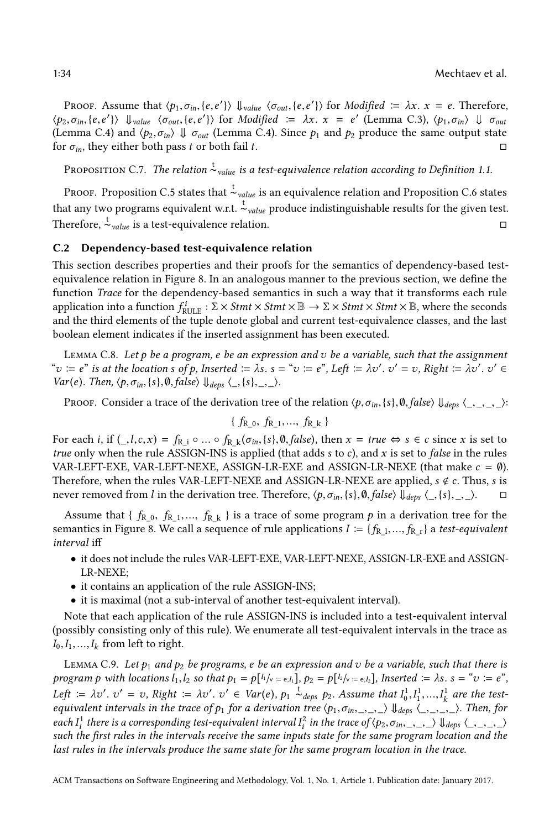PROOF. Assume that  $\langle p_1, \sigma_{in}, \{e, e'\}\rangle$   $\Downarrow_{value}$   $\langle \sigma_{out}, \{e, e'\}\rangle$  for *Modified*  $\coloneqq \lambda x$ .  $x = e$ . Therefore,  $\langle p_2, \sigma_{in}, \{e, e'\}\rangle$   $\Downarrow_{value}$   $\langle \sigma_{out}, \{e, e'\}\rangle$  for Modified  $\coloneqq \lambda x$ .  $x = e'$  (Lemma [C.3\)](#page-32-0),  $\langle p_1, \sigma_{in} \rangle \Downarrow \sigma_{out}$ <br>(Lemma C.4) and  $\langle p_2, \sigma_{in} \rangle \Downarrow \sigma_{out}$  (Lemma C.4). Since  $p_i$  and  $p_i$  produce the same output state (Lemma [C.4\)](#page-32-3) and  $\langle p_2, \sigma_{in} \rangle \Downarrow \sigma_{out}$  (Lemma C.4). Since  $p_1$  and  $p_2$  produce the same output state for  $\sigma_{in}$ , they either both pass t or both fail t. for  $\sigma_{in}$ , they either both pass t or both fail t.

Proposition C.7. The relation  $^{\text{t}}$   $\scriptstyle\mathtt{value}$  is a test-equivalence relation according to Definition [1.1.](#page-1-0)

Ркооғ. Proposition [C.5](#page-32-2) states that  $\stackrel{\text{t}}{\sim}_{value}$  is an equivalence relation and Proposition [C.6](#page-32-4) states that any two programs equivalent w.r.t.  $\frac{t}{\lambda}$  value produce indistinguishable results for the given test. Therefore,  $\frac{t}{\sim}$  is a test-equivalence relation. □

#### C.2 Dependency-based test-equivalence relation

This section describes properties and their proofs for the semantics of dependency-based testequivalence relation in Figure [8.](#page-11-0) In an analogous manner to the previous section, we define the function Trace for the dependency-based semantics in such a way that it transforms each rule application into a function  $f_{\text{RULE}}^{i}$ :  $\Sigma \times \text{Strm} \times \text{Strm} \times \mathbb{B} \rightarrow \Sigma \times \text{Strm} \times \text{Strm} \times \mathbb{B}$ , where the seconds and the third elements of the tuple denote global and current test-equivalence classes, and the last boolean element indicates if the inserted assignment has been executed.

<span id="page-33-0"></span>LEMMA C.8. Let  $p$  be a program, e be an expression and  $v$  be a variable, such that the assignment " $v := e^v$  is at the location s of p, Inserted  $:= \lambda s$ .  $s = "v := e^v$ , Left  $:= \lambda v'$ .  $v' = v$ , Right  $:= \lambda v'$ .  $v' = v'$ .  $\lambda v' = v'$ . ′ ∈  $Var(e)$ . Then,  $\langle p, \sigma_{in}, \{s\}, \emptyset, false \rangle \Downarrow_{deps} \langle \_, \{s\}, \_, \_ \rangle.$ 

Proof. Consider a trace of the derivation tree of the relation  $\langle p, \sigma_{in}, \{s\}, \emptyset, false \rangle \downarrow_{des} \langle \_, \_, \_, \rangle$ :

$$
\{f_{R_0}, f_{R_1}, ..., f_{R_k}\}
$$

For each i, if  $($ ,l,c,x) =  $f_{R_i}$  ∘ ... ◦  $f_{R_k}$  ( $\sigma_{in}$ , {s}, 0, false), then  $x = true \Leftrightarrow s \in c$  since x is set to the rule  $\Delta$  SSICN-INS is applied (that adds s to c) and x is set to false in the rules true only when the rule ASSIGN-INS is applied (that adds  $s$  to  $c$ ), and  $x$  is set to *false* in the rules VAR-LEFT-EXE, VAR-LEFT-NEXE, ASSIGN-LR-EXE and ASSIGN-LR-NEXE (that make  $c = \emptyset$ ). Therefore, when the rules VAR-LEFT-NEXE and ASSIGN-LR-NEXE are applied,  $s \notin c$ . Thus, s is never removed from *l* in the derivation tree. Therefore,  $\langle p, \sigma_{in}, \{s\}, \theta, \{als\} \rangle$ ,  $\langle s \}$ ,  $\langle s \rangle$ ,  $\Box$ never removed from l in the derivation tree. Therefore,  $\langle p, \sigma_{in}, \{s\}, \emptyset, false \rangle \downarrow_{des} \langle \_, \{s\}, \_, \rangle.$ 

Assume that  $\{f_{R_0}, f_{R_1},..., f_{R_k}\}$  is a trace of some program p in a derivation tree for the semantics in Figure [8.](#page-11-0) We call a sequence of rule applications  $I := \{f_{R_1},..., f_{R_r}\}$  a test-equivalent interval iff

- it does not include the rules VAR-LEFT-EXE, VAR-LEFT-NEXE, ASSIGN-LR-EXE and ASSIGN-LR-NEXE;
- it contains an application of the rule ASSIGN-INS;
- it is maximal (not a sub-interval of another test-equivalent interval).

Note that each application of the rule ASSIGN-INS is included into a test-equivalent interval (possibly consisting only of this rule). We enumerate all test-equivalent intervals in the trace as  $I_0, I_1, \ldots, I_k$  from left to right.

<span id="page-33-1"></span>LEMMA C.9. Let  $p_1$  and  $p_2$  be programs, e be an expression and v be a variable, such that there is program p with locations  $l_1, l_2$  so that  $p_1 = p[l_1/v = e_i, l_1], p_2 = p[l_2/v = e_i, l_2],$  Inserted  $:= \lambda s.$  s = " $v := e$ ", Left :=  $\lambda v'$ .  $v' = v$ , Right :=  $\lambda v'$ .  $v' \in Var(e)$ ,  $p_1 \stackrel{t}{\sim} _{deps}^{\infty} p_2$ . Assume that  $I_0^1, I_1^1, ..., I_k^1$ <br>equivalent intervals in the trace of p, for a derivation tree (p,  $\sigma$ , ) || | | | equivalent intervals in the trace of  $p_1$  for a derivation tree  $\langle p_1, \sigma_{in}, \ldots, \rangle$   $\downarrow$   $\downarrow$  deps  $\langle \ldots, \ldots \rangle$ . Then, for  $k<sup>1</sup>$  are the test- $\frac{1}{1}$ each  $I_i^1$  $\frac{1}{t}$  there is a corresponding test-equivalent interval  $I_t^2$ <br>the first rules in the intervals receive the same input <sup>2</sup> in the trace of  $\langle p_2, \sigma_{in}, \_, \_ \rangle \bigcup_{\text{deps}} \langle \_, \_, \_ \rangle$ <br>its state for the same program location and the such the first rules in the intervals receive the same inputs state for the same program location and the last rules in the intervals produce the same state for the same program location in the trace.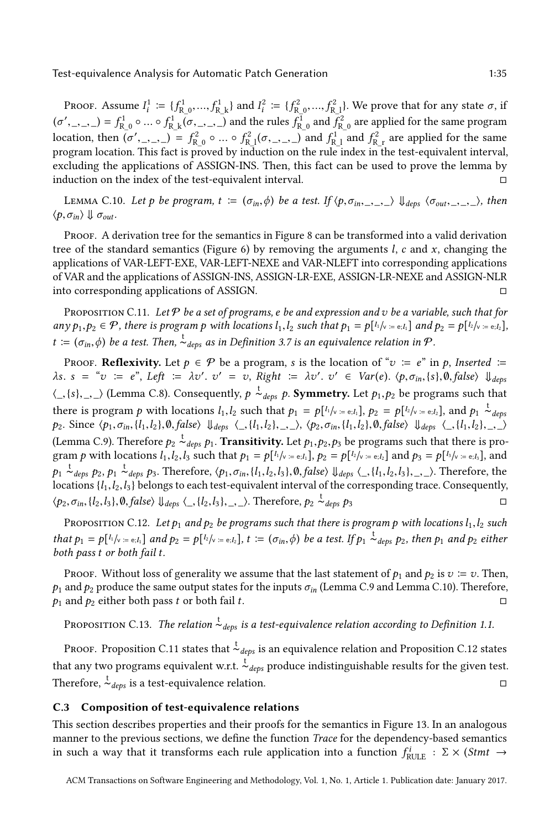PROOF. Assume  $I_1^1 := \{f_{\text{R}_0}^1, ..., f_{\text{R}_k}^1\}$  and  $I_i^2 := \{f_{\text{R}_0}^2, ..., f_{\text{R}_1}^2\}$ . We prove that for any state  $\sigma$ , if location, then  $(\sigma', \_), \_) \in f_{R_0}^2 \circ ... \circ f_{R_1}^2 (\sigma, \_), \_)$  and  $f_{R_1}^1$  and  $f_{R_2}^2$  are applied for the same  $\mathcal{L}_{\text{max}}(f) = f_{\text{R}}^1 \circ \dots \circ f_{\text{R}}^1 \circ \left( \sigma, \frac{1}{K} \right)$  and the rules  $f_{\text{R}}^1$  and  $f_{\text{R}}^2$  are applied for the same program program location. This fact is proved by induction on the rule index in the test-equivalent interval, excluding the applications of ASSIGN-INS. Then, this fact can be used to prove the lemma by induction on the index of the test-equivalent interval.  $□$ 

<span id="page-34-0"></span>LEMMA C.10. Let p be program,  $t := (\sigma_{in}, \phi)$  be a test. If  $\langle p, \sigma_{in}, \_ \rangle$ ,  $\downarrow$   $_{deps}$   $\langle \sigma_{out}, \_ \rangle$ , then  $\langle p, \sigma_{in} \rangle \Downarrow \sigma_{out}.$ 

PROOF. A derivation tree for the semantics in Figure [8](#page-11-0) can be transformed into a valid derivation tree of the standard semantics (Figure [6\)](#page-8-0) by removing the arguments  $l, c$  and  $x$ , changing the applications of VAR-LEFT-EXE, VAR-LEFT-NEXE and VAR-NLEFT into corresponding applications of VAR and the applications of ASSIGN-INS, ASSIGN-LR-EXE, ASSIGN-LR-NEXE and ASSIGN-NLR into corresponding applications of ASSIGN. □

<span id="page-34-1"></span>PROPOSITION C.11. Let  $P$  be a set of programs, e be and expression and v be a variable, such that for  $any p_1, p_2 \in \mathcal{P}$ , there is program p with locations  $l_1, l_2$  such that  $p_1 = p[l_1/\sqrt{1 + e_l} \cdot l_1]$  and  $p_2 = p[l_2/\sqrt{1 + e_l} \cdot l_2]$ ,  $t := (\sigma_{in}, \phi)$  be a test. Then,  $\stackrel{t}{\sim}$  deps as in Definition [3.7](#page-12-1) is an equivalence relation in  $\mathcal{P}$ .

PROOF. Reflexivity. Let  $p \in \mathcal{P}$  be a program, s is the location of " $v := e$ " in p, Inserted  $:=$  $\lambda s. s = "v := e", \text{ Left} := \lambda v'. v' = v, \text{ Right} := \lambda v'. v' \in \text{Var}(e). \langle p, \sigma_{in}, \{s\}, \emptyset, \text{false}\rangle \cup \text{deps}$  $\langle \_ \{s\}, \_ \rangle$  (Lemma [C.8\)](#page-33-0). Consequently,  $p \stackrel{t}{\sim} \frac{1}{\epsilon}$  exps p. Symmetry. Let  $p_1, p_2$  be programs such that there is program p with locations  $l_1, l_2$  such that  $p_1 = p[l_1/\sqrt{1 - e_i}l_1], p_2 = p[l_2/\sqrt{1 - e_i}l_2],$  and  $p_1 \stackrel{t}{\sim} \text{days}$ .  $p_2$ . Since  $\langle p_1, \sigma_{in}, \{l_1, l_2\}, \emptyset, false \rangle \cup_{deps} \langle \_, \{l_1, l_2\}, \_, \rangle$ ,  $\langle p_2, \sigma_{in}, \{l_1, l_2\}, \emptyset, false \rangle \cup_{deps} \langle \_, \{l_1, l_2\}, \_, \rangle$ (Lemma [C.9\)](#page-33-1). Therefore  $p_2 \xrightarrow{t} \t_{deps} p_1$ . **Transitivity.** Let  $p_1, p_2, p_3$  be programs such that there is pro-<br>
gram a with locations  $l, l, l$  is such that  $p_1 = \alpha[l_1 l_2, \ldots, l_r]$  and  $p_2 = \alpha[l_2 l_2, \ldots, l_r]$  and gram p with locations  $l_1, l_2, l_3$  such that  $p_1 = p[l_1/v = e, l_1], p_2 = p[l_2/v = e, l_2]$  and  $p_3 = p[l_3/v = e, l_3],$  and  $p_1 \sim_{deps} p_2$ ,  $p_1 \sim_{deps} p_3$ . Therefore,  $\langle p_1, \sigma_{in}, \{l_1, l_2, l_3\}, \emptyset$ , false〉  $\downarrow_{deps} \langle \_, \{l_1, l_2, l_3\}, \_, \rangle$ . Therefore, the locations  $\{l_1, l_2, l_3\}$  belongs to each test-equivalent interval of the corresponding trace. Consequently,<br> $\langle p_2, \sigma_{in}, \{l_2, l_3\}, \emptyset, \{l_3, l_3\}, \emptyset \rangle$  Therefore,  $p_2 \stackrel{\star}{\sim} \langle \text{des } p_2 \rangle$  $\langle p_2, \sigma_{in}, \{l_2, l_3\}, \emptyset, false \rangle \Downarrow_{deps} \langle \_, \{l_2, l_3\}, \_, \_ \rangle$ . Therefore,  $p_2 \stackrel{\star}{\sim}$  $\sim$  deps  $p_3$  □

<span id="page-34-2"></span>PROPOSITION C.12. Let  $p_1$  and  $p_2$  be programs such that there is program p with locations  $l_1, l_2$  such that  $p_1 = p[<sup>l_1</sup>/v = e; l_1]$  and  $p_2 = p[<sup>l_2</sup>/v = e; l_2]$ ,  $t := (\sigma_{in}, \phi)$  be a test. If  $p_1 \stackrel{t}{\sim}$   $_{deps}$   $p_2$ , then  $p_1$  and  $p_2$  either both pass t or both fail t both pass t or both fail t.

Proof. Without loss of generality we assume that the last statement of  $p_1$  and  $p_2$  is  $v := v$ . Then,  $p_1$  and  $p_2$  produce the same output states for the inputs  $\sigma_{in}$  (Lemma [C.9](#page-33-1) and Lemma [C.10\)](#page-34-0). Therefore,  $p_1$  and  $p_2$  either both pass t or both fail t.  $p_1$  and  $p_2$  either both pass t or both fail t.

Proposition C.13. The relation  $\stackrel{\text{t}}{\sim}_{deps}$  is a test-equivalence relation according to Definition [1.1.](#page-1-0)

Ркооғ. Proposition [C.11](#page-34-1) states that  $\stackrel{\text{t}}{\thicksim}_{deps}$  is an equivalence relation and Proposition [C.12](#page-34-2) states that any two programs equivalent w.r.t.  $\dot{\mathcal{L}}_{deps}$  produce indistinguishable results for the given test. Therefore,  $\frac{t}{\sim}$  is a test-equivalence relation. □

## C.3 Composition of test-equivalence relations

This section describes properties and their proofs for the semantics in Figure [13.](#page-30-0) In an analogous manner to the previous sections, we define the function Trace for the dependency-based semantics in such a way that it transforms each rule application into a function  $f_{\text{RULE}}^i : \Sigma \times (Stmt \rightarrow$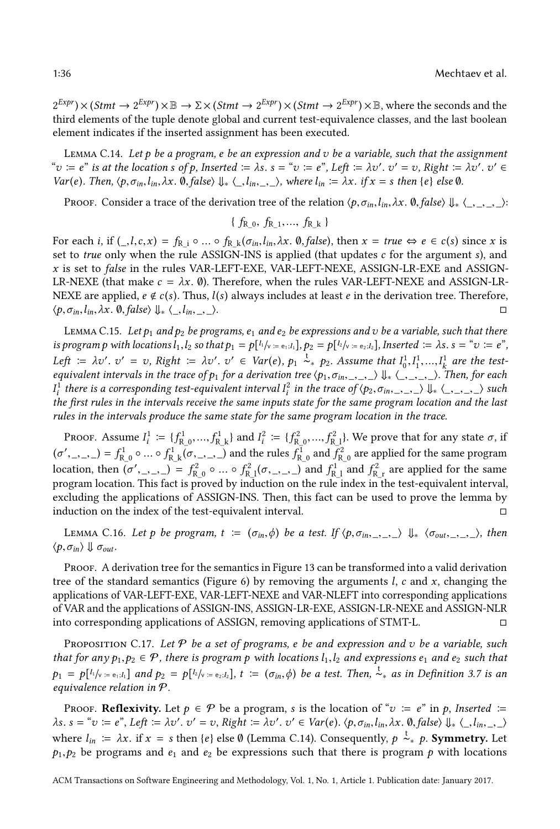$2^{Expr}$   $\times$  (*Stmt*  $\rightarrow$   $2^{Expr}$ )  $\times \mathbb{B}$   $\rightarrow$   $\Sigma$   $\times$  (*Stmt*  $\rightarrow$   $2^{Expr}$ )  $\times$  (*Stmt*  $\rightarrow$   $2^{Expr}$ )  $\times \mathbb{B}$ , where the seconds and the last holder third elements of the tuple denote global and current test-equivalence classes, and the last boolean element indicates if the inserted assignment has been executed.

<span id="page-35-0"></span>LEMMA C.14. Let  $p$  be a program, e be an expression and  $v$  be a variable, such that the assignment "v <sup>B</sup> e" is at the location s of p, Inserted <sup>B</sup> λs. s <sup>=</sup> "v <sup>B</sup> e", Left <sup>B</sup> λv′ ′ <sup>=</sup> v, Right <sup>B</sup> λv′ . v Var(e). Then,  $\langle p, \sigma_{in}, l_{in}, \lambda x.$  ①, false $\rangle \Downarrow \langle l_{in}, l_{in}, \ldots \rangle$ , where  $l_{in} := \lambda x.$  if  $x = s$  then {e} else Ø. ′ ∈

Proof. Consider a trace of the derivation tree of the relation  $\langle p, \sigma_{in}, l_{in}, \lambda x.$  *O*, false $\rangle \Downarrow \langle \_, \_, \_, \rangle$ :

$$
\{f_{R\_0}, f_{R\_1}, ..., f_{R\_k}\}
$$

For each i, if  $($ ,l,c,x) =  $f_{\text{R}_i} \circ ... \circ f_{\text{R}_k} (\sigma_{in},l_{in},\lambda x. \emptyset, false)$ , then  $x = true \Leftrightarrow e \in c(s)$  since x is set to *true* only when the rule ASSIGN-INS is applied (that updates  $c$  for the argument  $s$ ), and x is set to false in the rules VAR-LEFT-EXE, VAR-LEFT-NEXE, ASSIGN-LR-EXE and ASSIGN-LR-NEXE (that make  $c = \lambda x$ . Ø). Therefore, when the rules VAR-LEFT-NEXE and ASSIGN-LR-NEXE are applied,  $e \notin c(s)$ . Thus,  $l(s)$  always includes at least  $e$  in the derivation tree. Therefore,  $\langle p, \sigma_{in}, l_{in}, \lambda x, \emptyset, \text{false} \rangle \downarrow_{*} \langle l_{in}, \lambda \rangle$ .  $\langle p, \sigma_{in}, l_{in}, \lambda x. \emptyset, false \rangle \Downarrow \langle l_{in}, l_{in}, \rangle.$ 

<span id="page-35-1"></span>LEMMA C.15. Let  $p_1$  and  $p_2$  be programs,  $e_1$  and  $e_2$  be expressions and v be a variable, such that there is program p with locations  $l_1, l_2$  so that  $p_1 = p[l_1/v = e_1, l_1], p_2 = p[l_2/v = e_2, l_2],$  Inserted  $\coloneqq \lambda s$ ,  $s = "v := e",$ Left  $\coloneqq \lambda v'$ .  $v' = v$ , Right  $\coloneqq \lambda v'$ .  $v' \in \text{Var}(e)$ ,  $p_1 \overset{t}{\sim}_* p_2$ . Assume that  $I_0^1, I_1^1, ..., I_k^1$  are the test-<br>equivalent intervals in the trace of p, for a derivation tree (p,  $\sigma$ .  $\mathcal{L}[\mathcal{U}]$ .  $\cong \mathcal{U} \cup \mathcal{U}$  is  $\cong \mathcal{U} \cup \mathcal{U}$ ,  $\mathcal{U} \cup \mathcal{U}$  and  $\mathcal{U} \cup \mathcal{U}$ ,  $\mathcal{U} \cup \mathcal{U}$ ,  $\mathcal{U}$ ,  $\mathcal{U}$ ,  $\mathcal{U}$ ,  $\mathcal{U}$ ,  $\mathcal{U}$ ,  $\mathcal{U}$ ,  $\mathcal{U}$ ,  $\mathcal{U}$ ,  $\mathcal{U}$ ,  $\mathcal{U}$ ,  $\mathcal$ I the first rules in the intervals receive the same inputs state for the same program location and the last  $\vec{1}$  $\frac{1}{i}$  there is a corresponding test-equivalent interval  $I_i^2$ <br>the first rules in the intervals receive the same inputs <sup>2</sup> in the trace of  $\langle p_2, \sigma_{in}, \_, \_ \rangle \Downarrow \langle \_, \_, \_ \rangle$  such set the same program location and the lost rules in the intervals produce the same state for the same program location in the trace.

PROOF. Assume  $I_1^1 := \{f_{\text{R}_0}^1, ..., f_{\text{R}_k}^1\}$  and  $I_i^2 := \{f_{\text{R}_0}^2, ..., f_{\text{R}_k}^2\}$ . We prove that for any state  $\sigma$ , if (σ.<br>1.  $f'_{\text{R}}(z) = f_{\text{R}}^1 \circ \dots \circ f_{\text{R}}^1 \circ (z, z, z)$  and the rules  $f_{\text{R}}^1$  and  $f_{\text{R}}^2$  are applied for the same program location, then  $(\sigma', \xi) = f_{R_0}^2 \circ ... \circ f_{R_n}^2 (\sigma, \xi)$  and  $f_{R_1}^1$  and  $f_{R_n}^2$  are applied for the same program location. This fact is proved by induction on the rule index in the test-equivalent interval, excluding the applications of ASSIGN-INS. Then, this fact can be used to prove the lemma by induction on the index of the test-equivalent interval.  $\Box$ 

<span id="page-35-2"></span>LEMMA C.16. Let p be program,  $t := (\sigma_{in}, \phi)$  be a test. If  $\langle p, \sigma_{in}, \ldots, p \rangle \Downarrow_{*} \langle \sigma_{out}, \ldots, \ldots \rangle$ , then  $\langle p, \sigma_{in} \rangle \Downarrow \sigma_{out}.$ 

Proof. A derivation tree for the semantics in Figure [13](#page-30-0) can be transformed into a valid derivation tree of the standard semantics (Figure [6\)](#page-8-0) by removing the arguments  $l$ ,  $c$  and  $x$ , changing the applications of VAR-LEFT-EXE, VAR-LEFT-NEXE and VAR-NLEFT into corresponding applications of VAR and the applications of ASSIGN-INS, ASSIGN-LR-EXE, ASSIGN-LR-NEXE and ASSIGN-NLR into corresponding applications of ASSIGN, removing applications of STMT-L. □

<span id="page-35-3"></span>PROPOSITION C.17. Let  $P$  be a set of programs, e be and expression and v be a variable, such that for any  $p_1, p_2 \in \mathcal{P}$ , there is program p with locations  $l_1, l_2$  and expressions  $e_1$  and  $e_2$  such that  $p_1 = p[k/v = e_1, l_1]$  and  $p_2 = p[k/v = e_2, l_2]$ ,  $t := (\sigma_{in}, \phi)$  be a test. Then,  $\stackrel{t}{\sim}_*$  as in Definition [3.7](#page-12-1) is an equivalence relation in  $\Phi$ equivalence relation in P.

Proof. Reflexivity. Let  $p \in \mathcal{P}$  be a program, s is the location of " $v := e$ " in p, Inserted  $:=$  $\lambda$ s. s = "v := e", Left :=  $\lambda v'$ . v' = v, Right :=  $\lambda v'$ . v'  $\in$  Var(e).  $\langle p, \sigma_{in}, l_{in}, \lambda x.$   $\emptyset$ , false $\rangle \downarrow \langle l_{in}, l_{in}, \rangle$ where  $l_{in} \coloneqq \lambda x$ . if  $x = s$  then  $\{e\}$  else Ø (Lemma [C.14\)](#page-35-0). Consequently,  $p \stackrel{t}{\sim} p$ . **Symmetry.** Let  $p_1, p_2$  be programs and  $e_1$  and  $e_2$  be expressions such that there is program p with locations